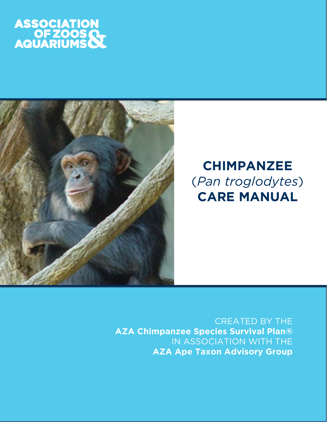



# **CHIMPANZEE** (*Pan troglodytes*) **CARE MANUAL**

# CREATED BY THE **AZA Chimpanzee Species Survival Plan®**  IN ASSOCIATION WITH THE **AZA Ape Taxon Advisory Group**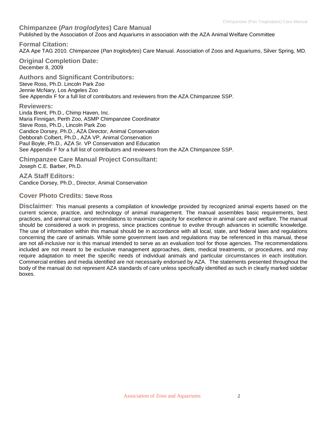**Chimpanzee (***Pan troglodytes***) Care Manual**  Published by the Association of Zoos and Aquariums in association with the AZA Animal Welfare Committee

**Formal Citation:** AZA Ape TAG 2010. Chimpanzee (*Pan troglodytes*) Care Manual. Association of Zoos and Aquariums, Silver Spring, MD.

**Original Completion Date:** December 8, 2009

**Authors and Significant Contributors:** Steve Ross, Ph.D. Lincoln Park Zoo Jennie McNary, Los Angeles Zoo See Appendix F for a full list of contributors and reviewers from the AZA Chimpanzee SSP.

**Reviewers:**

Linda Brent, Ph.D., Chimp Haven, Inc. Maria Finnigan, Perth Zoo, ASMP Chimpanzee Coordinator Steve Ross, Ph.D., Lincoln Park Zoo Candice Dorsey, Ph.D., AZA Director, Animal Conservation Debborah Colbert, Ph.D., AZA VP, Animal Conservation Paul Boyle, Ph.D., AZA Sr. VP Conservation and Education See Appendix F for a full list of contributors and reviewers from the AZA Chimpanzee SSP.

**Chimpanzee Care Manual Project Consultant:** Joseph C.E. Barber, Ph.D.

**AZA Staff Editors:** Candice Dorsey, Ph.D., Director, Animal Conservation

# **Cover Photo Credits:** Steve Ross

**Disclaimer**: This manual presents a compilation of knowledge provided by recognized animal experts based on the current science, practice, and technology of animal management. The manual assembles basic requirements, best practices, and animal care recommendations to maximize capacity for excellence in animal care and welfare. The manual should be considered a work in progress, since practices continue to evolve through advances in scientific knowledge. The use of information within this manual should be in accordance with all local, state, and federal laws and regulations concerning the care of animals. While some government laws and regulations may be referenced in this manual, these are not all-inclusive nor is this manual intended to serve as an evaluation tool for those agencies. The recommendations included are not meant to be exclusive management approaches, diets, medical treatments, or procedures, and may require adaptation to meet the specific needs of individual animals and particular circumstances in each institution. Commercial entities and media identified are not necessarily endorsed by AZA. The statements presented throughout the body of the manual do not represent AZA standards of care unless specifically identified as such in clearly marked sidebar boxes.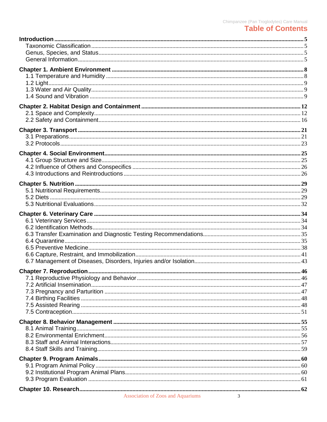# Chimpanzee (Pan Troglodytes) Care Manual<br>
Table of Contents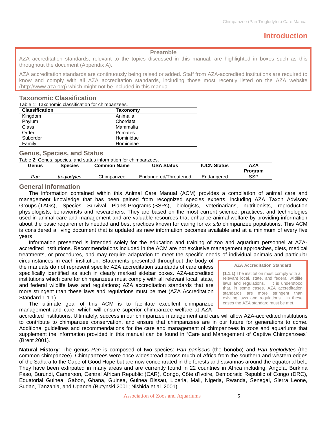# **Introduction**

# **Preamble**

<span id="page-4-0"></span>AZA accreditation standards, relevant to the topics discussed in this manual, are highlighted in boxes such as this throughout the document (Appendix A).

AZA accreditation standards are continuously being raised or added. Staff from AZA-accredited institutions are required to know and comply with all AZA accreditation standards, including those most recently listed on the AZA website [\(http://www.aza.org\)](http://www.aza.org/) which might not be included in this manual.

# <span id="page-4-1"></span>**Taxonomic Classification**

Table 1: Taxonomic classification for chimpanzees.

| <b>Classification</b> | Taxonomy  |  |
|-----------------------|-----------|--|
| Kingdom               | Animalia  |  |
| Phylum                | Chordata  |  |
| <b>Class</b>          | Mammalia  |  |
| Order                 | Primates  |  |
| Suborder              | Hominidae |  |
| Family                | Homininae |  |

# <span id="page-4-2"></span>**Genus, Species, and Status**

| Table 2: Genus, species, and status information for chimpanzees. |             |                    |                       |                    |            |
|------------------------------------------------------------------|-------------|--------------------|-----------------------|--------------------|------------|
| Genus                                                            | Species     | <b>Common Name</b> | <b>USA Status</b>     | <b>IUCN Status</b> | AZA        |
|                                                                  |             |                    |                       |                    | Program    |
| Pan                                                              | troglodytes | Chimpanzee         | Endangered/Threatened | Endangered         | <b>SSP</b> |

# <span id="page-4-3"></span>**General Information**

The information contained within this Animal Care Manual (ACM) provides a compilation of animal care and management knowledge that has been gained from recognized species experts, including AZA Taxon Advisory Groups (TAGs), Species Survival Plan® Programs (SSPs), biologists, veterinarians, nutritionists, reproduction physiologists, behaviorists and researchers. They are based on the most current science, practices, and technologies used in animal care and management and are valuable resources that enhance animal welfare by providing information about the basic requirements needed and best practices known for caring for *ex situ* chimpanzee populations. This ACM is considered a living document that is updated as new information becomes available and at a minimum of every five years.

Information presented is intended solely for the education and training of zoo and aquarium personnel at AZAaccredited institutions. Recommendations included in the ACM are not exclusive management approaches, diets, medical treatments, or procedures, and may require adaptation to meet the specific needs of individual animals and particular

circumstances in each institution. Statements presented throughout the body of the manuals do not represent specific AZA accreditation standards of care unless specifically identified as such in clearly marked sidebar boxes. AZA-accredited institutions which care for chimpanzees must comply with all relevant local, state, and federal wildlife laws and regulations; AZA accreditation standards that are more stringent than these laws and regulations must be met (AZA Accreditation Standard 1.1.1).

The ultimate goal of this ACM is to facilitate excellent chimpanzee management and care, which will ensure superior chimpanzee welfare at AZA-

**AZA Accreditation Standard**

**(1.1.1)** The institution must comply with all relevant local, state, and federal wildlife laws and regulations. It is understood that, in some cases, AZA accreditation standards are more stringent than existing laws and regulations. In these cases the AZA standard must be met.

accredited institutions. Ultimately, success in our chimpanzee management and care will allow AZA-accredited institutions to contribute to chimpanzee conservation, and ensure that chimpanzees are in our future for generations to come. Additional guidelines and recommendations for the care and management of chimpanzees in zoos and aquariums that supplement the information provided in this manual can be found in "Care and Management of Captive Chimpanzees" (Brent 2001).

**Natural History**: The genus *Pan* is composed of two species: *Pan paniscus* (the bonobo) and *Pan troglodytes* (the common chimpanzee). Chimpanzees were once widespread across much of Africa from the southern and western edges of the Sahara to the Cape of Good Hope but are now concentrated in the forests and savannas around the equatorial belt. They have been extirpated in many areas and are currently found in 22 countries in Africa including: Angola, Burkina Faso, Burundi, Cameroon, Central African Republic (CAR), Congo, Côte d'Ivoire, Democratic Republic of Congo (DRC), Equatorial Guinea, Gabon, Ghana, Guinea, Guinea Bissau, Liberia, Mali, Nigeria, Rwanda, Senegal, Sierra Leone, Sudan, Tanzania, and Uganda (Butynski 2001; Nishida et al. 2001).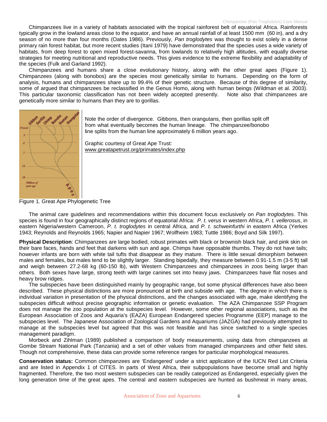Chimpanzees live in a variety of habitats associated with the tropical rainforest belt of equatorial Africa. Rainforests typically grow in the lowland areas close to the equator, and have an annual rainfall of at least 1500 mm (60 in), and a dry season of no more than four months (Oates 1986). Previously, *Pan troglodytes* was thought to exist solely in a dense primary rain forest habitat, but more recent studies (Itani 1979) have demonstrated that the species uses a wide variety of habitats, from deep forest to open mixed forest-savanna, from lowlands to relatively high altitudes, with equally diverse strategies for meeting nutritional and reproductive needs. This gives evidence to the extreme flexibility and adaptability of the species (Fulk and Garland 1992).

Chimpanzees and humans share a close evolutionary history, along with the other great apes (Figure 1). Chimpanzees (along with bonobos) are the species most genetically similar to humans. Depending on the form of analysis, humans and chimpanzees share up to 99.4% of their genetic structure. Because of this degree of similarity, some of argued that chimpanzees be reclassified in the Genus Homo, along with human beings (Wildman et al. 2003). This particular taxonomic classification has not been widely accepted presently. Note also that chimpanzees are genetically more similar to humans than they are to gorillas.



Note the order of divergence. Gibbons, then orangutans, then gorillas split off from what eventually becomes the human lineage. The chimpanzee/bonobo line splits from the human line approximately 6 million years ago.

Graphic courtesy of Great Ape Trust: www.greatapetrust.org/primates/index.php

Figure 1. Great Ape Phylogenetic Tree

The animal care guidelines and recommendations within this document focus exclusively on *Pan troglodytes*. This species is found in four geographically distinct regions of equatorial Africa: *P. t. verus* in western Africa, *P. t. vellerosus*, in eastern Nigeria/western Cameroon, *P. t. troglodytes* in central Africa, and *P. t. schweinfurthi* in eastern Africa (Yerkes 1943; Reynolds and Reynolds 1965; Napier and Napier 1967; Wolfheim 1983; Tuttle 1986; Boyd and Silk 1997).

**Physical Description**: Chimpanzees are large bodied, robust primates with black or brownish black hair, and pink skin on their bare faces, hands and feet that darkens with sun and age. Chimps have opposable thumbs. They do not have tails; however infants are born with white tail tufts that disappear as they mature. There is little sexual dimorphism between males and females, but males tend to be slightly larger. Standing bipedally, they measure between 0.91-1.5 m (3-5 ft) tall and weigh between 27.2-68 kg (60-150 lb), with Western Chimpanzees and chimpanzees in zoos being larger than others. Both sexes have large, strong teeth with large canines set into heavy jaws. Chimpanzees have flat noses and heavy brow ridges.

The subspecies have been distinguished mainly by geographic range, but some physical differences have also been described. These physical distinctions are more pronounced at birth and subside with age. The degree in which there is individual variation in presentation of the physical distinctions, and the changes associated with age, make identifying the subspecies difficult without precise geographic information or genetic evaluation. The AZA Chimpanzee SSP Program does not manage the zoo population at the subspecies level. However, some other regional associations, such as the European Association of Zoos and Aquaria's (EAZA) European Endangered species Programme (EEP) manage to the subspecies level. The Japanese Association of Zoological Gardens and Aquariums (JAZGA) had previously attempted to manage at the subspecies level but agreed that this was not feasible and has since switched to a single species management paradigm.

Morbeck and Zihlman (1989) published a comparison of body measurements, using data from chimpanzees at Gombe Stream National Park (Tanzania) and a set of other values from managed chimpanzees and other field sites. Though not comprehensive, these data can provide some reference ranges for particular morphological measures.

**Conservation status:** Common chimpanzees are 'Endangered' under a strict application of the IUCN Red List Criteria and are listed in Appendix 1 of CITES. In parts of West Africa, their subpopulations have become small and highly fragmented. Therefore, the two most western subspecies can be readily categorized as Endangered, especially given the long generation time of the great apes. The central and eastern subspecies are hunted as bushmeat in many areas,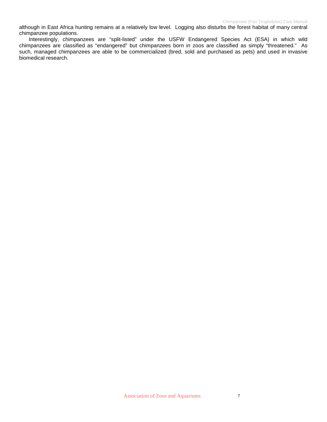although in East Africa hunting remains at a relatively low level. Logging also disturbs the forest habitat of many central chimpanzee populations.

Interestingly, chimpanzees are "split-listed" under the USFW Endangered Species Act (ESA) in which wild chimpanzees are classified as "endangered" but chimpanzees born in zoos are classified as simply "threatened." As such, managed chimpanzees are able to be commercialized (bred, sold and purchased as pets) and used in invasive biomedical research.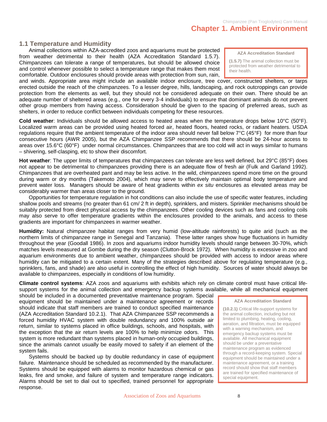Chimpanzee (Pan Troglodytes) Care Manual

# **Chapter 1. Ambient Environment**

# <span id="page-7-1"></span><span id="page-7-0"></span>**1.1 Temperature and Humidity**

Animal collections within AZA-accredited zoos and aquariums must be protected from weather detrimental to their health (AZA Accreditation Standard 1.5.7). Chimpanzees can tolerate a range of temperatures, but should be allowed choice and control whenever possible to select a temperature range that makes them most comfortable. Outdoor enclosures should provide areas with protection from sun, rain,

**AZA Accreditation Standard**

**(1.5.7)** The animal collection must be protected from weather detrimental to their health.

and winds. Appropriate area might include an available indoor enclosure, tree cover, constructed shelters, or tarps erected outside the reach of the chimpanzees. To a lesser degree, hills, landscaping, and rock outcroppings can provide protection from the elements as well, but they should not be considered adequate on their own. There should be an adequate number of sheltered areas (e.g., one for every 3-4 individuals) to ensure that dominant animals do not prevent other group members from having access. Consideration should be given to the spacing of preferred areas, such as shelters, in order to reduce conflict between individuals competing for these resources.

**Cold weather**: Individuals should be allowed access to heated areas when the temperature drops below 10°C (50°F). Localized warm areas can be provided using heated forced air, heated floors, heated rocks, or radiant heaters. USDA regulations require that the ambient temperature of the indoor area should never fall below 7°C (45°F) for more than four consecutive hours (AWR 2005), but the AZA Chimpanzee SSP recommends that there should be 24-hour access to areas over 15.6°C (60°F) under normal circumstances. Chimpanzees that are too cold will act in ways similar to humans – shivering, self-clasping, etc to show their discomfort.

**Hot weather**: The upper limits of temperatures that chimpanzees can tolerate are less well defined, but 29°C (85°F) does not appear to be detrimental to chimpanzees providing there is an adequate flow of fresh air (Fulk and Garland 1992). Chimpanzees that are overheated pant and may be less active. In the wild, chimpanzees spend more time on the ground during warm or dry months (Takemoto 2004), which may serve to effectively maintain optimal body temperature and prevent water loss. Managers should be aware of heat gradients within *ex situ* enclosures as elevated areas may be considerably warmer than areas closer to the ground.

Opportunities for temperature regulation in hot conditions can also include the use of specific water features, including shallow pools and streams (no greater than 61 cm/ 2 ft in depth), sprinklers, and misters. Sprinkler mechanisms should be suitably protected from direct physical access by the chimpanzees. Other cooling devices such as fans and cooling coils may also serve to offer temperature gradients within the enclosures provided to the animals, and access to these gradients are important for chimpanzees in warmer weather.

**Humidity:** Natural chimpanzee habitat ranges from very humid (low-altitude rainforests) to quite arid (such as the northern limits of chimpanzee range in Senegal and Tanzania). These latter ranges show huge fluctuations in humidity throughout the year (Goodall 1986). In zoos and aquariums indoor humidity levels should range between 30-70%, which matches levels measured at Gombe during the dry season (Clutton-Brock 1972). When humidity is excessive in zoo and aquarium environments due to ambient weather, chimpanzees should be provided with access to indoor areas where humidity can be mitigated to a certain extent. Many of the strategies described above for regulating temperature (e.g., sprinklers, fans, and shade) are also useful in controlling the effect of high humidity. Sources of water should always be available to chimpanzees, especially in conditions of low humidity.

**Climate control systems**: AZA zoos and aquariums with exhibits which rely on climate control must have critical lifesupport systems for the animal collection and emergency backup systems available, while all mechanical equipment

should be included in a documented preventative maintenance program. Special equipment should be maintained under a maintenance agreement or records should indicate that staff members are trained to conduct specified maintenance (AZA Accreditation Standard 10.2.1). That AZA Chimpanzee SSP recommends a forced humidity HVAC system with double redundancy and 100% outside air return, similar to systems placed in office buildings, schools, and hospitals, with the exception that the air return levels are 100% to help minimize odors. This system is more redundant than systems placed in human-only occupied buildings, since the animals cannot usually be easily moved to safety if an element of the system fails.

Systems should be backed up by double redundancy in case of equipment failure. Maintenance should be scheduled as recommended by the manufacturer. Systems should be equipped with alarms to monitor hazardous chemical or gas leaks, fire and smoke, and failure of system and temperature range indicators. Alarms should be set to dial out to specified, trained personnel for appropriate response.



**(10.2.1)** Critical life-support systems for the animal collection, including but not limited to plumbing, heating, cooling, aeration, and filtration, must be equipped with a warning mechanism, and emergency backup systems must be available. All mechanical equipment should be under a preventative maintenance program as evidenced through a record-keeping system. Special equipment should be maintained under a maintenance agreement, or a training record should show that staff members are trained for specified maintenance of special equipment.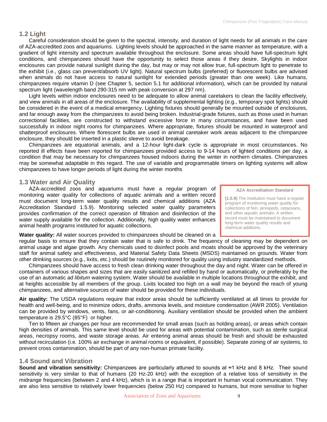# <span id="page-8-0"></span>**1.2 Light**

Careful consideration should be given to the spectral, intensity, and duration of light needs for all animals in the care of AZA-accredited zoos and aquariums. Lighting levels should be approached in the same manner as temperature, with a gradient of light intensity and spectrum available throughout the enclosure. Some areas should have full-spectrum light conditions, and chimpanzees should have the opportunity to select those areas if they desire. Skylights in indoor enclosures can provide natural sunlight during the day, but may or may not allow true, full-spectrum light to penetrate to the exhibit (i.e., glass can prevent/absorb UV light). Natural spectrum bulbs (preferred) or fluorescent bulbs are advised when animals do not have access to natural sunlight for extended periods (greater than one week). Like humans, chimpanzees require vitamin D (see Chapter 5, section 5.1 for additional information), which can be provided by natural spectrum light (wavelength band 290-315 nm with peak conversion at 297 nm).

Light levels within indoor enclosures need to be adequate to allow animal caretakers to clean the facility effectively, and view animals in all areas of the enclosure. The availability of supplemental lighting (e.g., temporary spot lights) should be considered in the event of a medical emergency. Lighting fixtures should generally be mounted outside of enclosures, and far enough away from the chimpanzees to avoid being broken. Industrial-grade fixtures, such as those used in human correctional facilities, are constructed to withstand excessive force in many circumstances, and have been used successfully in indoor night rooms for chimpanzees. Where appropriate, fixtures should be mounted in waterproof and shatterproof enclosures. Where florescent bulbs are used in animal caretaker work areas adjacent to the chimpanzee enclosure, they should be inserted in a plastic sleeve to avoid breakage.

Chimpanzees are equatorial animals, and a 12-hour light-dark cycle is appropriate in most circumstances. No reported ill effects have been reported for chimpanzees provided access to 9-14 hours of lighted conditions per day, a condition that may be necessary for chimpanzees housed indoors during the winter in northern climates. Chimpanzees may be somewhat adaptable in this regard. The use of variable and programmable timers on lighting systems will allow chimpanzees to have longer periods of light during the winter months

# <span id="page-8-1"></span>**1.3 Water and Air Quality**

AZA-accredited zoos and aquariums must have a regular program of monitoring water quality for collections of aquatic animals and a written record must document long-term water quality results and chemical additions (AZA Accreditation Standard 1.5.9). Monitoring selected water quality parameters provides confirmation of the correct operation of filtration and disinfection of the water supply available for the collection. Additionally, high quality water enhances animal health programs instituted for aquatic collections.

**Water quality:** All water sources provided to chimpanzees should be cleaned on a

regular basis to ensure that they contain water that is safe to drink. The frequency of cleaning may be dependent on animal usage and algae growth. Any chemicals used to disinfect pools and moats should be approved by the veterinary staff for animal safety and effectiveness, and Material Safety Data Sheets (MSDS) maintained on grounds. Water from other drinking sources (e.g., lixits, etc.) should be routinely monitored for quality using industry standardized methods.

Chimpanzees should have access to fresh clean drinking water throughout the day and night. Water can be offered in containers of various shapes and sizes that are easily sanitized and refilled by hand or automatically, or preferably by the use of an automatic *ad libitum* watering system. Water should be available in multiple locations throughout the exhibit, and at heights accessible by all members of the group. Lixits located too high on a wall may be beyond the reach of young chimpanzees, and alternative sources of water should be provided for these individuals.

**Air quality:** The USDA regulations require that indoor areas should be sufficiently ventilated at all times to provide for health and well-being, and to minimize odors, drafts, ammonia levels, and moisture condensation (AWR 2005). Ventilation can be provided by windows, vents, fans, or air-conditioning. Auxiliary ventilation should be provided when the ambient temperature is 29.5°C (85°F) or higher.

Ten to fifteen air changes per hour are recommended for small areas (such as holding areas), or areas which contain high densities of animals. This same level should be used for areas with potential contamination, such as sterile surgical areas, necropsy rooms, and waste storage areas. Air entering animal areas should be fresh and should be exhausted without recirculation (i.e. 100% air exchange in animal rooms or equivalent, if possible). Separate zoning of air systems, to prevent cross contamination, should be part of any non-human primate facility.

# <span id="page-8-2"></span>**1.4 Sound and Vibration**

**Sound and vibration sensitivity:** Chimpanzees are particularly attuned to sounds at ≈1 kHz and 8 kHz. Their sound sensitivity is very similar to that of humans (20 Hz-20 kHz) with the exception of a relative loss of sensitivity in the midrange frequencies (between 2 and 4 kHz), which is in a range that is important in human vocal communication. They are also less sensitive to relatively lower frequencies (below 250 Hz) compared to humans, but more sensitive to higher

**AZA Accreditation Standard**

**(1.5.9)** The institution must have a regular program of monitoring water quality for collections of fish, pinnipeds, cetaceans, and other aquatic animals. A written record must be maintained to document long-term water quality results and chemical additions.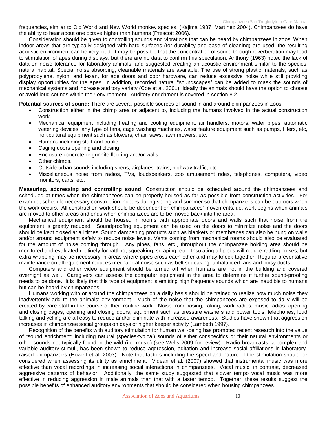frequencies, similar to Old World and New World monkey species. (Kajima 1987; Martínez 2004). Chimpanzees do have the ability to hear about one octave higher than humans (Prescott 2006).

Consideration should be given to controlling sounds and vibrations that can be heard by chimpanzees in zoos. When indoor areas that are typically designed with hard surfaces (for durability and ease of cleaning) are used, the resulting acoustic environment can be very loud. It may be possible that the concentration of sound through reverberation may lead to stimulation of apes during displays, but there are no data to confirm this speculation. Anthony (1963) noted the lack of data on noise tolerance for laboratory animals, and suggested creating an acoustic environment similar to the species' natural habitat. Special noise absorbing, cleanable materials are available. The use of strong plastic materials, such as polypropylene, nylon, and lexan, for ape doors and door hardware, can reduce excessive noise while still providing display opportunities for the apes. In addition, recorded natural "soundscapes" can be added to mask the sounds of mechanical systems and increase auditory variety (Coe et al. 2001). Ideally the animals should have the option to choose or avoid loud sounds within their environment. Auditory enrichment is covered in section 8.2.

**Potential sources of sound:** There are several possible sources of sound in and around chimpanzees in zoos:

- Construction either in the chimp area or adjacent to, including the humans involved in the actual construction work.
- Mechanical equipment including heating and cooling equipment, air handlers, motors, water pipes, automatic watering devices, any type of fans, cage washing machines, water feature equipment such as pumps, filters, etc, horticultural equipment such as blowers, chain saws, lawn mowers, etc.
- Humans including staff and public.
- Caging doors opening and closing.
- Enclosure concrete or gunnite flooring and/or walls.
- Other chimps.
- Outside urban sounds including sirens, airplanes, trains, highway traffic, etc.
- Miscellaneous noise from radios, TVs, loudspeakers, zoo amusement rides, telephones, computers, video monitors, carts, etc.

**Measuring, addressing and controlling sound:** Construction should be scheduled around the chimpanzees and scheduled at times when the chimpanzees can be properly housed as far as possible from construction activities. For example, schedule necessary construction indoors during spring and summer so that chimpanzees can be outdoors when the work occurs. All construction work should be dependent on chimpanzees' movements, i.e. work begins when animals are moved to other areas and ends when chimpanzees are to be moved back into the area.

Mechanical equipment should be housed in rooms with appropriate doors and walls such that noise from the equipment is greatly reduced. Soundproofing equipment can be used on the doors to minimize noise and the doors should be kept closed at all times. Sound dampening products such as blankets or membranes can also be hung on walls and/or around equipment safely to reduce noise levels. Vents coming from mechanical rooms should also be evaluated for the amount of noise coming through. Any pipes, fans, etc., throughout the chimpanzee holding area should be monitored and evaluated routinely for rattling, squeaking, scraping, etc. Insulating all pipes will reduce rattling noises, but extra wrapping may be necessary in areas where pipes cross each other and may knock together. Regular preventative maintenance on all equipment reduces mechanical noise such as belt squeaking, unbalanced fans and noisy ducts.

Computers and other video equipment should be turned off when humans are not in the building and covered overnight as well. Caregivers can assess the computer equipment in the area to determine if further sound-proofing needs to be done. It is likely that this type of equipment is emitting high frequency sounds which are inaudible to humans but can be heard by chimpanzees.

Humans working with or around the chimpanzees on a daily basis should be trained to realize how much noise they inadvertently add to the animals' environment. Much of the noise that the chimpanzees are exposed to daily will be created by care staff in the course of their routine work. Noise from hosing, raking, work radios, music radios, opening and closing cages, opening and closing doors, equipment such as pressure washers and power tools, telephones, loud talking and yelling are all easy to reduce and/or eliminate with increased awareness. Studies have shown that aggression increases in chimpanzee social groups on days of higher keeper activity (Lambeth 1997).

Recognition of the benefits with auditory stimulation for human well-being has prompted recent research into the value of "sound enrichment" including natural (species-typical) sounds of either conspecifics or their natural environments or other sounds not typically found in the wild (i.e. music) (see Wells 2009 for review). Radio broadcasts, a complex and variable auditory stimuli, has been shown to reduce aggression, agitation and increase social affiliations in laboratoryraised chimpanzees (Howell et al. 2003). Note that factors including the speed and nature of the stimulation should be considered when assessing its utility as enrichment. Videan et al. (2007) showed that instrumental music was more effective than vocal recordings in increasing social interactions in chimpanzees. Vocal music, in contrast, decreased aggressive patterns of behavior. Additionally, the same study suggested that slower tempo vocal music was more effective in reducing aggression in male animals than that with a faster tempo. Together, these results suggest the possible benefits of enhanced auditory environments that should be considered when housing chimpanzees.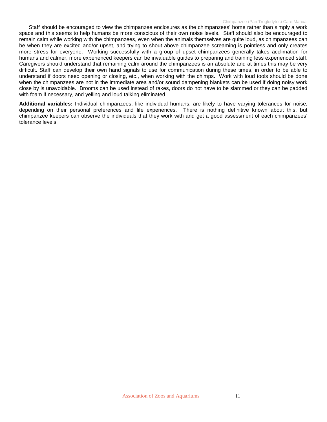#### Chimpanzee (Pan Troglodytes) Care Manual

Staff should be encouraged to view the chimpanzee enclosures as the chimpanzees' home rather than simply a work space and this seems to help humans be more conscious of their own noise levels. Staff should also be encouraged to remain calm while working with the chimpanzees, even when the animals themselves are quite loud, as chimpanzees can be when they are excited and/or upset, and trying to shout above chimpanzee screaming is pointless and only creates more stress for everyone. Working successfully with a group of upset chimpanzees generally takes acclimation for humans and calmer, more experienced keepers can be invaluable guides to preparing and training less experienced staff. Caregivers should understand that remaining calm around the chimpanzees is an absolute and at times this may be very difficult. Staff can develop their own hand signals to use for communication during these times, in order to be able to understand if doors need opening or closing, etc., when working with the chimps. Work with loud tools should be done when the chimpanzees are not in the immediate area and/or sound dampening blankets can be used if doing noisy work close by is unavoidable. Brooms can be used instead of rakes, doors do not have to be slammed or they can be padded with foam if necessary, and yelling and loud talking eliminated.

**Additional variables:** Individual chimpanzees, like individual humans, are likely to have varying tolerances for noise, depending on their personal preferences and life experiences. There is nothing definitive known about this, but chimpanzee keepers can observe the individuals that they work with and get a good assessment of each chimpanzees' tolerance levels.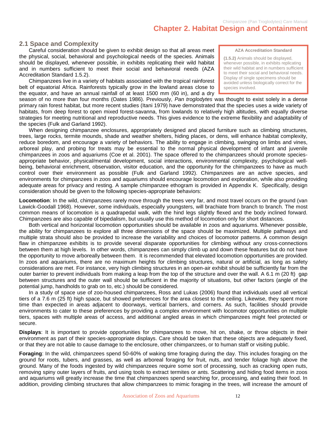# **Chapter 2. Habitat Design and Containment**

# <span id="page-11-1"></span><span id="page-11-0"></span>**2.1 Space and Complexity**

Careful consideration should be given to exhibit design so that all areas meet the physical, social, behavioral and psychological needs of the species. Animals should be displayed, whenever possible, in exhibits replicating their wild habitat and in numbers sufficient to meet their social and behavioral needs (AZA Accreditation Standard 1.5.2).

Chimpanzees live in a variety of habitats associated with the tropical rainforest belt of equatorial Africa. Rainforests typically grow in the lowland areas close to the equator, and have an annual rainfall of at least 1500 mm (60 in), and a dry

season of no more than four months (Oates 1986). Previously, *Pan troglodytes* was thought to exist solely in a dense primary rain forest habitat, but more recent studies (Itani 1979) have demonstrated that the species uses a wide variety of habitats, from deep forest to open mixed forest-savanna, from lowlands to relatively high altitudes, with equally diverse strategies for meeting nutritional and reproductive needs. This gives evidence to the extreme flexibility and adaptability of the species (Fulk and Garland 1992).

When designing chimpanzee enclosures, appropriately designed and placed furniture such as climbing structures, trees, large rocks, termite mounds, shade and weather shelters, hiding places, or dens, will enhance habitat complexity, reduce boredom, and encourage a variety of behaviors. The ability to engage in climbing, swinging on limbs and vines, arboreal play, and probing for treats may be essential to the normal physical development of infant and juvenile chimpanzees in zoos and aquariums (Coe et al. 2001). The space offered to the chimpanzees should promote speciesappropriate behavior, physical/mental development, social interactions, environmental complexity, psychological wellbeing, behavioral enrichment, observation, visitor education, and the opportunity for the chimpanzees to have as much control over their environment as possible (Fulk and Garland 1992). Chimpanzees are an active species, and environments for chimpanzees in zoos and aquariums should encourage locomotion and exploration, while also providing adequate areas for privacy and resting. A sample chimpanzee ethogram is provided in Appendix K. Specifically, design consideration should be given to the following species-appropriate behaviors:

Locomotion: In the wild, chimpanzees rarely move through the trees very far, and most travel occurs on the ground (van Lawick-Goodall 1968). However, some individuals, especially youngsters, will brachiate from branch to branch. The most common means of locomotion is a quadrapedal walk, with the hind legs slightly flexed and the body inclined forward. Chimpanzees are also capable of bipedalism, but usually use this method of locomotion only for short distances.

Both vertical and horizontal locomotion opportunities should be available in zoos and aquariums. Whenever possible, the ability for chimpanzees to explore all three dimensions of the space should be maximized. Multiple pathways and multiple strata should also be provided to increase the variability and choices of locomotor patterns. A common design flaw in chimpanzee exhibits is to provide several disparate opportunities for climbing without any cross-connections between them at high levels. In other words, chimpanzees can simply climb up and down these features but do not have the opportunity to move arboreally between them. It is recommended that elevated locomotion opportunities are provided. In zoos and aquariums, there are no maximum heights for climbing structures, natural or artificial, as long as safety considerations are met. For instance, very high climbing structures in an open-air exhibit should be sufficiently far from the outer barrier to prevent individuals from making a leap from the top of the structure and over the wall. A 6.1 m (20 ft) gap between structures and the outer wall should be sufficient in the majority of situations, but other factors (angle of the potential jump, handholds to grab on to, etc.) should be considered.

In a study of space use of zoo-housed chimpanzees, Ross and Lukas (2006) found that individuals used all vertical tiers of a 7.6 m (25 ft) high space, but showed preferences for the area closest to the ceiling. Likewise, they spent more time than expected in areas adjacent to doorways, vertical barriers, and corners. As such, facilities should provide environments to cater to these preferences by providing a complex environment with locomotor opportunities on multiple tiers, spaces with multiple areas of access, and additional angled areas in which chimpanzees might feel protected or secure.

**Displays**: It is important to provide opportunities for chimpanzees to move, hit on, shake, or throw objects in their environment as part of their species-appropriate displays. Care should be taken that these objects are adequately fixed, or that they are not able to cause damage to the enclosure, other chimpanzees, or to human staff or visiting public.

**Foraging**: In the wild, chimpanzees spend 50-60% of waking time foraging during the day. This includes foraging on the ground for roots, tubers, and grasses, as well as arboreal foraging for fruit, nuts, and tender foliage high above the ground. Many of the foods ingested by wild chimpanzees require some sort of processing, such as cracking open nuts, removing spiny outer layers of fruits, and using tools to extract termites or ants. Scattering and hiding food items in zoos and aquariums will greatly increase the time that chimpanzees spend searching for, processing, and eating their food. In addition, providing climbing structures that allow chimpanzees to mimic foraging in the trees, will increase the amount of

#### **AZA Accreditation Standard**

**(1.5.2)** Animals should be displayed, whenever possible, in exhibits replicating their wild habitat and in numbers sufficient to meet their social and behavioral needs. Display of single specimens should be avoided unless biologically correct for the species involved.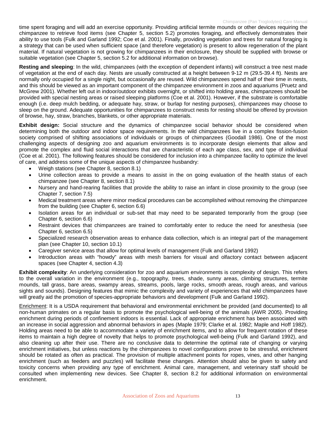time spent foraging and will add an exercise opportunity. Providing artificial termite mounds or other devices requiring the chimpanzee to retrieve food items (see Chapter 5, section 5.2) promotes foraging, and effectively demonstrates their ability to use tools (Fulk and Garland 1992; Coe et al. 2001). Finally, providing vegetation and trees for natural foraging is a strategy that can be used when sufficient space (and therefore vegetation) is present to allow regeneration of the plant material. If natural vegetation is not growing for chimpanzees in their enclosure, they should be supplied with browse or suitable vegetation (see Chapter 5, section 5.2 for additional information on browse).

**Resting and sleeping**: In the wild, chimpanzees (with the exception of dependent infants) will construct a tree nest made of vegetation at the end of each day. Nests are usually constructed at a height between 9-12 m (29.5-39.4 ft). Nests are normally only occupied for a single night, but occasionally are reused. Wild chimpanzees spend half of their time in nests, and this should be viewed as an important component of the chimpanzee environment in zoos and aquariums (Pruetz and McGrew 2001). Whether left out in indoor/outdoor exhibits overnight, or shifted into holding areas, chimpanzees should be provided with special nesting areas or raised sleeping platforms (Coe et al. 2001). However, if the substrate is comfortable enough (i.e. deep mulch bedding, or adequate hay, straw, or burlap for nesting purposes), chimpanzees may choose to sleep on the ground. Adequate opportunities for chimpanzees to construct nests for resting should be offered by provision of browse, hay, straw, branches, blankets, or other appropriate materials.

**Exhibit design:** Social structure and the dynamics of chimpanzee social behavior should be considered when determining both the outdoor and indoor space requirements. In the wild chimpanzees live in a complex fission-fusion society comprised of shifting associations of individuals or groups of chimpanzees (Goodall 1986). One of the most challenging aspects of designing zoo and aquarium environments is to incorporate design elements that allow and promote the complex and fluid social interactions that are characteristic of each age class, sex, and type of individual (Coe et al. 2001). The following features should be considered for inclusion into a chimpanzee facility to optimize the level of care, and address some of the unique aspects of chimpanzee husbandry:

- Weigh stations (see Chapter 8, section 8.1)
- Urine collection areas to provide a means to assist in the on going evaluation of the health status of each chimpanzee (see Chapter 8, section 8.1)
- Nursery and hand-rearing facilities that provide the ability to raise an infant in close proximity to the group (see Chapter 7, section 7.5)
- Medical treatment areas where minor medical procedures can be accomplished without removing the chimpanzee from the building (see Chapter 6, section 6.6)
- Isolation areas for an individual or sub-set that may need to be separated temporarily from the group (see Chapter 6, section 6.6)
- Restraint devices that chimpanzees are trained to comfortably enter to reduce the need for anesthesia (see Chapter 6, section 6.5)
- Specialized research observation areas to enhance data collection, which is an integral part of the management plan (see Chapter 10, section 10.1)
- Caregiver service areas that allow for optimal levels of management (Fulk and Garland 1992)
- Introduction areas with "howdy" areas with mesh barriers for visual and olfactory contact between adjacent spaces (see Chapter 4, section 4.3)

**Exhibit complexity**: An underlying consideration for zoo and aquarium environments is complexity of design. This refers to the overall variation in the environment (e.g., topography, trees, shade, sunny areas, climbing structures, termite mounds, tall grass, bare areas, swampy areas, streams, pools, large rocks, smooth areas, rough areas, and various sights and sounds). Designing features that mimic the complexity and variety of experiences that wild chimpanzees have will greatly aid the promotion of species-appropriate behaviors and development (Fulk and Garland 1992).

Enrichment: It is a USDA requirement that behavioral and environmental enrichment be provided (and documented) to all non-human primates on a regular basis to promote the psychological well-being of the animals (AWR 2005). Providing enrichment during periods of confinement indoors is essential. Lack of appropriate enrichment has been associated with an increase in social aggression and abnormal behaviors in apes (Maple 1979; Clarke et al. 1982; Maple and Hoff 1982). Holding areas need to be able to accommodate a variety of enrichment items, and to allow for frequent rotation of these items to maintain a high degree of novelty that helps to promote psychological well-being (Fulk and Garland 1992), and also cleaning up after their use. There are no conclusive data to determine the optimal rate of changing or varying enrichment initiatives, but unless reactions by the chimpanzees to novel configurations prove to be stressful, enrichment should be rotated as often as practical. The provision of multiple attachment points for ropes, vines, and other hanging enrichment (such as feeders and puzzles) will facilitate these changes. Attention should also be given to safety and toxicity concerns when providing any type of enrichment. Animal care, management, and veterinary staff should be consulted when implementing new devices. See Chapter 8, section 8.2 for additional information on environmental enrichment.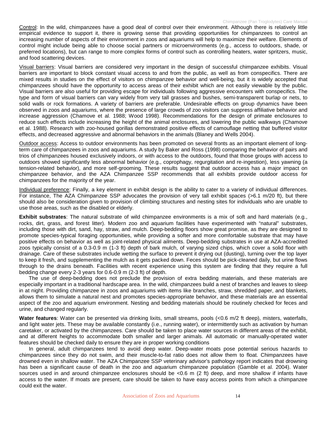Control: In the wild, chimpanzees have a good deal of control over their environment. Although there is relatively little empirical evidence to support it, there is growing sense that providing opportunities for chimpanzees to control an increasing number of aspects of their environment in zoos and aquariums will help to maximize their welfare. Elements of control might include being able to choose social partners or microenvironments (e.g., access to outdoors, shade, or preferred locations), but can range to more complex forms of control such as controlling heaters, water spritzers, music, and food scattering devices.

Visual barriers: Visual barriers are considered very important in the design of successful chimpanzee exhibits. Visual barriers are important to block constant visual access to and from the public, as well as from conspecifics. There are mixed results in studies on the effect of visitors on chimpanzee behavior and well-being, but it is widely accepted that chimpanzees should have the opportunity to access areas of their exhibit which are not easily viewable by the public. Visual barriers are also useful for providing escape for individuals following aggressive encounters with conspecifics. The type and form of visual barriers can vary widely from very tall grasses and bushes, semi-transparent burlap or nets, to solid walls or rock formations. A variety of barriers are preferable. Undesirable effects on group dynamics have been observed in zoos and aquariums, where the presence of large crowds of zoo visitors can suppress affiliative behavior and increase aggression (Chamove et al. 1988; Wood 1998). Recommendations for the design of primate enclosures to reduce such effects include increasing the height of the animal enclosures, and lowering the public walkways (Chamove et al. 1988). Research with zoo-housed gorillas demonstrated positive effects of camouflage netting that buffered visitor effects, and decreased aggressive and abnormal behaviors in the animals (Blaney and Wells 2004).

Outdoor access: Access to outdoor environments has been promoted on several fronts as an important element of longterm care of chimpanzees in zoos and aquariums. A study by Baker and Ross (1998) comparing the behavior of pairs and trios of chimpanzees housed exclusively indoors, or with access to the outdoors, found that those groups with access to outdoors showed significantly less abnormal behavior (e.g., coprophagy, regurgitation and re-ingestion), less yawning (a tension-related behavior), and more self-grooming. These results suggest that outdoor access has a major impact on chimpanzee behavior, and the AZA Chimpanzee SSP recommends that all exhibits provide outdoor access for chimpanzees for the majority of the year.

Individual preference: Finally, a key element in exhibit design is the ability to cater to a variety of individual differences. For instance, The AZA Chimpanzee SSP advocates the provision of very tall exhibit spaces (>6.1 m/20 ft), but there should also be consideration given to provision of climbing structures and nesting sites for individuals who are unable to use those areas, such as the disabled or elderly.

**Exhibit substrates**: The natural substrate of wild chimpanzee environments is a mix of soft and hard materials (e.g., rocks, dirt, grass, and forest litter). Modern zoo and aquarium facilities have experimented with "natural" substrates, including those with dirt, sand, hay, straw, and mulch. Deep-bedding floors show great promise, as they are designed to promote species-typical foraging opportunities, while providing a softer and more comfortable substrate that may have positive effects on behavior as well as joint-related physical ailments. Deep-bedding substrates in use at AZA-accredited zoos typically consist of a 0.3-0.9 m (1-3 ft) depth of bark mulch, of varying sized chips, which cover a solid floor with drainage. Care of these substrates include wetting the surface to prevent it drying out (dusting), turning over the top layer to keep it fresh, and supplementing the mulch as it gets packed down. Feces should be pick-cleaned daily, but urine flows through to the drains beneath. Facilities with recent experience using this system are finding that they require a full bedding change every 2-3 years for 0.6-0.9 m (2-3 ft) of depth.

The use of deep-bedding does not preclude the provision of extra bedding materials, and these materials are especially important in a traditional hardscape area. In the wild, chimpanzees build a nest of branches and leaves to sleep in at night. Providing chimpanzee in zoos and aquariums with items like branches, straw, shredded paper, and blankets, allows them to simulate a natural nest and promotes species-appropriate behavior, and these materials are an essential aspect of the zoo and aquarium environment. Nesting and bedding materials should be routinely checked for feces and urine, and changed regularly.

Water features: Water can be presented via drinking lixits, small streams, pools (<0.6 m/2 ft deep), misters, waterfalls, and light water jets. These may be available constantly (i.e., running water), or intermittently such as activation by human caretaker, or activated by the chimpanzees. Care should be taken to place water sources in different areas of the exhibit, and at different heights to accommodate both smaller and larger animals. All automatic or manually-operated water features should be checked daily to ensure they are in proper working conditions

In general, adult chimpanzees tend to avoid deep water. Deep-water moats pose potential serious hazards to chimpanzees since they do not swim, and their muscle-to-fat ratio does not allow them to float. Chimpanzees have drowned even in shallow water. The AZA Chimpanzee SSP veterinary advisor's pathology report indicates that drowning has been a significant cause of death in the zoo and aquarium chimpanzee population (Gamble et al. 2004). Water sources used in and around chimpanzee enclosures should be <0.6 m (2 ft) deep, and more shallow if infants have access to the water. If moats are present, care should be taken to have easy access points from which a chimpanzee could exit the water.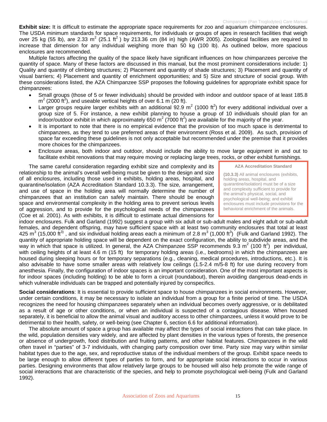**Exhibit size:** It is difficult to estimate the appropriate space requirements for zoo and aquarium chimpanzee enclosures. The USDA minimum standards for space requirements, for individuals or groups of apes in research facilities that weigh over 25 kg (55 lb), are 2.33 m<sup>2</sup> (25.1 ft<sup>2</sup>) by 213.36 cm (84 in) high (AWR 2005). Zoological facilities are required to increase that dimension for any individual weighing more than 50 kg (100 lb). As outlined below, more spacious enclosures are recommended.

Multiple factors affecting the quality of the space likely have significant influences on how chimpanzees perceive the quantity of space. Many of these factors are discussed in this manual, but the most prominent considerations include: 1) Quality and quantity of climbing structures; 2) Placement and quantity of shade structures; 3) Placement and quantity of visual barriers; 4) Placement and quantity of enrichment opportunities; and 5) Size and structure of social group. With these considerations listed, the AZA Chimpanzee SSP proposes the following guidelines for appropriate exhibit space for chimpanzees:

- Small groups (those of 5 or fewer individuals) should be provided with indoor and outdoor space of at least 185.8  $m^2$  (2000 ft<sup>2</sup>), and useable vertical heights of over 6.1 m (20 ft).
- Larger groups require larger exhibits with an additional 92.9 m<sup>2</sup> (1000 ft<sup>2</sup>) for every additional individual over a group size of 5. For instance, a new exhibit planning to house a group of 10 individuals should plan for an indoor/outdoor exhibit in which approximately 650 m<sup>2</sup> (7000 ft<sup>2</sup>) are available for the majority of the year.
- It is important to note that there is no empirical evidence that the provision of too much space is detrimental to chimpanzees, as they tend to use preferred areas of their environment (Ross et al. 2009). As such, provision of space far exceeding these guidelines is not only acceptable but recommended under the premise that it provides more choices for the chimpanzees.
- Enclosure areas, both indoor and outdoor, should include the ability to move large equipment in and out to facilitate exhibit renovations that may require moving or replacing large trees, rocks, or other exhibit furnishings.

The same careful consideration regarding exhibit size and complexity and its relationship to the animal's overall well-being must be given to the design and size of all enclosures, including those used in exhibits, holding areas, hospital, and quarantine/isolation (AZA Accreditation Standard 10.3.3). The size, arrangement, and use of space in the holding area will normally determine the number of chimpanzees that an institution can safely maintain. There should be enough space and environmental complexity in the holding area to prevent serious levels of aggression, and to provide for the psychological needs of the chimpanzees (Coe et al. 2001). As with exhibits, it is difficult to estimate actual dimensions for **AZA Accreditation Standard**

**(10.3.3)** All animal enclosures (exhibits, holding areas, hospital, and quarantine/isolation) must be of a size and complexity sufficient to provide for the animal's physical, social, and psychological well-being; and exhibit enclosures must include provisions for the behavioral enrichment of the animals.

indoor enclosures. Fulk and Garland (1992) suggest a group with six adult or sub-adult males and eight adult or sub-adult females, and dependent offspring, may have sufficient space with at least two community enclosures that total at least 425 m $^3$  (15,000 ft $^3$ ), and six individual holding areas each a minimum of 2.8 m $^3$  (1,000 ft $^3)$  (Fulk and Garland 1992). The quantity of appropriate holding space will be dependent on the exact configuration, the ability to subdivide areas, and the way in which that space is utilized. In general, the AZA Chimpanzee SSP recommends 9.3 m<sup>2</sup> (100 ft<sup>2</sup>) per individual, with ceiling heights of at least 4.6 m (15 ft) for temporary holding areas (i.e., bedrooms) in which the chimpanzees are housed during sleeping hours or for temporary separations (e.g., cleaning, medical procedures, introductions, etc.). It is also advisable to have some smaller areas with relatively low ceilings (1.5-2.4 m/5-8 ft) for use during recovery from anesthesia. Finally, the configuration of indoor spaces is an important consideration. One of the most important aspects is for indoor spaces (including holding) to be able to form a circuit (roundabout), therein avoiding dangerous dead-ends in which vulnerable individuals can be trapped and potentially injured by conspecifics.

**Social considerations**: It is essential to provide sufficient space to house chimpanzees in social environments. However, under certain conditions, it may be necessary to isolate an individual from a group for a finite period of time. The USDA recognizes the need for housing chimpanzees separately when an individual becomes overly aggressive, or is debilitated as a result of age or other conditions, or when an individual is suspected of a contagious disease. When housed separately, it is beneficial to allow the animal visual and auditory access to other chimpanzees, unless it would prove to be detrimental to their health, safety, or well-being (see Chapter 6, section 6.6 for additional information).

The absolute amount of space a group has available may affect the types of social interactions that can take place. In the wild, population densities vary widely, and are affected by plant densities in the various types of forests, the presence or absence of undergrowth, food distribution and fruiting patterns, and other habitat features. Chimpanzees in the wild often travel in "parties" of 3-7 individuals, with changing party composition over time. Party size may vary within similar habitat types due to the age, sex, and reproductive status of the individual members of the group. Exhibit space needs to be large enough to allow different types of parties to form, and for appropriate social interactions to occur in various parties. Designing environments that allow relatively large groups to be housed will also help promote the wide range of social interactions that are characteristic of the species, and help to promote psychological well-being (Fulk and Garland 1992).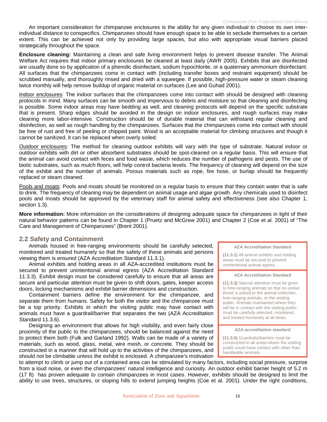An important consideration for chimpanzee enclosures is the ability for any given individual to choose its own interindividual distance to conspecifics. Chimpanzees should have enough space to be able to seclude themselves to a certain extent. This can be achieved not only by providing large spaces, but also with appropriate visual barriers placed strategically throughout the space.

**Enclosure cleaning:** Maintaining a clean and safe living environment helps to prevent disease transfer. The Animal Welfare Act requires that indoor primary enclosures be cleaned at least daily (AWR 2005). Exhibits that are disinfected are usually done so by application of a phenolic disinfectant, sodium hypochlorite, or a quaternary ammonium disinfectant. All surfaces that the chimpanzees come in contact with (including transfer boxes and restraint equipment) should be scrubbed manually, and thoroughly rinsed and dried with a squeegee. If possible, high-pressure water or steam cleaning twice monthly will help remove buildup of organic material on surfaces (Lee and Guhad 2001).

Indoor enclosures: The indoor surfaces that the chimpanzees come into contact with should be designed with cleaning protocols in mind. Many surfaces can be smooth and impervious to debris and moisture so that cleaning and disinfecting is possible. Some indoor areas may have bedding as well, and cleaning protocols will depend on the specific substrate that is present. Sharp edges should be avoided in the design on indoor enclosures, and rough surfaces may make cleaning more labor-intensive. Construction should be of durable material that can withstand regular cleaning and disinfection, as well as rough handling by the chimpanzees. Surfaces that the chimpanzees come into contact with should be free of rust and free of peeling or chipped paint. Wood is an acceptable material for climbing structures and though it cannot be sanitized, it can be replaced when overly soiled.

Outdoor enclosures: The method for cleaning outdoor exhibits will vary with the type of substrate. Natural indoor or outdoor exhibits with dirt or other absorbent substrates should be spot-cleaned on a regular basis. This will ensure that the animal can avoid contact with feces and food waste, which reduces the number of pathogens and pests. The use of biotic substrates, such as mulch floors, will help control bacteria levels. The frequency of cleaning will depend on the size of the exhibit and the number of animals. Porous materials such as rope, fire hose, or burlap should be frequently replaced or steam cleaned.

Pools and moats: Pools and moats should be monitored on a regular basis to ensure that they contain water that is safe to drink. The frequency of cleaning may be dependent on animal usage and algae growth. Any chemicals used to disinfect pools and moats should be approved by the veterinary staff for animal safety and effectiveness (see also Chapter 1, section 1.3).

**More information:** More information on the considerations of designing adequate space for chimpanzees in light of their natural behavior patterns can be found in Chapter 1 (Pruetz and McGrew 2001) and Chapter 2 (Coe et al. 2001) of "The Care and Management of Chimpanzees" (Brent 2001).

# <span id="page-15-0"></span>**2.2 Safety and Containment**

Animals housed in free-ranging environments should be carefully selected, monitored and treated humanely so that the safety of these animals and persons viewing them is ensured (AZA Accreditation Standard 11.3.1).

Animal exhibits and holding areas in all AZA-accredited institutions must be secured to prevent unintentional animal egress (AZA Accreditation Standard 11.3.3). Exhibit design must be considered carefully to ensure that all areas are secure and particular attention must be given to shift doors, gates, keeper access doors, locking mechanisms and exhibit barrier dimensions and construction.

Containment barriers define the environment for the chimpanzee, and separate them from humans. Safety for both the visitor and the chimpanzee must be a top priority. Exhibits in which the visiting public may have contact with animals must have a guardrail/barrier that separates the two (AZA Accreditation Standard 11.3.6).

Designing an environment that allows for high visibility, and even fairly close proximity of the public to the chimpanzees, should be balanced against the need to protect them both (Fulk and Garland 1992). Walls can be made of a variety of materials, such as wood, glass, metal, wire mesh, or concrete. They should be constructed in a manner that will hold up to the activities of the chimpanzees, and should not be climbable unless the exhibit is enclosed. A chimpanzee's motivation **AZA Accreditation Standard**

**(11.3.1)** All animal exhibits and holding areas must be secured to prevent unintentional animal egress.

#### **AZA Accreditation Standard**

**(11.3.3)** Special attention must be given to free-ranging animals so that no undue threat is posed to the animal collection, free-ranging animals, or the visiting public. Animals maintained where they will be in contact with the visiting public must be carefully selected, monitored, and treated humanely at all times.

#### **AZA accreditation standard**

**(11.3.6)** Guardrails/barriers must be constructed in all areas where the visiting public could have contact with other than handleable animals.

to attempt to climb or jump out of a contained area can be stimulated by many factors, including social pressure, surprise from a loud noise, or even the chimpanzees' natural intelligence and curiosity. An outdoor exhibit barrier height of 5.2 m (17 ft) has proven adequate to contain chimpanzees in most cases. However, exhibits should be designed to limit the ability to use trees, structures, or sloping hills to extend jumping heights (Coe et al. 2001). Under the right conditions,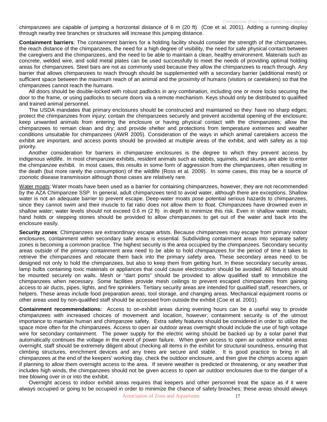chimpanzees are capable of jumping a horizontal distance of 6 m (20 ft) (Coe et al. 2001). Adding a running display through nearby tree branches or structures will increase this jumping distance.

**Containment barriers**: The containment barriers for a holding facility should consider the strength of the chimpanzees, the reach distance of the chimpanzees, the need for a high degree of visibility, the need for safe physical contact between the caregivers and the chimpanzees, and the need to be able to maintain a clean, healthy environment. Materials such as concrete, welded wire, and solid metal plates can be used successfully to meet the needs of providing optimal holding areas for chimpanzees. Steel bars are not as commonly used because they allow the chimpanzees to reach through. Any barrier that allows chimpanzees to reach through should be supplemented with a secondary barrier (additional mesh) or sufficient space between the maximum reach of an animal and the proximity of humans (visitors or caretakers) so that the chimpanzees cannot reach the humans.

All doors should be double-locked with robust padlocks in any combination, including one or more locks securing the door to the frame, or using padlocks to secure doors via a remote mechanism. Keys should only be distributed to qualified and trained animal personnel.

The USDA mandates that primary enclosures should be constructed and maintained so they: have no sharp edges; protect the chimpanzees from injury; contain the chimpanzees securely and prevent accidental opening of the enclosure; keep unwanted animals from entering the enclosure or having physical contact with the chimpanzees; allow the chimpanzees to remain clean and dry; and provide shelter and protections from temperature extremes and weather conditions unsuitable for chimpanzees (AWR 2005). Consideration of the ways in which animal caretakers access the exhibit are important, and access points should be provided at multiple areas of the exhibit, and with safety as a top priority.

Another consideration for barriers in chimpanzee enclosures is the degree to which they prevent access by indigenous wildlife. In most chimpanzee exhibits, resident animals such as rabbits, squirrels, and skunks are able to enter the chimpanzee exhibit. In most cases, this results in some form of aggression from the chimpanzees, often resulting in the death (but more rarely the consumption) of the wildlife (Ross et al. 2009). In some cases, this may be a source of zoonotic disease transmission although those cases are relatively rare.

Water moats: Water moats have been used as a barrier for containing chimpanzees, however, they are not recommended by the AZA Chimpanzee SSP. In general, adult chimpanzees tend to avoid water, although there are exceptions. Shallow water is not an adequate barrier to prevent escape. Deep-water moats pose potential serious hazards to chimpanzees, since they cannot swim and their muscle to fat ratio does not allow them to float. Chimpanzees have drowned even in shallow water; water levels should not exceed 0.6 m (2 ft) in depth to minimize this risk. Even in shallow water moats, hand holds or stepping stones should be provided to allow chimpanzees to get out of the water and back into the enclosure easily.

**Security zones**: Chimpanzees are extraordinary escape artists. Because chimpanzees may escape from primary indoor enclosures, containment within secondary safe areas is essential. Subdividing containment areas into separate safety zones is becoming a common practice. The highest security is the area occupied by the chimpanzees. Secondary security areas outside of the primary containment area need to be able to hold chimpanzees for the period of time it takes to retrieve the chimpanzees and relocate them back into the primary safety area. These secondary areas need to be designed not only to hold the chimpanzees, but also to keep them from getting hurt. In these secondary security areas, lamp bulbs containing toxic materials or appliances that could cause electrocution should be avoided. All fixtures should be mounted securely on walls. Mesh or "dart ports" should be provided to allow qualified staff to immobilize the chimpanzees when necessary. Some facilities provide mesh ceilings to prevent escaped chimpanzees from gaining access to air ducts, pipes, lights, and fire sprinklers. Tertiary security areas are intended for qualified staff, researchers, or helpers. These areas include food preparation areas, tool storage, and changing areas. Mechanical equipment rooms or other areas used by non-qualified staff should be accessed from outside the exhibit (Coe et al. 2001).

**Containment recommendations:** Access to on-exhibit areas during evening hours can be a useful way to provide chimpanzees with increased choices of movement and location, however; containment security is of the utmost importance to maintain human and chimpanzee safety. Extra safety features should be considered in order to utilize the space more often for the chimpanzees. Access to open air outdoor areas overnight should include the use of high voltage wire for secondary containment. The power supply for the electric wiring should be backed up by a solar panel that automatically continues the voltage in the event of power failure. When given access to open air outdoor exhibit areas overnight, staff should be extremely diligent about checking all items in the exhibit for structural soundness, ensuring that climbing structures, enrichment devices and any trees are secure and stable. It is good practice to bring in all chimpanzees at the end of the keepers' working day, check the outdoor enclosure, and then give the chimps access again if planning to allow them overnight access to the area. If severe weather is predicted or threatening, or any weather that includes high winds, the chimpanzees should not be given access to open air outdoor enclosures due to the danger of a tree blowing over in or into the exhibit.

Overnight access to indoor exhibit areas requires that keepers and other personnel treat the space as if it were always occupied or going to be occupied in order to minimize the chance of safety breaches; these areas should always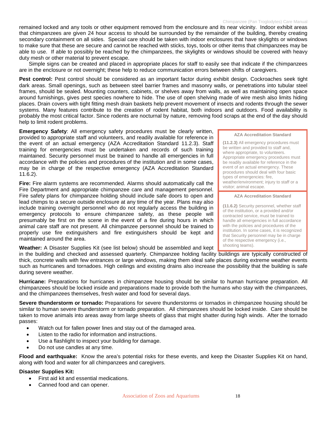remained locked and any tools or other equipment removed from the enclosure and its near vicinity. Indoor exhibit areas that chimpanzees are given 24 hour access to should be surrounded by the remainder of the building, thereby creating secondary containment on all sides. Special care should be taken with indoor enclosures that have skylights or windows to make sure that these are secure and cannot be reached with sticks, toys, tools or other items that chimpanzees may be able to use. If able to possibly be reached by the chimpanzees, the skylights or windows should be covered with heavy duty mesh or other material to prevent escape.

Simple signs can be created and placed in appropriate places for staff to easily see that indicate if the chimpanzees are in the enclosure or not overnight; these help to reduce communication errors between shifts of caregivers.

**Pest control:** Pest control should be considered as an important factor during exhibit design. Cockroaches seek tight dark areas. Small openings, such as between steel barrier frames and masonry walls, or penetrations into tubular steel frames, should be sealed. Mounting counters, cabinets, or shelves away from walls, as well as maintaining open space around furnishings, gives pest species nowhere to hide. The use of open shelving made of wire mesh also limits hiding places. Drain covers with tight fitting mesh drain baskets help prevent movement of insects and rodents through the sewer systems. Many features contribute to the creation of rodent habitat, both indoors and outdoors. Food availability is probably the most critical factor. Since rodents are nocturnal by nature, removing food scraps at the end of the day should help to limit rodent problems.

**Emergency Safety**: All emergency safety procedures must be clearly written, provided to appropriate staff and volunteers, and readily available for reference in the event of an actual emergency (AZA Accreditation Standard 11.2.3). Staff training for emergencies must be undertaken and records of such training maintained. Security personnel must be trained to handle all emergencies in full accordance with the policies and procedures of the institution and in some cases, may be in charge of the respective emergency (AZA Accreditation Standard 11.6.2).

**Fire:** Fire alarm systems are recommended. Alarms should automatically call the Fire Department and appropriate chimpanzee care and management personnel. Fire safety plans for chimpanzee holding should include safe doors to open and lead chimps to a secure outside enclosure at any time of the year. Plans may also include training overnight personnel who do not regularly access the building in emergency protocols to ensure chimpanzee safety, as these people will presumably be first on the scene in the event of a fire during hours in which animal care staff are not present. All chimpanzee personnel should be trained to properly use fire extinguishers and fire extinguishers should be kept and maintained around the area.

**Weather:** A Disaster Supplies Kit (see list below) should be assembled and kept

in the building and checked and assessed quarterly. Chimpanzee holding facility buildings are typically constructed of thick, concrete walls with few entrances or large windows, making them ideal safe places during extreme weather events such as hurricanes and tornadoes. High ceilings and existing drains also increase the possibility that the building is safe during severe weather.

**Hurricane:** Preparations for hurricanes in chimpanzee housing should be similar to human hurricane preparation. All chimpanzees should be locked inside and preparations made to provide both the humans who stay with the chimpanzees, and the chimpanzees themselves, fresh water and food for several days.

**Severe thunderstorm or tornado:** Preparations for severe thunderstorms or tornados in chimpanzee housing should be similar to human severe thunderstorm or tornado preparation. All chimpanzees should be locked inside. Care should be taken to move animals into areas away from large sheets of glass that might shatter during high winds. After the tornado passes:

- Watch out for fallen power lines and stay out of the damaged area.
- Listen to the radio for information and instructions.
- Use a flashlight to inspect your building for damage.
- Do not use candles at any time.

**Flood and earthquake:** Know the area's potential risks for these events, and keep the Disaster Supplies Kit on hand, along with food and water for all chimpanzees and caregivers.

### **Disaster Supplies Kit:**

- First aid kit and essential medications.
- Canned food and can opener.

**AZA Accreditation Standard**

**(11.2.3)** All emergency procedures must be written and provided to staff and, where appropriate, to volunteers. Appropriate emergency procedures must be readily available for reference in the event of an actual emergency. These procedures should deal with four basic types of emergencies: fire, weather/environment; injury to staff or a visitor; animal escape.

#### **AZA Accreditation Standard**

**(11.6.2)** Security personnel, whether staff of the institution, or a provided and/or contracted service, must be trained to handle all emergencies in full accordance with the policies and procedures of the institution. In some cases, it is recognized that Security personnel may be in charge of the respective emergency (i.e., shooting teams).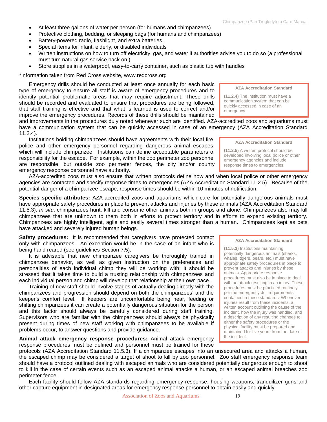- At least three gallons of water per person (for humans and chimpanzees)
- Protective clothing, bedding, or sleeping bags (for humans and chimpanzees)
- Battery-powered radio, flashlight, and extra batteries.
- Special items for infant, elderly, or disabled individuals
- Written instructions on how to turn off electricity, gas, and water if authorities advise you to do so (a professional must turn natural gas service back on.)
- Store supplies in a waterproof, easy-to-carry container, such as plastic tub with handles

#### \*Information taken from Red Cross website, [www.redcross.org](http://www.redcross.org/)

Emergency drills should be conducted at least once annually for each basic type of emergency to ensure all staff is aware of emergency procedures and to identify potential problematic areas that may require adjustment. These drills should be recorded and evaluated to ensure that procedures are being followed, that staff training is effective and that what is learned is used to correct and/or improve the emergency procedures. Records of these drills should be maintained

and improvements in the procedures duly noted whenever such are identified. AZA-accredited zoos and aquariums must have a communication system that can be quickly accessed in case of an emergency (AZA Accreditation Standard 11.2.4).

Institutions holding chimpanzees should have agreements with their local fire, police and other emergency personnel regarding dangerous animal escapes, which will include chimpanzee. Institutions can define acceptable parameters of responsibility for the escape. For example, within the zoo perimeter zoo personnel are responsible, but outside zoo perimeter fences, the city and/or county emergency response personnel have authority.

AZA-accredited zoos must also ensure that written protocols define how and when local police or other emergency agencies are contacted and specify response times to emergencies (AZA Accreditation Standard 11.2.5). Because of the potential danger of a chimpanzee escape, response times should be within 10 minutes of notification.

**Species specific attributes:** AZA-accredited zoos and aquariums which care for potentially dangerous animals must have appropriate safety procedures in place to prevent attacks and injuries by these animals (AZA Accreditation Standard 11.5.3). *In situ*, chimpanzees hunt, kill and consume other animals both in groups and alone. Chimpanzees also may kill chimpanzees that are unknown to them both in efforts to protect territory and in efforts to expand existing territory. Chimpanzees are highly intelligent, agile and easily several times stronger than a human. Chimpanzees kept as pets have attacked and severely injured human beings.

**Safety procedures:** It is recommended that caregivers have protected contact only with chimpanzees. An exception would be in the case of an infant who is being hand reared (see guidelines Section 7.5).

It is advisable that new chimpanzee caregivers be thoroughly trained in chimpanzee behavior, as well as given instruction on the preferences and personalities of each individual chimp they will be working with; it should be stressed that it takes time to build a trusting relationship with chimpanzees and each individual person and chimp will develop that relationship at their own pace.

Training of new staff should involve stages of actually dealing directly with the chimpanzees and progression should depend on both the chimpanzees' and the keeper's comfort level. If keepers are uncomfortable being near, feeding or shifting chimpanzees it can create a potentially dangerous situation for the person and this factor should always be carefully considered during staff training. Supervisors who are familiar with the chimpanzees should always be physically present during times of new staff working with chimpanzees to be available if problems occur, to answer questions and provide guidance.

# **Animal attack emergency response procedures:** Animal attack emergency response procedures must be defined and personnel must be trained for these

**AZA Accreditation Standard**

**(11.2.4)** The institution must have a communication system that can be quickly accessed in case of an emergency.

**AZA Accreditation Standard**

**(11.2.5)** A written protocol should be developed involving local police or other emergency agencies and include response times to emergencies.

#### **AZA Accreditation Standard**

**(11.5.3)** Institutions maintaining potentially dangerous animals (sharks, whales, tigers, bears, etc.) must have appropriate safety procedures in place to prevent attacks and injuries by these animals. Appropriate response procedures must also be in place to deal with an attack resulting in an injury. These procedures must be practiced routinely per the emergency drill requirements contained in these standards. Whenever injuries result from these incidents, a written account outlining the cause of the incident, how the injury was handled, and a description of any resulting changes to either the safety procedures or the physical facility must be prepared and maintained for five years from the date of the incident.

protocols (AZA Accreditation Standard 11.5.3). If a chimpanzee escapes into an unsecured area and attacks a human, the escaped chimp may be considered a target of shoot to kill by zoo personnel. Zoo staff emergency response team should have a protocol outlined dealing with escaped animals who are considered potentially dangerous enough to shoot to kill in the case of certain events such as an escaped animal attacks a human, or an escaped animal breaches zoo perimeter fence.

Each facility should follow AZA standards regarding emergency response, housing weapons, tranquilizer guns and other capture equipment in designated areas for emergency response personnel to obtain easily and quickly.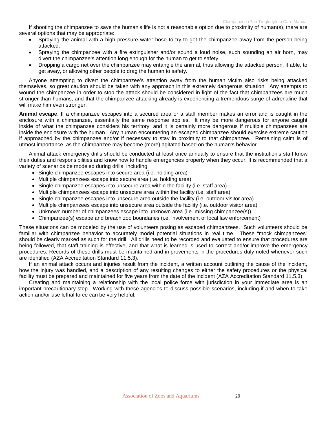If shooting the chimpanzee to save the human's life is not a reasonable option due to proximity of human(s), there are several options that may be appropriate:

- Spraying the animal with a high pressure water hose to try to get the chimpanzee away from the person being attacked.
- Spraying the chimpanzee with a fire extinguisher and/or sound a loud noise, such sounding an air horn, may divert the chimpanzee's attention long enough for the human to get to safety.
- Dropping a cargo net over the chimpanzee may entangle the animal, thus allowing the attacked person, if able, to get away, or allowing other people to drag the human to safety.

Anyone attempting to divert the chimpanzee's attention away from the human victim also risks being attacked themselves, so great caution should be taken with any approach in this extremely dangerous situation. Any attempts to wound the chimpanzee in order to stop the attack should be considered in light of the fact that chimpanzees are much stronger than humans, and that the chimpanzee attacking already is experiencing a tremendous surge of adrenaline that will make him even stronger.

**Animal escape**: If a chimpanzee escapes into a secured area or a staff member makes an error and is caught in the enclosure with a chimpanzee, essentially the same response applies. It may be more dangerous for anyone caught inside of what the chimpanzee considers his territory, and it is certainly more dangerous if multiple chimpanzees are inside the enclosure with the human. Any human encountering an escaped chimpanzee should exercise extreme caution if approached by the chimpanzee and/or if necessary to stay in proximity to that chimpanzee. Remaining calm is of utmost importance, as the chimpanzee may become (more) agitated based on the human's behavior.

Animal attack emergency drills should be conducted at least once annually to ensure that the institution's staff know their duties and responsibilities and know how to handle emergencies properly when they occur. It is recommended that a variety of scenarios be modeled during drills, including:

- Single chimpanzee escapes into secure area (i.e. holding area)
- Multiple chimpanzees escape into secure area (i.e. holding area)
- Single chimpanzee escapes into unsecure area within the facility (i.e. staff area)
- Multiple chimpanzees escape into unsecure area within the facility (i.e. staff area)
- Single chimpanzee escapes into unsecure area outside the facility (i.e. outdoor visitor area)
- Multiple chimpanzees escape into unsecure area outside the facility (i.e. outdoor visitor area)
- Unknown number of chimpanzees escape into unknown area (i.e. missing chimpanzee(s))
- Chimpanzee(s) escape and breach zoo boundaries (i.e. involvement of local law enforcement)

These situations can be modeled by the use of volunteers posing as escaped chimpanzees. Such volunteers should be familiar with chimpanzee behavior to accurately model potential situations in real time. These "mock chimpanzees" should be clearly marked as such for the drill. All drills need to be recorded and evaluated to ensure that procedures are being followed, that staff training is effective, and that what is learned is used to correct and/or improve the emergency procedures. Records of these drills must be maintained and improvements in the procedures duly noted whenever such are identified (AZA Accreditation Standard 11.5.3).

If an animal attack occurs and injuries result from the incident, a written account outlining the cause of the incident, how the injury was handled, and a description of any resulting changes to either the safety procedures or the physical facility must be prepared and maintained for five years from the date of the incident (AZA Accreditation Standard 11.5.3).

Creating and maintaining a relationship with the local police force with jurisdiction in your immediate area is an important precautionary step. Working with these agencies to discuss possible scenarios, including if and when to take action and/or use lethal force can be very helpful.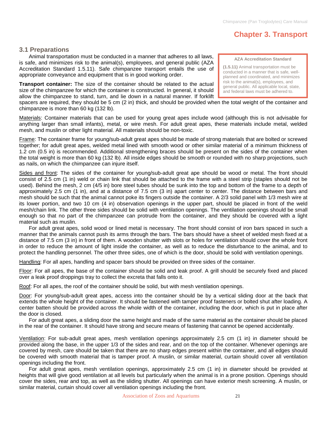# **Chapter 3. Transport**

# <span id="page-20-1"></span><span id="page-20-0"></span>**3.1 Preparations**

Animal transportation must be conducted in a manner that adheres to all laws, is safe, and minimizes risk to the animal(s), employees, and general public (AZA Accreditation Standard 1.5.11). Safe chimpanzee transport entails the use of appropriate conveyance and equipment that is in good working order.

**Transport container:** The size of the container should be related to the actual size of the chimpanzee for which the container is constructed. In general, it should allow the chimpanzee to stand, turn, and lie down in a natural manner. If forklift spacers are required, they should be 5 cm (2 in) thick, and should be provided when the total weight of the container and

chimpanzee is more than 60 kg (132 lb).

Materials: Container materials that can be used for young great apes include wood (although this is not advisable for anything larger than small infants), metal, or wire mesh. For adult great apes, these materials include metal, welded mesh, and muslin or other light material. All materials should be non-toxic.

Frame: The container frame for young/sub-adult great apes should be made of strong materials that are bolted or screwed together; for adult great apes, welded metal lined with smooth wood or other similar material of a minimum thickness of 1.2 cm (0.5 in) is recommended. Additional strengthening braces should be present on the sides of the container when the total weight is more than 60 kg (132 lb). All inside edges should be smooth or rounded with no sharp projections, such as nails, on which the chimpanzee can injure itself.

Sides and front: The sides of the container for young/sub-adult great ape should be wood or metal. The front should consist of 2.5 cm (1 in) weld or chain link that should be attached to the frame with a steel strip (staples should not be used). Behind the mesh, 2 cm (4/5 in) bore steel tubes should be sunk into the top and bottom of the frame to a depth of approximately 2.5 cm (1 in), and at a distance of 7.5 cm (3 in) apart center to center. The distance between bars and mesh should be such that the animal cannot poke its fingers outside the container. A 2/3 solid panel with 1/3 mesh wire at its lower portion, and two 10 cm (4 in) observation openings in the upper part, should be placed in front of the weld mesh/chain link. The other three sides should be solid with ventilation openings. The ventilation openings should be small enough so that no part of the chimpanzee can protrude from the container, and they should be covered with a light material such as muslin.

For adult great apes, solid wood or lined metal is necessary. The front should consist of iron bars spaced in such a manner that the animals cannot push its arms through the bars. The bars should have a sheet of welded mesh fixed at a distance of 7.5 cm (3 in) in front of them. A wooden shutter with slots or holes for ventilation should cover the whole front in order to reduce the amount of light inside the container, as well as to reduce the disturbance to the animal, and to protect the handling personnel. The other three sides, one of which is the door, should be solid with ventilation openings.

Handling: For all apes, handling and spacer bars should be provided on three sides of the container.

Floor: For all apes, the base of the container should be solid and leak proof. A grill should be securely fixed and placed over a leak proof droppings tray to collect the excreta that falls onto it.

Roof: For all apes, the roof of the container should be solid, but with mesh ventilation openings.

Door: For young/sub-adult great apes, access into the container should be by a vertical sliding door at the back that extends the whole height of the container. It should be fastened with tamper proof fasteners or bolted shut after loading. A center batten should be provided across the whole width of the container, including the door, which is put in place after the door is closed.

For adult great apes, a sliding door the same height and made of the same material as the container should be placed in the rear of the container. It should have strong and secure means of fastening that cannot be opened accidentally.

Ventilation: For sub-adult great apes, mesh ventilation openings approximately 2.5 cm (1 in) in diameter should be provided along the base, in the upper 1/3 of the sides and rear, and on the top of the container. Whenever openings are covered by mesh, care should be taken that there are no sharp edges present within the container, and all edges should be covered with smooth material that is tamper proof. A muslin, or similar material, curtain should cover all ventilation openings including the front.

For adult great apes, mesh ventilation openings, approximately 2.5 cm (1 in) in diameter should be provided at heights that will give good ventilation at all levels but particularly when the animal is in a prone position. Openings should cover the sides, rear and top, as well as the sliding shutter. All openings can have exterior mesh screening. A muslin, or similar material, curtain should cover all ventilation openings including the front.

#### **AZA Accreditation Standard**

**(1.5.11)** Animal transportation must be conducted in a manner that is safe, wellplanned and coordinated, and minimizes risk to the animal(s), employees, and general public. All applicable local, state, and federal laws must be adhered to.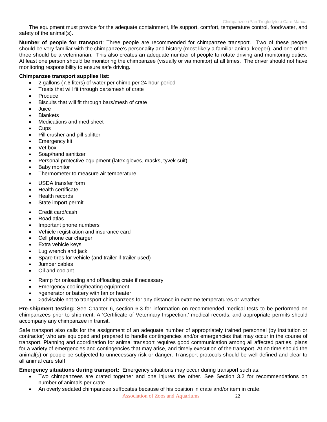The equipment must provide for the adequate containment, life support, comfort, temperature control, food/water, and safety of the animal(s).

**Number of people for transport**: Three people are recommended for chimpanzee transport. Two of these people should be very familiar with the chimpanzee's personality and history (most likely a familiar animal keeper), and one of the three should be a veterinarian. This also creates an adequate number of people to rotate driving and monitoring duties. At least one person should be monitoring the chimpanzee (visually or via monitor) at all times. The driver should not have monitoring responsibility to ensure safe driving.

# **Chimpanzee transport supplies list:**

- 2 gallons (7.6 liters) of water per chimp per 24 hour period
- Treats that will fit through bars/mesh of crate
- Produce
- Biscuits that will fit through bars/mesh of crate
- Juice
- **Blankets**
- Medications and med sheet
- Cups
- Pill crusher and pill splitter
- Emergency kit
- Vet box
- Soap/hand sanitizer
- Personal protective equipment (latex gloves, masks, tyvek suit)
- Baby monitor
- Thermometer to measure air temperature
- USDA transfer form
- Health certificate
- Health records
- State import permit
- Credit card/cash
- Road atlas
- Important phone numbers
- Vehicle registration and insurance card
- Cell phone car charger
- Extra vehicle keys
- Lug wrench and jack
- Spare tires for vehicle (and trailer if trailer used)
- Jumper cables
- Oil and coolant
- Ramp for onloading and offloading crate if necessary
- Emergency cooling/heating equipment
- >generator or battery with fan or heater
- >advisable not to transport chimpanzees for any distance in extreme temperatures or weather

**Pre-shipment testing:** See Chapter 6, section 6.3 for information on recommended medical tests to be performed on chimpanzees prior to shipment. A 'Certificate of Veterinary Inspection,' medical records, and appropriate permits should accompany any chimpanzee in transit.

Safe transport also calls for the assignment of an adequate number of appropriately trained personnel (by institution or contractor) who are equipped and prepared to handle contingencies and/or emergencies that may occur in the course of transport. Planning and coordination for animal transport requires good communication among all affected parties, plans for a variety of emergencies and contingencies that may arise, and timely execution of the transport. At no time should the animal(s) or people be subjected to unnecessary risk or danger. Transport protocols should be well defined and clear to all animal care staff.

**Emergency situations during transport:** Emergency situations may occur during transport such as:

- Two chimpanzees are crated together and one injures the other. See Section 3.2 for recommendations on number of animals per crate
- An overly sedated chimpanzee suffocates because of his position in crate and/or item in crate.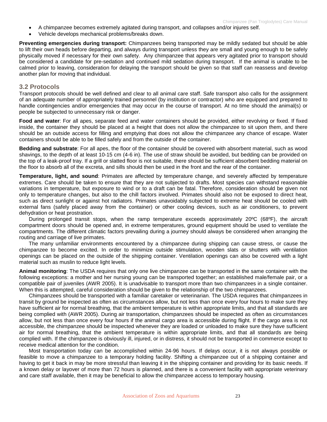- A chimpanzee becomes extremely agitated during transport, and collapses and/or injures self.
- Vehicle develops mechanical problems/breaks down.

**Preventing emergencies during transport:** Chimpanzees being transported may be mildly sedated but should be able to lift their own heads before departing, and always during transport unless they are small and young enough to be safely physically moved if necessary for their own safety. Any chimpanzee that appears very agitated prior to transport should be considered a candidate for pre-sedation and continued mild sedation during transport. If the animal is unable to be calmed prior to leaving, consideration for delaying the transport should be given so that staff can reassess and develop another plan for moving that individual.

# <span id="page-22-0"></span>**3.2 Protocols**

Transport protocols should be well defined and clear to all animal care staff. Safe transport also calls for the assignment of an adequate number of appropriately trained personnel (by institution or contractor) who are equipped and prepared to handle contingencies and/or emergencies that may occur in the course of transport. At no time should the animal(s) or people be subjected to unnecessary risk or danger.

**Food and water**: For all apes, separate feed and water containers should be provided, either revolving or fixed. If fixed inside, the container they should be placed at a height that does not allow the chimpanzee to sit upon them, and there should be an outside access for filling and emptying that does not allow the chimpanzee any chance of escape. Water containers should be able to be filled safely and from the outside of the container.

**Bedding and substrate**: For all apes, the floor of the container should be covered with absorbent material, such as wood shavings, to the depth of at least 10-15 cm (4-6 in). The use of straw should be avoided, but bedding can be provided on the top of a leak-proof tray. If a grill or slatted floor is not suitable, there should be sufficient absorbent bedding material on the floor to absorb all of the excreta, and sills should then be used in the front and the rear of the container.

**Temperature, light, and sound**: Primates are affected by temperature change, and severely affected by temperature extremes. Care should be taken to ensure that they are not subjected to drafts. Most species can withstand reasonable variations in temperature, but exposure to wind or to a draft can be fatal. Therefore, consideration should be given not only to temperature changes, but also to the chill factors involved. Primates should also not be exposed to direct heat, such as direct sunlight or against hot radiators. Primates unavoidably subjected to extreme heat should be cooled with external fans (safely placed away from the container) or other cooling devices, such as air conditioners, to prevent dehydration or heat prostration.

During prolonged transit stops, when the ramp temperature exceeds approximately 20ºC (68ºF), the aircraft compartment doors should be opened and, in extreme temperatures, ground equipment should be used to ventilate the compartments. The different climatic factors prevailing during a journey should always be considered when arranging the routing and carriage of live primates.

The many unfamiliar environments encountered by a chimpanzee during shipping can cause stress, or cause the chimpanzee to become excited. In order to minimize outside stimulation, wooden slats or shutters with ventilation openings can be placed on the outside of the shipping container. Ventilation openings can also be covered with a light material such as muslin to reduce light levels.

**Animal monitoring**: The USDA requires that only one live chimpanzee can be transported in the same container with the following exceptions: a mother and her nursing young can be transported together; an established male/female pair, or a compatible pair of juveniles (AWR 2005). It is unadvisable to transport more than two chimpanzees in a single container. When this is attempted, careful consideration should be given to the relationship of the two chimpanzees.

Chimpanzees should be transported with a familiar caretaker or veterinarian. The USDA requires that chimpanzees in transit by ground be inspected as often as circumstances allow, but not less than once every four hours to make sure they have sufficient air for normal breathing, that the ambient temperature is within appropriate limits, and that all standards are being complied with (AWR 2005). During air transportation, chimpanzees should be inspected as often as circumstances allow, but not less than once every four hours if the animal cargo area is accessible during flight. If the cargo area is not accessible, the chimpanzee should be inspected whenever they are loaded or unloaded to make sure they have sufficient air for normal breathing, that the ambient temperature is within appropriate limits, and that all standards are being complied with. If the chimpanzee is obviously ill, injured, or in distress, it should not be transported in commerce except to receive medical attention for the condition.

Most transportation today can be accomplished within 24-96 hours. If delays occur, it is not always possible or feasible to move a chimpanzee to a temporary holding facility. Shifting a chimpanzee out of a shipping container and having to get it back in may be more stressful than leaving it in the shipping container and providing for its basic needs. If a known delay or layover of more than 72 hours is planned, and there is a convenient facility with appropriate veterinary and care staff available, then it may be beneficial to allow the chimpanzee access to temporary housing.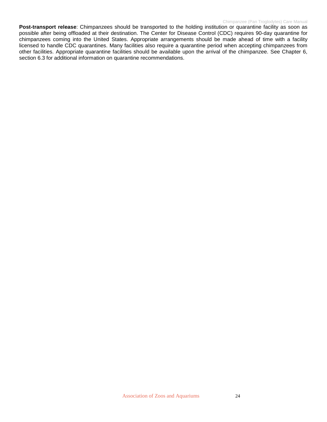#### Chimpanzee (Pan Troglodytes) Care Manual

Post-transport release: Chimpanzees should be transported to the holding institution or quarantine facility as soon as possible after being offloaded at their destination. The Center for Disease Control (CDC) requires 90-day quarantine for chimpanzees coming into the United States. Appropriate arrangements should be made ahead of time with a facility licensed to handle CDC quarantines. Many facilities also require a quarantine period when accepting chimpanzees from other facilities. Appropriate quarantine facilities should be available upon the arrival of the chimpanzee. See Chapter 6, section 6.3 for additional information on quarantine recommendations.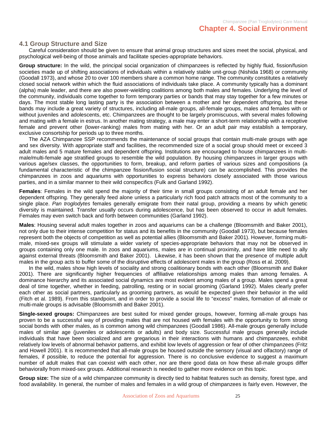# <span id="page-24-1"></span><span id="page-24-0"></span>**4.1 Group Structure and Size**

Careful consideration should be given to ensure that animal group structures and sizes meet the social, physical, and psychological well-being of those animals and facilitate species-appropriate behaviors.

**Group structure:** In the wild, the principal social organization of chimpanzees is reflected by highly fluid, fission/fusion societies made up of shifting associations of individuals within a relatively stable unit-group (Nishida 1968) or community (Goodall 1973), and whose 20 to over 100 members share a common home range. The community constitutes a relatively closed social network within which the fluid associations of individuals take place. A community typically has a dominant (alpha) male leader, and there are also power-wielding coalitions among both males and females. Underlying the level of the community, individuals come together to form temporary parties or bands that may stay together for a few minutes or days. The most stable long lasting party is the association between a mother and her dependent offspring, but these bands may include a great variety of structures, including all-male groups, all-female groups, males and females with or without juveniles and adolescents, etc. Chimpanzees are thought to be largely promiscuous, with several males following and mating with a female in estrus. In another mating strategy, a male may enter a short-term relationship with a receptive female and prevent other (lower-ranking) males from mating with her. Or an adult pair may establish a temporary, exclusive consortship for periods up to three months.

The AZA Chimpanzee SSP recommends the maintenance of social groups that contain multi-male groups with age and sex diversity. With appropriate staff and facilities, the recommended size of a social group should meet or exceed 3 adult males and 5 mature females and dependent offspring. Institutions are encouraged to house chimpanzees in multimale/multi-female age stratified groups to resemble the wild population. By housing chimpanzees in larger groups with various age/sex classes, the opportunities to form, breakup, and reform parties of various sizes and compositions (a fundamental characteristic of the chimpanzee fission/fusion social structure) can be accomplished. This provides the chimpanzees in zoos and aquariums with opportunities to express behaviors closely associated with those various parties, and in a similar manner to their wild conspecifics (Fulk and Garland 1992).

**Females**: Females in the wild spend the majority of their time in small groups consisting of an adult female and her dependent offspring. They generally feed alone unless a particularly rich food patch attracts most of the community to a single place. *Pan troglodytes* females generally emigrate from their natal group, providing a means by which genetic diversity is maintained. Transfer usually occurs during adolescence, but has been observed to occur in adult females. Females may even switch back and forth between communities (Garland 1992).

**Males**: Housing several adult males together in zoos and aquariums can be a challenge (Bloomsmith and Baker 2001), not only due to their intense competition for status and its benefits in the community (Goodall 1973), but because females represent both the objects of competition as well as potential allies (Bloomsmith and Baker 2001). However, forming multimale, mixed-sex groups will stimulate a wider variety of species-appropriate behaviors that may not be observed in groups containing only one male. In zoos and aquariums, males are in continual proximity, and have little need to ally against external threats (Bloomsmith and Baker 2001). Likewise, it has been shown that the presence of multiple adult males in the group acts to buffer some of the disruptive effects of adolescent males in the group (Ross et al. 2009).

In the wild, males show high levels of sociality and strong coalitionary bonds with each other (Bloomsmith and Baker 2001). There are significantly higher frequencies of affiliative relationships among males than among females. A dominance hierarchy and its associated social dynamics are most evident among males of a group. Males spend a great deal of time together, whether in feeding, patrolling, resting or in social grooming (Garland 1992). Males clearly prefer each other as social partners, particularly as grooming partners, as would be expected given their behavior in the wild (Fitch et al. 1989). From this standpoint, and in order to provide a social life to "excess" males, formation of all-male or multi-male groups is advisable (Bloomsmith and Baker 2001).

**Single-sexed groups:** Chimpanzees are best suited for mixed gender groups, however, forming all-male groups has proven to be a successful way of providing males that are not housed with females with the opportunity to form strong social bonds with other males, as is common among wild chimpanzees (Goodall 1986). All-male groups generally include males of similar age (juveniles or adolescents or adults) and body size. Successful male groups generally include individuals that have been socialized and are gregarious in their interactions with humans and chimpanzees, exhibit relatively low levels of abnormal behavior patterns, and exhibit low levels of aggression or fear of other chimpanzees (Fritz and Howell 2001). It is recommended that all-male groups be housed outside the sensory (visual and olfactory) range of females, if possible, to reduce the potential for aggression. There is no conclusive evidence to suggest a maximum number of adult males that can coexist with each other, nor are there good data on how these all-male groups differ behaviorally from mixed-sex groups. Additional research is needed to gather more evidence on this topic.

**Group size:** The size of a wild chimpanzee community is directly tied to habitat features such as density, forest type, and food availability. In general, the number of males and females in a wild group of chimpanzees is fairly even. However, the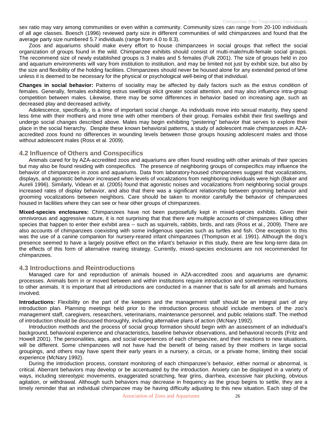sex ratio may vary among communities or even within a community. Community sizes can range from 20-100 individuals of all age classes. Boesch (1996) reviewed party size in different communities of wild chimpanzees and found that the average party size numbered 5.7 individuals (range from 4.0 to 8.3).

Zoos and aquariums should make every effort to house chimpanzees in social groups that reflect the social organization of groups found in the wild. Chimpanzee exhibits should consist of multi-male/multi-female social groups. The recommend size of newly established groups is 3 males and 5 females (Fulk 2001). The size of groups held in zoo and aquarium environments will vary from institution to institution, and may be limited not just by exhibit size, but also by the size and flexibility of the holding facilities. Chimpanzees should never be housed alone for any extended period of time unless it is deemed to be necessary for the physical or psychological well-being of that individual.

**Changes in social behavior:** Patterns of sociality may be affected by daily factors such as the estrus condition of females. Generally, females exhibiting estrus swellings elicit greater social attention, and may also influence intra-group competition between males. Likewise, there may be some differences in behavior based on increasing age, such as decreased play and decreased activity.

Adolescence, specifically, is a time of important social change. As individuals move into sexual maturity, they spend less time with their mothers and more time with other members of their group. Females exhibit their first swellings and undergo social changes described above. Males may begin exhibiting "pestering" behavior that serves to explore their place in the social hierarchy. Despite these known behavioral patterns, a study of adolescent male chimpanzees in AZAaccredited zoos found no differences in wounding levels between those groups housing adolescent males and those without adolescent males (Ross et al. 2009).

# <span id="page-25-0"></span>**4.2 Influence of Others and Conspecifics**

Animals cared for by AZA-accredited zoos and aquariums are often found residing with other animals of their species but may also be found residing with conspecifics. The presence of neighboring groups of conspecifics may influence the behavior of chimpanzees in zoos and aquariums. Data from laboratory-housed chimpanzees suggest that vocalizations, displays, and agonistic behavior increased when levels of vocalizations from neighboring individuals were high (Baker and Aureli 1996). Similarly, Videan et al. (2005) found that agonistic noises and vocalizations from neighboring social groups increased rates of display behavior, and also that there was a significant relationship between grooming behavior and grooming vocalizations between neighbors. Care should be taken to monitor carefully the behavior of chimpanzees housed in facilities where they can see or hear other groups of chimpanzees.

**Mixed-species enclosures:** Chimpanzees have not been purposefully kept in mixed-species exhibits. Given their omnivorous and aggressive nature, it is not surprising that that there are multiple accounts of chimpanzees killing other species that happen to enter their exhibit area -- such as squirrels, rabbits, birds, and rats (Ross et al., 2009). There are also accounts of chimpanzees coexisting with some indigenous species such as turtles and fish. One exception to this was the use of a canine companion for nursery-reared infant chimpanzees (Thompson et al. 1991). Although the dog's presence seemed to have a largely positive effect on the infant's behavior in this study, there are few long-term data on the effects of this form of alternative rearing strategy. Currently, mixed-species enclosures are not recommended for chimpanzees.

# <span id="page-25-1"></span>**4.3 Introductions and Reintroductions**

Managed care for and reproduction of animals housed in AZA-accredited zoos and aquariums are dynamic processes. Animals born in or moved between and within institutions require introduction and sometimes reintroductions to other animals. It is important that all introductions are conducted in a manner that is safe for all animals and humans involved.

**Introductions:** Flexibility on the part of the keepers and the management staff should be an integral part of any introduction plan. Planning meetings held prior to the introduction process should include members of the zoo's management staff, caregivers, researchers, veterinarians, maintenance personnel, and public relations staff. The method of introduction should be discussed thoroughly, including alternative plans of action (McNary 1992).

Introduction methods and the process of social group formation should begin with an assessment of an individual's background, behavioral experience and characteristics, baseline behavior observations, and behavioral records (Fritz and Howell 2001). The personalities, ages, and social experiences of each chimpanzee, and their reactions to new situations, will be different. Some chimpanzees will not have had the benefit of being raised by their mothers in large social groupings, and others may have spent their early years in a nursery, a circus, or a private home, limiting their social experience (McNary 1992).

During the introduction process, constant monitoring of each chimpanzee's behavior, either normal or abnormal, is critical. Aberrant behaviors may develop or be accentuated by the introduction. Anxiety can be displayed in a variety of ways, including stereotypic movements, exaggerated scratching, fear grins, diarrhea, excessive hair plucking, obvious agitation, or withdrawal. Although such behaviors may decrease in frequency as the group begins to settle, they are a timely reminder that an individual chimpanzee may be having difficulty adjusting to this new situation. Each step of the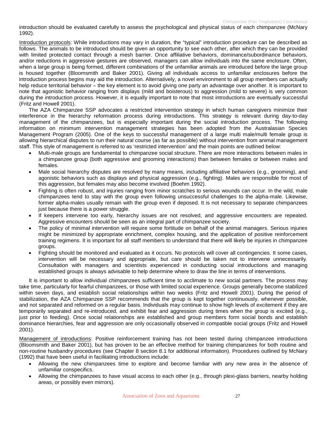introduction should be evaluated carefully to assess the psychological and physical status of each chimpanzee (McNary 1992).

Introduction protocols: While introductions may vary in duration, the "typical" introduction procedure can be described as follows. The animals to be introduced should be given an opportunity to see each other, after which they can be provided with limited protected contact through a mesh barrier. Once affiliative behaviors, dominance/subordinance behaviors, and/or reductions in aggressive gestures are observed, managers can allow individuals into the same enclosure. Often, when a large group is being formed, different combinations of the unfamiliar animals are introduced before the large group is housed together (Bloomsmith and Baker 2001). Giving all individuals access to unfamiliar enclosures before the introduction process begins may aid the introduction. Alternatively, a novel environment to all group members can actually help reduce territorial behavior – the key element is to avoid giving one party an advantage over another. It is important to note that agonistic behavior ranging from displays (mild and boisterous) to aggression (mild to severe) is very common during the introduction process. However, it is equally important to note that most introductions are eventually successful (Fritz and Howell 2001).

The AZA Chimpanzee SSP advocates a restricted intervention strategy in which human caregivers minimize their interference in the hierarchy reformation process during introductions. This strategy is relevant during day-to-day management of the chimpanzees, but is especially important during the social introduction process. The following information on minimum intervention management strategies has been adopted from the Australasian Species Management Program (2005). One of the keys to successful management of a large multi male/multi female group is allowing hierarchical disputes to run their natural course (as far as possible) without intervention from animal management staff. This style of management is referred to as 'restricted intervention' and the main points are outlined below:

- Multi-male groups are fundamental to chimpanzee social structure. There are more interactions between males in a chimpanzee group (both aggressive and grooming interactions) than between females or between males and females.
- Male social hierarchy disputes are resolved by many means, including affiliative behaviors (e.g., grooming), and agonistic behaviors such as displays and physical aggression (e.g., fighting). Males are responsible for most of this aggression, but females may also become involved (Boehm 1992).
- Fighting is often robust, and injuries ranging from minor scratches to serious wounds can occur. In the wild, male chimpanzees tend to stay with the group even following unsuccessful challenges to the alpha-male. Likewise, former alpha-males usually remain with the group even if deposed. It is not necessary to separate chimpanzees just because there is a power struggle.
- If keepers intervene too early, hierarchy issues are not resolved, and aggressive encounters are repeated. Aggressive encounters should be seen as an integral part of chimpanzee society.
- The policy of minimal intervention will require some fortitude on behalf of the animal managers. Serious injuries might be minimized by appropriate enrichment, complex housing, and the application of positive reinforcement training regimens. It is important for all staff members to understand that there will likely be injuries in chimpanzee groups.
- Fighting should be monitored and evaluated as it occurs. No protocols will cover all contingencies. It some cases, intervention will be necessary and appropriate, but care should be taken not to intervene unnecessarily. Consultation with managers and scientists experienced in conducting social introductions and managing established groups is always advisable to help determine where to draw the line in terms of interventions.

It is important to allow individual chimpanzees sufficient time to acclimate to new social partners. The process may take time, particularly for fearful chimpanzees, or those with limited social experience. Groups generally become stabilized within seven days, and establish social relationships within two weeks (Fritz and Howell 2001). During the period of stabilization, the AZA Chimpanzee SSP recommends that the group is kept together continuously, whenever possible, and not separated and reformed on a regular basis. Individuals may continue to show high levels of excitement if they are temporarily separated and re-introduced, and exhibit fear and aggression during times when the group is excited (e.g., just prior to feeding). Once social relationships are established and group members form social bonds and establish dominance hierarchies, fear and aggression are only occasionally observed in compatible social groups (Fritz and Howell 2001).

Management of introductions: Positive reinforcement training has not been tested during chimpanzee introductions (Bloomsmith and Baker 2001), but has proven to be an effective method for training chimpanzees for both routine and non-routine husbandry procedures (see Chapter 8 section 8.1 for additional information). Procedures outlined by McNary (1992) that have been useful in facilitating introductions include:

- Allowing the new chimpanzees time to explore and become familiar with any new area in the absence of unfamiliar conspecifics.
- Allowing the chimpanzees to have visual access to each other (e.g., through plexi-glass barriers, nearby holding areas, or possibly even mirrors).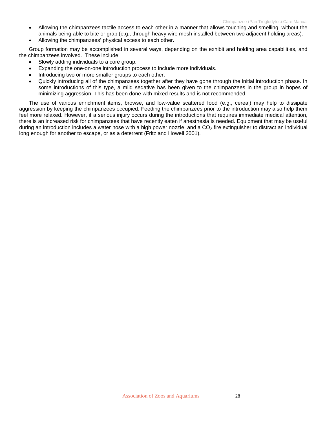- Allowing the chimpanzees tactile access to each other in a manner that allows touching and smelling, without the animals being able to bite or grab (e.g., through heavy wire mesh installed between two adjacent holding areas).
- Allowing the chimpanzees' physical access to each other.

Group formation may be accomplished in several ways, depending on the exhibit and holding area capabilities, and the chimpanzees involved. These include:

- Slowly adding individuals to a core group.
- Expanding the one-on-one introduction process to include more individuals.
- Introducing two or more smaller groups to each other.
- Quickly introducing all of the chimpanzees together after they have gone through the initial introduction phase. In some introductions of this type, a mild sedative has been given to the chimpanzees in the group in hopes of minimizing aggression. This has been done with mixed results and is not recommended.

The use of various enrichment items, browse, and low-value scattered food (e.g., cereal) may help to dissipate aggression by keeping the chimpanzees occupied. Feeding the chimpanzees prior to the introduction may also help them feel more relaxed. However, if a serious injury occurs during the introductions that requires immediate medical attention, there is an increased risk for chimpanzees that have recently eaten if anesthesia is needed. Equipment that may be useful during an introduction includes a water hose with a high power nozzle, and a  $CO<sub>2</sub>$  fire extinguisher to distract an individual long enough for another to escape, or as a deterrent (Fritz and Howell 2001).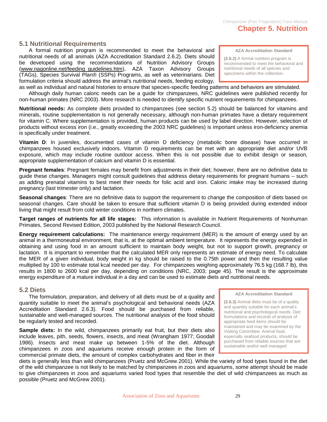# <span id="page-28-1"></span><span id="page-28-0"></span>**5.1 Nutritional Requirements**

A formal nutrition program is recommended to meet the behavioral and nutritional needs of all animals (AZA Accreditation Standard 2.6.2). Diets should be developed using the recommendations of Nutrition Advisory Groups [\(www.nagonline.net/feeding\\_guidelines.htm\)](http://www.nagonline.net/feeding_guidelines.htm), AZA Taxon Advisory Groups (TAGs), Species Survival Plan® (SSPs) Programs, as well as veterinarians. Diet formulation criteria should address the animal's nutritional needs, feeding ecology,

**AZA Accreditation Standard**

**(2.6.2)** A formal nutrition program is recommended to meet the behavioral and nutritional needs of all species and specimens within the collection.

as well as individual and natural histories to ensure that species-specific feeding patterns and behaviors are stimulated. Although daily human caloric needs can be a guide for chimpanzees, NRC guidelines were published recently for non-human primates (NRC 2003). More research is needed to identify specific nutrient requirements for chimpanzees.

**Nutritional needs:** As complete diets provided to chimpanzees (see section 5.2) should be balanced for vitamins and minerals, routine supplementation is not generally necessary, although non-human primates have a dietary requirement for vitamin C. Where supplementation is provided, human products can be used by label direction. However, selection of products without excess iron (i.e., greatly exceeding the 2003 NRC guidelines) is important unless iron-deficiency anemia is specifically under treatment.

**Vitamin D**: In juveniles, documented cases of vitamin D deficiency (metabolic bone disease) have occurred in chimpanzees housed exclusively indoors. Vitamin D requirements can be met with an appropriate diet and/or UVB exposure, which may include routine outdoor access. When this is not possible due to exhibit design or season, appropriate supplementation of calcium and vitamin D is essential.

**Pregnant females**: Pregnant females may benefit from adjustments in their diet; however, there are no definitive data to guide these changes. Managers might consult guidelines that address dietary requirements for pregnant humans – such as adding prenatal vitamins to best meet their needs for folic acid and iron. Caloric intake may be increased during pregnancy (last trimester only) and lactation.

**Seasonal changes**: There are no definitive data to support the requirement to change the composition of diets based on seasonal changes. Care should be taken to ensure that sufficient vitamin D is being provided during extended indoor living that might result from cold winter conditions in northern climates.

**Target ranges of nutrients for all life stages:** This information is available in Nutrient Requirements of Nonhuman Primates, Second Revised Edition, 2003 published by the National Research Council.

**Energy requirement calculations:** The maintenance energy requirement (MER) is the amount of energy used by an animal in a thermoneutral environment, that is, at the optimal ambient temperature. It represents the energy expended in obtaining and using food in an amount sufficient to maintain body weight, but not to support growth, pregnancy or lactation. It is important to remember that the calculated MER only represents an estimate of energy need. To calculate the MER of a given individual, body weight in kg should be raised to the 0.75th power and then the resulting value multiplied by 100 to estimate total kcal needed per day. For chimpanzees weighing approximately 76.5 kg (168.7 lb), this results in 1800 to 2600 kcal per day, depending on conditions (NRC, 2003; page 45). The result is the approximate energy expenditure of a mature individual in a day and can be used to estimate diets and nutritional needs.

# <span id="page-28-2"></span>**5.2 Diets**

The formulation, preparation, and delivery of all diets must be of a quality and quantity suitable to meet the animal's psychological and behavioral needs (AZA Accreditation Standard 2.6.3). Food should be purchased from reliable, sustainable and well-managed sources. The nutritional analysis of the food should be regularly tested and recorded.

**Sample diets:** In the wild, chimpanzees primarily eat fruit, but their diets also include leaves, pith, seeds, flowers, insects, and meat (Wrangham 1977; Goodall 1986). Insects and meat make up between 1-5% of the diet. Although chimpanzees in zoos and aquariums receive enough protein in the form of commercial primate diets, the amount of complex carbohydrates and fiber in their

**AZA Accreditation Standard**

**(2.6.3)** Animal diets must be of a quality and quantity suitable for each animal's nutritional and psychological needs. Diet formulations and records of analysis of appropriate feed items should be maintained and may be examined by the Visiting Committee. Animal food, especially seafood products, should be purchased from reliable sources that are sustainable and/or well managed.

diets is generally less than wild chimpanzees (Pruetz and McGrew 2001). While the variety of food types found in the diet of the wild chimpanzee is not likely to be matched by chimpanzees in zoos and aquariums, some attempt should be made to give chimpanzees in zoos and aquariums varied food types that resemble the diet of wild chimpanzees as much as possible (Pruetz and McGrew 2001).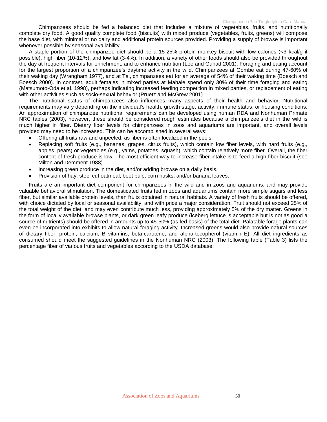Chimpanzees should be fed a balanced diet that includes a mixture of vegetables, fruits, and nutritionally complete dry food. A good quality complete food (biscuits) with mixed produce (vegetables, fruits, greens) will compose the base diet, with minimal or no dairy and additional protein sources provided. Providing a supply of browse is important whenever possible by seasonal availability.

A staple portion of the chimpanzee diet should be a 15-25% protein monkey biscuit with low calories (<3 kcal/g if possible), high fiber (10-12%), and low fat (3-4%). In addition, a variety of other foods should also be provided throughout the day at frequent intervals for enrichment, and to enhance nutrition (Lee and Guhad 2001). Foraging and eating account for the largest proportion of a chimpanzee's daytime activity in the wild. Chimpanzees at Gombe eat during 47-60% of their waking day (Wrangham 1977), and at Tai, chimpanzees eat for an average of 54% of their waking time (Boesch and Boesch 2000). In contrast, adult females in mixed parties at Mahale spend only 30% of their time foraging and eating (Matsumoto-Oda et al. 1998), perhaps indicating increased feeding competition in mixed parties, or replacement of eating with other activities such as socio-sexual behavior (Pruetz and McGrew 2001).

The nutritional status of chimpanzees also influences many aspects of their health and behavior. Nutritional requirements may vary depending on the individual's health, growth stage, activity, immune status, or housing conditions. An approximation of chimpanzee nutritional requirements can be developed using human RDA and Nonhuman Primate NRC tables (2003), however, these should be considered rough estimates because a chimpanzee's diet in the wild is much higher in fiber. Dietary fiber levels for chimpanzees in zoos and aquariums are important, and overall levels provided may need to be increased. This can be accomplished in several ways:

- Offering all fruits raw and unpeeled, as fiber is often localized in the peels.
- Replacing soft fruits (e.g., bananas, grapes, citrus fruits), which contain low fiber levels, with hard fruits (e.g., apples, pears) or vegetables (e.g., yams, potatoes, squash), which contain relatively more fiber. Overall, the fiber content of fresh produce is low. The most efficient way to increase fiber intake is to feed a high fiber biscuit (see Milton and Demment 1988).
- Increasing green produce in the diet, and/or adding browse on a daily basis.
- Provision of hay, steel cut oatmeal, beet pulp, corn husks, and/or banana leaves.

Fruits are an important diet component for chimpanzees in the wild and in zoos and aquariums, and may provide valuable behavioral stimulation. The domesticated fruits fed in zoos and aquariums contain more simple sugars and less fiber, but similar available protein levels, than fruits obtained in natural habitats. A variety of fresh fruits should be offered, with choice dictated by local or seasonal availability, and with price a major consideration. Fruit should not exceed 25% of the total weight of the diet, and may even contribute much less, providing approximately 5% of the dry matter. Greens in the form of locally available browse plants, or dark green leafy produce (iceberg lettuce is acceptable but is not as good a source of nutrients) should be offered in amounts up to 45-50% (as fed basis) of the total diet. Palatable forage plants can even be incorporated into exhibits to allow natural foraging activity. Increased greens would also provide natural sources of dietary fiber, protein, calcium, B vitamins, beta-carotene, and alpha-tocopherol (vitamin E). All diet ingredients as consumed should meet the suggested guidelines in the Nonhuman NRC (2003). The following table (Table 3) lists the percentage fiber of various fruits and vegetables according to the USDA database: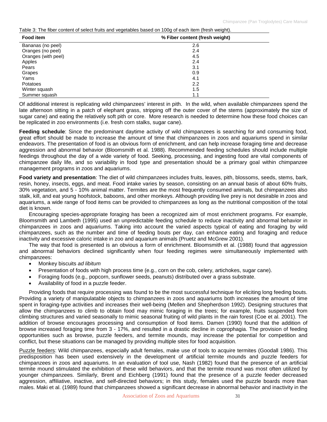Table 3: The fiber content of select fruits and vegetables based on 100g of each item (fresh weight).

| Food item           | % Fiber content (fresh weight) |  |
|---------------------|--------------------------------|--|
| Bananas (no peel)   | 2.6                            |  |
| Oranges (no peel)   | 2.4                            |  |
| Oranges (with peel) | 4.5                            |  |
| Apples              | 2.4                            |  |
| Pears               | 3.1                            |  |
| Grapes              | 0.9                            |  |
| Yams                | 4.1                            |  |
| Potatoes            | 2.2                            |  |
| Winter squash       | 1.5                            |  |
| Summer squash       | 1.1                            |  |

Of additional interest is replicating wild chimpanzees' interest in pith. In the wild, when available chimpanzees spend the late afternoon sitting in a patch of elephant grass, stripping off the outer cover of the stems (approximately the size of sugar cane) and eating the relatively soft pith or core. More research is needed to determine how these food choices can be replicated in zoo environments (i.e. fresh corn stalks, sugar cane).

**Feeding schedule**: Since the predominant daytime activity of wild chimpanzees is searching for and consuming food, great effort should be made to increase the amount of time that chimpanzees in zoos and aquariums spend in similar endeavors. The presentation of food is an obvious form of enrichment, and can help increase foraging time and decrease aggression and abnormal behavior (Bloomsmith et al. 1988). Recommended feeding schedules should include multiple feedings throughout the day of a wide variety of food. Seeking, processing, and ingesting food are vital components of chimpanzee daily life, and so variability in food type and presentation should be a primary goal within chimpanzee management programs in zoos and aquariums.

**Food variety and presentation**: The diet of wild chimpanzees includes fruits, leaves, pith, blossoms, seeds, stems, bark, resin, honey, insects, eggs, and meat. Food intake varies by season, consisting on an annual basis of about 60% fruits, 30% vegetation, and 5 - 10% animal matter. Termites are the most frequently consumed animals, but chimpanzees also stalk, kill, and eat young hoofstock, baboons, and other monkeys. Although providing live prey is not desirable in zoos and aquariums, a wide range of food items can be provided to chimpanzees as long as the nutritional composition of the total diet is known.

Encouraging species-appropriate foraging has been a recognized aim of most enrichment programs. For example, Bloomsmith and Lambeth (1995) used an unpredictable feeding schedule to reduce inactivity and abnormal behavior in chimpanzees in zoos and aquariums. Taking into account the varied aspects typical of eating and foraging by wild chimpanzees, such as the number and time of feeding bouts per day, can enhance eating and foraging and reduce inactivity and excessive caloric intake in zoo and aquarium animals (Pruetz and McGrew 2001).

The way that food is presented is an obvious a form of enrichment. Bloomsmith et al. (1988) found that aggression and abnormal behaviors declined significantly when four feeding regimes were simultaneously implemented with chimpanzees:

- Monkey biscuits *ad libitum*
- Presentation of foods with high process time (e.g., corn on the cob, celery, artichokes, sugar cane).
- Foraging foods (e.g., popcorn, sunflower seeds, peanuts) distributed over a grass substrate.
- Availability of food in a puzzle feeder.

Providing foods that require processing was found to be the most successful technique for eliciting long feeding bouts. Providing a variety of manipulatable objects to chimpanzees in zoos and aquariums both increases the amount of time spent in foraging-type activities and increases their well-being (Mellen and Shepherdson 1992). Designing structures that allow the chimpanzees to climb to obtain food may mimic foraging in the trees; for example, fruits suspended from climbing structures and varied seasonally to mimic seasonal fruiting of wild plants in the rain forest (Coe et al. 2001). The addition of browse encourages processing and consumption of food items. Damen (1990) found that the addition of browse increased foraging time from 3 - 17%, and resulted in a drastic decline in coprophagia. The provision of feeding opportunities such as browse, puzzle feeders, and termite mounds, may increase the potential for competition and conflict, but these situations can be managed by providing multiple sites for food acquisition.

Puzzle feeders: Wild chimpanzees, especially adult females, make use of tools to acquire termites (Goodall 1986). This predisposition has been used extensively in the development of artificial termite mounds and puzzle feeders for chimpanzees in zoos and aquariums. In an evaluation of tool use, Nash (1982) found that the presence of an artificial termite mound stimulated the exhibition of these wild behaviors, and that the termite mound was most often utilized by younger chimpanzees. Similarly, Brent and Eichberg (1991) found that the presence of a puzzle feeder decreased aggression, affiliative, inactive, and self-directed behaviors; in this study, females used the puzzle boards more than males. Maki et al. (1989) found that chimpanzees showed a significant decrease in abnormal behavior and inactivity in the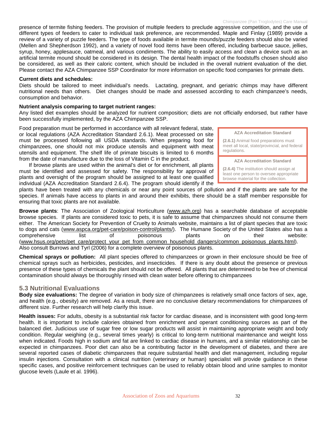presence of termite fishing feeders. The provision of multiple feeders to preclude aggressive competition, and the use of different types of feeders to cater to individual task preference, are recommended. Maple and Finlay (1989) provide a review of a variety of puzzle feeders. The type of foods available in termite mounds/puzzle feeders should also be varied (Mellen and Shepherdson 1992), and a variety of novel food items have been offered, including barbecue sauce, jellies, syrup, honey, applesauce, oatmeal, and various condiments. The ability to easily access and clean a device such as an artificial termite mound should be considered in its design. The dental health impact of the foodstuffs chosen should also be considered, as well as their caloric content, which should be included in the overall nutrient evaluation of the diet. Please contact the AZA Chimpanzee SSP Coordinator for more information on specific food companies for primate diets.

#### **Current diets and schedules:**

Diets should be tailored to meet individual's needs. Lactating, pregnant, and geriatric chimps may have different nutritional needs than others. Diet changes should be made and assessed according to each chimpanzee's needs, consumption and behavior.

### **Nutrient analysis comparing to target nutrient ranges:**

Any listed diet examples should be analyzed for nutrient composition; diets are not officially endorsed, but rather have been successfully implemented, by the AZA Chimpanzee SSP.

Food preparation must be performed in accordance with all relevant federal, state, or local regulations (AZA Accreditation Standard 2.6.1). Meat processed on site must be processed following all USDA standards. When preparing food for chimpanzees, one should not mix produce utensils and equipment with meat utensils and equipment. The shelf life of primate biscuits is limited to 6 months from the date of manufacture due to the loss of Vitamin C in the product.

If browse plants are used within the animal's diet or for enrichment, all plants must be identified and assessed for safety. The responsibility for approval of plants and oversight of the program should be assigned to at least one qualified individual (AZA Accreditation Standard 2.6.4). The program should identify if the



**(2.6.1)** Animal food preparations must meet all local, state/provincial, and federal regulations.

**AZA Accreditation Standard**

**(2.6.4)** The institution should assign at least one person to oversee appropriate browse material for the collection.

plants have been treated with any chemicals or near any point sources of pollution and if the plants are safe for the species. If animals have access to plants in and around their exhibits, there should be a staff member responsible for ensuring that toxic plants are not available.

**Browse plants**: The Association of Zoological Horticulture (www.azh.org) has a searchable database of acceptable browse species. If plants are considered toxic to pets, it is safe to assume that chimpanzees should not consume them either. The American Society for Prevention of Cruelty to Animals website, maintains a list of plant species that are toxic to dogs and cats (www.aspca.org/pet-care/poison-control/plants/). The Humane Society of the United States also has a comprehensive list of poisonous plants on their website: (www.hsus.org/pets/pet\_care/protect\_your\_pet\_from\_common\_household\_dangers/common\_poisonous\_plants.html). Also consult Burrows and Tyrl (2006) for a complete overview of poisonous plants.

**Chemical sprays or pollution:** All plant species offered to chimpanzees or grown in their enclosure should be free of chemical sprays such as herbicides, pesticides, and insecticides. If there is any doubt about the presence or previous presence of these types of chemicals the plant should not be offered. All plants that are determined to be free of chemical contamination should always be thoroughly rinsed with clean water before offering to chimpanzees

# <span id="page-31-0"></span>**5.3 Nutritional Evaluations**

**Body size evaluations:** The degree of variation in body size of chimpanzees is relatively small once factors of sex, age, and health (e.g., obesity) are removed. As a result, there are no conclusive dietary recommendations for chimpanzees of different size. Further research will help clarify this issue.

**Health issues:** For adults, obesity is a substantial risk factor for cardiac disease, and is inconsistent with good long-term health. It is important to include calories obtained from enrichment and operant conditioning sources as part of the balanced diet. Judicious use of sugar free or low sugar products will assist in maintaining appropriate weight and body condition. Regular weighing (e.g., several times yearly) is critical to long-term nutritional maintenance and weight loss when indicated. Foods high in sodium and fat are linked to cardiac disease in humans, and a similar relationship can be expected in chimpanzees. Poor diet can also be a contributing factor in the development of diabetes, and there are several reported cases of diabetic chimpanzees that require substantial health and diet management, including regular insulin injections. Consultation with a clinical nutrition (veterinary or human) specialist will provide guidance in these specific cases, and positive reinforcement techniques can be used to reliably obtain blood and urine samples to monitor glucose levels (Laule et al. 1996).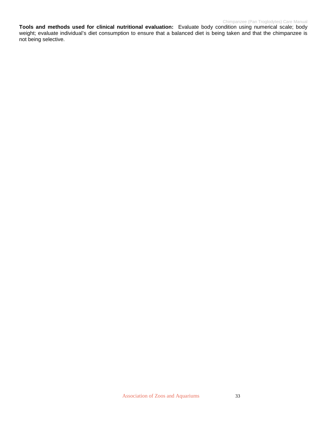**Tools and methods used for clinical nutritional evaluation:** Evaluate body condition using numerical scale; body weight; evaluate individual's diet consumption to ensure that a balanced diet is being taken and that the chimpanzee is not being selective.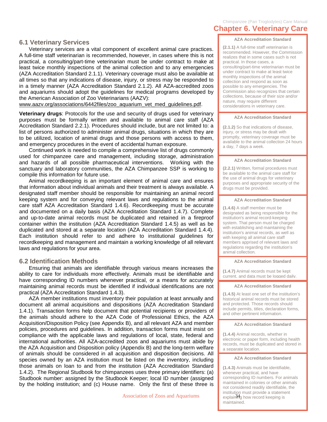# <span id="page-33-1"></span><span id="page-33-0"></span>**6.1 Veterinary Services**

Veterinary services are a vital component of excellent animal care practices. A full-time staff veterinarian is recommended, however, in cases where this is not practical, a consulting/part-time veterinarian must be under contract to make at least twice monthly inspections of the animal collection and to any emergencies (AZA Accreditation Standard 2.1.1). Veterinary coverage must also be available at all times so that any indications of disease, injury, or stress may be responded to in a timely manner (AZA Accreditation Standard 2.1.2). All AZA-accredited zoos and aquariums should adopt the guidelines for medical programs developed by the American Association of Zoo Veterinarians (AAZV):

### www.aazv.org/associations/6442files/zoo\_aquarium\_vet\_med\_guidelines.pdf.

**Veterinary drugs**: Protocols for the use and security of drugs used for veterinary purposes must be formally written and available to animal care staff (AZA Accreditation Standard 2.2.1). Procedures should include, but are not limited to: a list of persons authorized to administer animal drugs, situations in which they are to be utilized, location of animal drugs and those persons with access to them, and emergency procedures in the event of accidental human exposure.

Continued work is needed to compile a comprehensive list of drugs commonly used for chimpanzee care and management, including storage, administration and hazards of all possible pharmaceutical interventions. Working with the sanctuary and laboratory communities, the AZA Chimpanzee SSP is working to compile this information for future use.

Animal recordkeeping is an important element of animal care and ensures that information about individual animals and their treatment is always available. A designated staff member should be responsible for maintaining an animal record keeping system and for conveying relevant laws and regulations to the animal care staff AZA Accreditation Standard 1.4.6). Recordkeeping must be accurate and documented on a daily basis (AZA Accreditation Standard 1.4.7). Complete and up-to-date animal records must be duplicated and retained in a fireproof container within the institution (AZA Accreditation Standard 1.4.5) as well as be duplicated and stored at a separate location (AZA Accreditation Standard 1.4.4). Each institution should refer to and adhere to institutional guidelines for recordkeeping and management and maintain a working knowledge of all relevant laws and regulations for your area.

# <span id="page-33-2"></span>**6.2 Identification Methods**

Ensuring that animals are identifiable through various means increases the ability to care for individuals more effectively. Animals must be identifiable and have corresponding ID numbers whenever practical, or a means for accurately maintaining animal records must be identified if individual identifications are not practical (AZA Accreditation Standard 1.4.3).

AZA member institutions must inventory their population at least annually and document all animal acquisitions and dispositions (AZA Accreditation Standard 1.4.1). Transaction forms help document that potential recipients or providers of the animals should adhere to the AZA Code of Professional Ethics, the AZA Acquisition/Disposition Policy (see Appendix B), and all relevant AZA and member policies, procedures and guidelines. In addition, transaction forms must insist on compliance with the applicable laws and regulations of local, state, federal and international authorities. All AZA-accredited zoos and aquariums must abide by the AZA Acquisition and Disposition policy (Appendix B) and the long-term welfare of animals should be considered in all acquisition and disposition decisions. All species owned by an AZA institution must be listed on the inventory, including those animals on loan to and from the institution (AZA Accreditation Standard 1.4.2). The Regional Studbook for chimpanzees uses three primary identifiers: (a) Studbook number: assigned by the Studbook Keeper; local ID number (assigned by the holding institution; and (c) House name. Only the first of these three is

Association of Zoos and Aquariums

# **Chapter 6. Veterinary Care**

#### **AZA Accreditation Standard**

**(2.1.1)** A full-time staff veterinarian is recommended. However, the Commission realizes that in some cases such is not practical. In those cases, a consulting/part-time veterinarian must be under contract to make at least twice monthly inspections of the animal collection and respond as soon as possible to any emergencies. The Commission also recognizes that certain collections, because of their size and/or nature, may require different considerations in veterinary care.

#### **AZA Accreditation Standard**

**(2.1.2)** So that indications of disease, injury, or stress may be dealt with promptly, veterinary coverage must be available to the animal collection 24 hours a day, 7 days a week.

#### **AZA Accreditation Standard**

**(2.2.1)** Written, formal procedures must be available to the animal care staff for the use of animal drugs for veterinary purposes and appropriate security of the drugs must be provided.

#### **AZA Accreditation Standard**

**(1.4.6)** A staff member must be designated as being responsible for the institution's animal record-keeping system. That person must be charged with establishing and maintaining the institution's animal records, as well as with keeping all animal care staff members apprised of relevant laws and regulations regarding the institution's animal collection.

#### **AZA Accreditation Standard**

**(1.4.7)** Animal records must be kept current, and data must be logged daily.

#### **AZA Accreditation Standard**

**(1.4.5)** At least one set of the institution's historical animal records must be stored and protected. Those records should include permits, titles, declaration forms, and other pertinent information.

#### **AZA Accreditation Standard**

**(1.4.4)** Animal records, whether in electronic or paper form, including health records, must be duplicated and stored in a separate location.

#### **AZA Accreditation Standard**

**(1.4.3)** Animals must be identifiable, whenever practical, and have corresponding ID numbers. For animals maintained in colonies or other animals not considered readily identifiable, the institution must provide a statement explaintly how record keeping is maintained.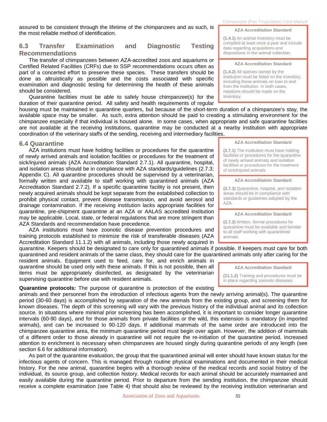assured to be consistent through the lifetime of the chimpanzees and as such, is the most reliable method of identification.

# <span id="page-34-0"></span>**6.3 Transfer Examination and Diagnostic Testing Recommendations**

The transfer of chimpanzees between AZA-accredited zoos and aquariums or Certified Related Facilities (CRFs) due to SSP recommendations occurs often as part of a concerted effort to preserve these species. These transfers should be done as altruistically as possible and the costs associated with specific examination and diagnostic testing for determining the health of these animals should be considered.

Quarantine facilities must be able to safely house chimpanzee(s) for the duration of their quarantine period. All safety and health requirements of regular

housing must be maintained in quarantine quarters, but because of the short-term duration of a chimpanzee's stay, the available space may be smaller. As such, extra attention should be paid to creating a stimulating environment for the chimpanzee especially if that individual is housed alone. In some cases, when appropriate and safe quarantine facilities are not available at the receiving institutions, quarantine may be conducted at a nearby institution with appropriate coordination of the veterinary staffs of the sending, receiving and intermediary facilities.

### <span id="page-34-1"></span>**6.4 Quarantine**

AZA institutions must have holding facilities or procedures for the quarantine of newly arrived animals and isolation facilities or procedures for the treatment of sick/injured animals (AZA Accreditation Standard 2.7.1). All quarantine, hospital, and isolation areas should be in compliance with AZA standards/guidelines (2.7.3; Appendix C). All quarantine procedures should be supervised by a veterinarian, formally written and available to staff working with quarantined animals (AZA Accreditation Standard 2.7.2). If a specific quarantine facility is not present, then newly acquired animals should be kept separate from the established collection to prohibit physical contact, prevent disease transmission, and avoid aerosol and drainage contamination. If the receiving institution lacks appropriate facilities for quarantine, pre-shipment quarantine at an AZA or AALAS accredited institution may be applicable. Local, state, or federal regulations that are more stringent than AZA Standards and recommendation have precedence.

AZA institutions must have zoonotic disease prevention procedures and training protocols established to minimize the risk of transferable diseases (AZA Accreditation Standard 11.1.2) with all animals, including those newly acquired in

quarantine. Keepers should be designated to care only for quarantined animals if possible. If keepers must care for both quarantined and resident animals of the same class, they should care for the quarantined animals only after caring for the

resident animals. Equipment used to feed, care for, and enrich animals in quarantine should be used only with these animals. If this is not possible, then all items must be appropriately disinfected, as designated by the veterinarian supervising quarantine before use with resident animals.

# **Quarantine protocols:** The purpose of quarantine is protection of the existing

**AZA Accreditation Standard**

**(1.4.1)** An animal inventory must be compiled at least once a year and include data regarding acquisitions and dispositions in the animal collection.

Chimpanzee (Pan Troglodytes) Care Manual

#### **AZA Accreditation Standard**

**(1.4.2)** All species owned by the institution must be listed on the inventory, including those animals on loan to and from the institution. In both cases, notations should be made on the inventory.

**AZA Accreditation Standard**

**(2.7.1)** The institution must have holding facilities or procedures for the quarantine of newly arrived animals and isolation facilities or procedures for the treatment of sick/injured animals.

#### **AZA Accreditation Standard**

**(2.7.3)** Quarantine, hospital, and isolation areas should be in compliance with standards or guidelines adopted by the AZA.

#### **AZA Accreditation Standard**

**(2.7.2)** Written, formal procedures for quarantine must be available and familiar to all staff working with quarantined animals.

**AZA Accreditation Standard**

**(11.1.2)** Training and procedures must be in place regarding zoonotic diseases.

animals and their personnel from the introduction of infectious agents from the newly arriving animal(s). The quarantine period (30-60 days) is accomplished by separation of the new animals from the existing group, and screening them for known diseases. The depth of this screening will vary with the previous history of the individual animal and its collection source. In situations where minimal prior screening has been accomplished, it is important to consider longer quarantine intervals (60-90 days), and for those animals from private facilities or the wild, this extension is mandatory (in imported animals), and can be increased to 90-120 days. If additional mammals of the same order are introduced into the chimpanzee quarantine area, the minimum quarantine period must begin over again. However, the addition of mammals of a different order to those already in quarantine will not require the re-initiation of the quarantine period. Increased attention to enrichment is necessary when chimpanzees are housed singly during quarantine periods of any length (see section 6.6 for additional information).

As part of the quarantine evaluation, the group that the quarantined animal will enter should have known status for the infectious agents of concern. This is managed through routine physical examinations and documented in their medical history. For the new animal, quarantine begins with a thorough review of the medical records and social history of the individual, its source group, and collection history. Medical records for each animal should be accurately maintained and easily available during the quarantine period. Prior to departure from the sending institution, the chimpanzee should receive a complete examination (see Table 4) that should also be reviewed by the receiving institution veterinarian and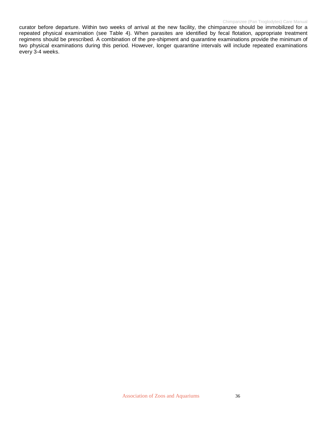curator before departure. Within two weeks of arrival at the new facility, the chimpanzee should be immobilized for a repeated physical examination (see Table 4). When parasites are identified by fecal flotation, appropriate treatment regimens should be prescribed. A combination of the pre-shipment and quarantine examinations provide the minimum of two physical examinations during this period. However, longer quarantine intervals will include repeated examinations every 3-4 weeks.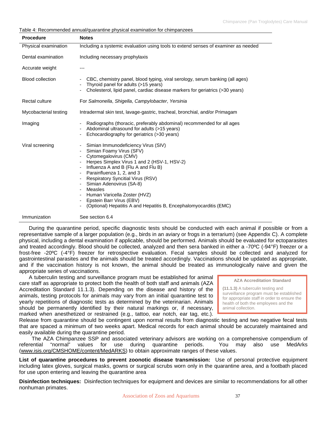Table 4: Recommended annual/quarantine physical examination for chimpanzees

| <b>Procedure</b>        | <b>Notes</b>                                                                                                                                                                                                                                                                                                                                                                                                                     |
|-------------------------|----------------------------------------------------------------------------------------------------------------------------------------------------------------------------------------------------------------------------------------------------------------------------------------------------------------------------------------------------------------------------------------------------------------------------------|
| Physical examination    | Including a systemic evaluation using tools to extend senses of examiner as needed                                                                                                                                                                                                                                                                                                                                               |
| Dental examination      | Including necessary prophylaxis                                                                                                                                                                                                                                                                                                                                                                                                  |
| Accurate weight         | ---                                                                                                                                                                                                                                                                                                                                                                                                                              |
| <b>Blood collection</b> | CBC, chemistry panel, blood typing, viral serology, serum banking (all ages)<br>Thyroid panel for adults (>15 years)<br>Cholesterol, lipid panel, cardiac disease markers for geriatrics (>30 years)                                                                                                                                                                                                                             |
| <b>Rectal culture</b>   | For Salmonella, Shigella, Campylobacter, Yersinia                                                                                                                                                                                                                                                                                                                                                                                |
| Mycobacterial testing   | Intradermal skin test, lavage-gastric, tracheal, bronchial, and/or Primagam                                                                                                                                                                                                                                                                                                                                                      |
| Imaging                 | Radiographs (thoracic, preferably abdominal) recommended for all ages<br>Abdominal ultrasound for adults (>15 years)<br>Echocardiography for geriatrics (>30 years)                                                                                                                                                                                                                                                              |
| Viral screening         | Simian Immunodeficiency Virus (SIV)<br>Simian Foamy Virus (SFV)<br>Cytomegalovirus (CMV)<br>Herpes Simplex Virus 1 and 2 (HSV-1, HSV-2)<br>Influenza A and B (Flu A and Flu B)<br>Parainfluenza 1, 2, and 3<br><b>Respiratory Syncitial Virus (RSV)</b><br>Simian Adenovirus (SA-8)<br>Measles<br>Human Varicella Zoster (HVZ)<br>Epstein Barr Virus (EBV)<br>(Optional) Hepatitis A and Hepatitis B, Encephalomyocarditis (EMC) |
| Immunization            | See section 6.4                                                                                                                                                                                                                                                                                                                                                                                                                  |

During the quarantine period, specific diagnostic tests should be conducted with each animal if possible or from a representative sample of a larger population (e.g., birds in an aviary or frogs in a terrarium) (see Appendix C). A complete physical, including a dental examination if applicable, should be performed. Animals should be evaluated for ectoparasites and treated accordingly. Blood should be collected, analyzed and then sera banked in either a -70ºC (-94°F) freezer or a frost-free -20ºC (-4°F) freezer for retrospective evaluation. Fecal samples should be collected and analyzed for gastrointestinal parasites and the animals should be treated accordingly. Vaccinations should be updated as appropriate, and if the vaccination history is not known, the animal should be treated as immunologically naive and given the appropriate series of vaccinations.

A tuberculin testing and surveillance program must be established for animal care staff as appropriate to protect both the health of both staff and animals (AZA Accreditation Standard 11.1.3). Depending on the disease and history of the animals, testing protocols for animals may vary from an initial quarantine test to yearly repetitions of diagnostic tests as determined by the veterinarian. Animals should be permanently identified by their natural markings or, if necessary, marked when anesthetized or restrained (e.g., tattoo, ear notch, ear tag, etc.).

**AZA Accreditation Standard**

**(11.1.3)** A tuberculin testing and surveillance program must be established for appropriate staff in order to ensure the health of both the employees and the animal collection.

Release from quarantine should be contingent upon normal results from diagnostic testing and two negative fecal tests that are spaced a minimum of two weeks apart. Medical records for each animal should be accurately maintained and easily available during the quarantine period.

 The AZA Chimpanzee SSP and associated veterinary advisors are working on a comprehensive compendium of referential "normal" values for use during quarantine periods. You may also use MedArks (www.isis.org/CMSHOME/content/MedARKS) to obtain approximate ranges of these values.

**List of quarantine procedures to prevent zoonotic disease transmission:** Use of personal protective equipment including latex gloves, surgical masks, gowns or surgical scrubs worn only in the quarantine area, and a footbath placed for use upon entering and leaving the quarantine area

**Disinfection techniques:** Disinfection techniques for equipment and devices are similar to recommendations for all other nonhuman primates.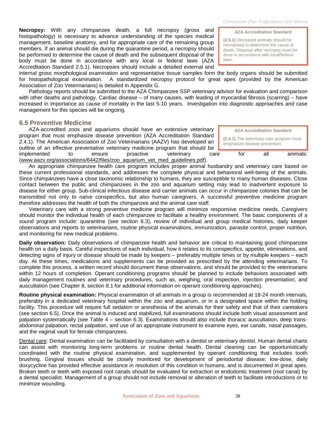**Necropsy:** With any chimpanzee death, a full necropsy (gross and histopathology) is necessary to advance understanding of the species medical management, baseline anatomy, and for appropriate care of the remaining group members. If an animal should die during the quarantine period, a necropsy should be performed to determine the cause of death and the subsequent disposal of the body must be done in accordance with any local or federal laws (AZA Accreditation Standard 2.5.1). Necropsies should include a detailed external and

#### **AZA Accreditation Standard**

**(2.5.1)** Deceased animals should be necropsied to determine the cause of death. Disposal after necropsy must be done in accordance with local/federal laws.

internal gross morphological examination and representative tissue samples form the body organs should be submitted for histopathological examination. A standardized necropsy protocol for great apes (provided by the American Association of Zoo Veterinarians) is detailed in Appendix G.

Pathology reports should be submitted to the AZA Chimpanzee SSP veterinary advisor for evaluation and comparison with other deaths and pathology. Cardiac disease – of many causes, with leading of myocardial fibrosis (scarring) – have increased in importance as cause of mortality in the last 5-10 years. Investigation into diagnostic approaches and case management for this species will be ongoing.

#### **6.5 Preventive Medicine**

AZA-accredited zoos and aquariums should have an extensive veterinary program that must emphasize disease prevention (AZA Accreditation Standard 2.4.1). The American Association of Zoo Veterinarians (AAZV) has developed an outline of an effective preventative veterinary medicine program that should be implemented to ensure proactive veterinary care for all animals:

(www.aazv.org/associations/6442/files/zoo\_aquarium\_vet\_med\_guidelines.pdf).

**AZA Accreditation Standard (2.4.1)** The veterinary care program must emphasize disease prevention.

An appropriate chimpanzee health care program includes proper animal husbandry and veterinary care based on these current professional standards, and addresses the complete physical and behavioral well-being of the animals. Since chimpanzees have a close taxonomic relationship to humans, they are susceptible to many human diseases. Close contact between the public and chimpanzees in the zoo and aquarium setting may lead to inadvertent exposure to disease for either group. Sub-clinical infectious disease and carrier animals can occur in chimpanzee colonies that can be transmitted not only to naïve conspecifics, but also human caregivers. A successful preventive medicine program therefore addresses the health of both the chimpanzee and the animal care staff.

Veterinary care with a strong preventive medicine program will minimize responsive medicine needs. Caregivers should monitor the individual health of each chimpanzee to facilitate a healthy environment. The basic components of a sound program include: quarantine (see section 6.3), review of individual and group medical histories, daily keeper observations and reports to veterinarians, routine physical examinations, immunization, parasite control, proper nutrition, and monitoring for new medical problems.

**Daily observation:** Daily observations of chimpanzee health and behavior are critical to maintaining good chimpanzee health on a daily basis. Careful inspections of each individual, how it relates to its conspecifics, appetite, eliminations, and detecting signs of injury or disease should be made by keepers – preferably multiple times or by multiple keepers – each day. At these times, medications and supplements can be provided as prescribed by the attending veterinarians. To complete this process, a written record should document these observations, and should be provided to the veterinarians within 12 hours of completion. Operant conditioning programs should be planned to include behaviors associated with daily management routines and veterinary procedures, such as, weighing, oral inspection, injection presentation, and auscultation (see Chapter 8, section 8.1 for additional information on operant conditioning approaches).

**Routine physical examination:** Physical examination of all animals in a group is recommended at 18-24 month intervals, preferably in a dedicated veterinary hospital within the zoo and aquarium, or in a designated space within the holding facility. This procedure will require full sedation or anesthesia of the animals for their safety and that of their caretakers (see section 6.5). Once the animal is induced and stabilized, full examinations should include both visual assessment and palpation systematically (see Table 4 – section 6.3). Examinations should also include thoracic auscultation, deep transabdominal palpation, rectal palpation, and use of an appropriate instrument to examine eyes, ear canals, nasal passages, and the vaginal vault for female chimpanzees.

Dental care: Dental examination can be facilitated by consultation with a dentist or veterinary dentist. Human dental charts can assist with monitoring long-term problems or routine dental health. Dental cleaning can be opportunistically coordinated with the routine physical examination, and supplemented by operant conditioning that includes tooth brushing. Gingival tissues should be closely monitored for development of periodontal disease; low-dose, daily doxycycline has provided effective assistance in resolution of this condition in humans, and is documented in great apes. Broken teeth or teeth with exposed root canals should be evaluated for extraction or endodontic treatment (root canal) by a dental specialist. Management of a group should not include removal or alteration of teeth to facilitate introductions or to minimize wounding.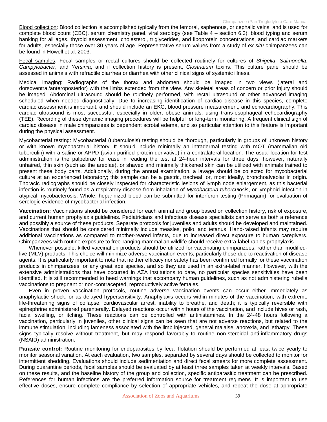Blood collection: Blood collection is accomplished typically from the femoral, saphenous, or cephalic veins, and is used for complete blood count (CBC), serum chemistry panel, viral serology (see Table 4 – section 6.3), blood typing and serum banking for all ages, thyroid assessment, cholesterol, triglycerides, and lipoprotein concentrations, and cardiac markers for adults, especially those over 30 years of age. Representative serum values from a study of *ex situ* chimpanzees can be found in Howell et al. 2003.

Fecal samples: Fecal samples or rectal cultures should be collected routinely for cultures of *Shigella*, *Salmonella*, *Campylobacter*, and *Yersinia*, and if collection history is present, *Clostridium* toxins. This culture panel should be assessed in animals with refractile diarrhea or diarrhea with other clinical signs of systemic illness.

Medical imaging: Radiographs of the thorax and abdomen should be imaged in two views (lateral and dorsoventral/anteroposterior) with the limbs extended from the view. Any skeletal areas of concern or prior injury should be imaged. Abdominal ultrasound should be routinely performed, with rectal ultrasound or other advanced imaging scheduled when needed diagnostically. Due to increasing identification of cardiac disease in this species, complete cardiac assessment is important, and should include an EKG, blood pressure measurement, and echocardiography. This cardiac ultrasound is most successful, especially in older, obese animals, using trans-esophageal echocardiography (TEE). Recording of these dynamic imaging procedures will be helpful for long-term monitoring. A frequent clinical sign of cardiac disease in male chimpanzees is dependent scrotal edema, and so particular attention to this feature is important during the physical assessment.

Mycobacterial testing: Mycobacterial (tuberculosis) testing should be thorough, particularly in groups of unknown history or with known mycobacterial history. It should include minimally an intradermal testing with mOT (mammalian old tuberculin) with a saline or APPD (avian purified protein derivative) in a contralateral location. The usual location for test administration is the palpebrae for ease in reading the test at 24-hour intervals for three days; however, naturally unhaired, thin skin (such as the areolae), or shaved and minimally thickened skin can be utilized with animals trained to present these body parts. Additionally, during the annual examination, a lavage should be collected for mycobacterial culture at an experienced laboratory; this sample can be a gastric, tracheal, or, most ideally, bronchoalveolar in origin. Thoracic radiographs should be closely inspected for characteristic lesions of lymph node enlargement, as this bacterial infection is routinely found as a respiratory disease from inhalation of *Mycobacteria tuberculosis*, or lymphoid infection in atypical mycobacterosis. Whole, heparinized blood can be submitted for interferon testing (Primagam) for evaluation of serologic evidence of mycobacterial infection.

**Vaccination:** Vaccinations should be considered for each animal and group based on collection history, risk of exposure, and current human prophylaxis guidelines. Pediatricians and infectious disease specialists can serve as both a reference and possibly a source of these products. Separate protocols for juveniles and adults should be developed and maintained. Vaccinations that should be considered minimally include measles, polio, and tetanus. Hand-raised infants may require additional vaccinations as compared to mother-reared infants, due to increased direct exposure to human caregivers. Chimpanzees with routine exposure to free-ranging mammalian wildlife should receive extra-label rabies prophylaxis.

Whenever possible, killed vaccination products should be utilized for vaccinating chimpanzees, rather than modifiedlive (MLV) products. This choice will minimize adverse vaccination events, particularly those due to reactivation of disease agents. It is particularly important to note that neither efficacy nor safety has been confirmed formally for these vaccination products in chimpanzees, or any great ape species, and so they are used in an extra-label manner. However, with the extensive administrations that have occurred in AZA institutions to date, no particular species sensitivities have been identified. It is still recommended to heed warnings that accompany human guidelines, such as not administering rubella vaccinations to pregnant or non-contracepted, reproductively active females.

Even in proven vaccination protocols, routine adverse vaccination events can occur either immediately as anaphylactic shock, or as delayed hypersensitivity. Anaphylaxis occurs within minutes of the vaccination, with extreme life-threatening signs of collapse, cardiovascular arrest, inability to breathe, and death; it is typically reversible with epinephrine administered parenterally. Delayed reactions occur within hours of the vaccination, and include hives or rash, facial swelling, or itching. These reactions can be controlled with antihistamines. In the 24-48 hours following a vaccination, particularly in juveniles, other clinical signs can be seen that are not adverse reactions, but related to the immune stimulation, including lameness associated with the limb injected, general malaise, anorexia, and lethargy. These signs typically resolve without treatment, but may respond favorably to routine non-steroidal anti-inflammatory drugs (NSAID) administration.

**Parasite control:** Routine monitoring for endoparasites by fecal flotation should be performed at least twice yearly to monitor seasonal variation. At each evaluation, two samples, separated by several days should be collected to monitor for intermittent shedding. Evaluations should include sedimentation and direct fecal smears for more complete assessment. During quarantine periods, fecal samples should be evaluated by at least three samples taken at weekly intervals. Based on these results, and the baseline history of the group and collection, specific antiparasitic treatment can be prescribed. References for human infections are the preferred information source for treatment regimens. It is important to use effective doses, ensure complete compliance by selection of appropriate vehicles, and repeat the dose at appropriate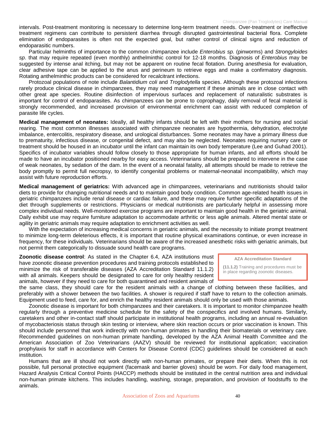intervals. Post-treatment monitoring is necessary to determine long-term treatment needs. Over-treatment or ineffective treatment regimens can contribute to persistent diarrhea through disrupted gastrointestinal bacterial flora. Complete elimination of endoparasites is often not the expected goal, but rather control of clinical signs and reduction of endoparasitic numbers.

Particular helminths of importance to the common chimpanzee include *Enterobius sp.* (pinworms) and *Strongyloides sp*. that may require repeated (even monthly) anthelminthic control for 12-18 months. Diagnosis of *Enterobius* may be suggested by intense anal itching, but may not be apparent on routine fecal flotation. During anesthesia for evaluation, clear adhesive tape can be applied to the anus and perineum to retrieve eggs and make a confirmatory diagnosis. Rotating anthelminthic products can be considered for recalcitrant infections.

Protozoal populations of note include *Balantidium coli* and *Troglodytella* species. Although these protozoal infections rarely produce clinical disease in chimpanzees, they may need management if these animals are in close contact with other great ape species. Routine disinfection of impervious surfaces and replacement of naturalistic substrates is important for control of endoparasites. As chimpanzees can be prone to coprophagy, daily removal of fecal material is strongly recommended, and increased provision of environmental enrichment can assist with reduced completion of parasite life cycles.

**Medical management of neonates:** Ideally, all healthy infants should be left with their mothers for nursing and social rearing. The most common illnesses associated with chimpanzee neonates are hypothermia, dehydration, electrolyte imbalance, entercolitis, respiratory disease, and urological disturbances. Some neonates may have a primary illness due to prematurity, infectious disease, or congenital defect, and may also be neglected. Neonates requiring nursery care or treatment should be housed in an incubator until the infant can maintain its own body temperature (Lee and Guhad 2001). Specifics of incubator variables should follow closely to those appropriate for human infants, and all efforts should be made to have an incubator positioned nearby for easy access. Veterinarians should be prepared to intervene in the case of weak neonates, by sedation of the dam. In the event of a neonatal fatality, all attempts should be made to retrieve the body promptly to permit full necropsy, to identify congenital problems or maternal-neonatal incompatibility, which may assist with future reproduction efforts.

**Medical management of geriatrics:** With advanced age in chimpanzees, veterinarians and nutritionists should tailor diets to provide for changing nutritional needs and to maintain good body condition. Common age-related health issues in geriatric chimpanzees include renal disease or cardiac failure, and these may require further specific adaptations of the diet through supplements or restrictions. Physicians or medical nutritionists are particularly helpful in assessing more complex individual needs. Well-monitored exercise programs are important to maintain good health in the geriatric animal. Daily exhibit use may require furniture adaptation to accommodate arthritic or less agile animals. Altered mental state or agility in geriatric animals may require adaptation to enrichment activities as well.

With the expectation of increasing medical concerns in geriatric animals, and the necessity to initiate prompt treatment to minimize long-term deleterious effects, it is important that routine physical examinations continue, or even increase in frequency, for these individuals. Veterinarians should be aware of the increased anesthetic risks with geriatric animals, but not permit them categorically to dissuade sound health care programs.

**Zoonotic disease control**: As stated in the Chapter 6.4, AZA institutions must have zoonotic disease prevention procedures and training protocols established to minimize the risk of transferable diseases (AZA Accreditation Standard 11.1.2) with all animals. Keepers should be designated to care for only healthy resident animals, however if they need to care for both quarantined and resident animals of

**AZA Accreditation Standard**

**(11.1.2)** Training and procedures must be in place regarding zoonotic diseases.

the same class, they should care for the resident animals with a change of clothing between these facilities, and preferably with a shower between the two facilities. A shower is required if staff have to return to the collection animals. Equipment used to feed, care for, and enrich the healthy resident animals should only be used with those animals.

Zoonotic disease is important for both chimpanzees and their caretakers. It is important to monitor chimpanzee health regularly through a preventive medicine schedule for the safety of the conspecifics and involved humans. Similarly, caretakers and other in-contact staff should participate in institutional health programs, including an annual re-evaluation of mycobacteriosis status through skin testing or interview, where skin reaction occurs or prior vaccination is known. This should include personnel that work indirectly with non-human primates in handling their biomaterials or veterinary care. Recommended guidelines on non-human primate handling, developed by the AZA Animal Health Committee and the American Association of Zoo Veterinarians (AAZV) should be reviewed for institutional application; vaccination prophylaxis for staff in accordance with Centers for Disease Control (CDC) guidelines should be considered at each institution.

Humans that are ill should not work directly with non-human primates, or prepare their diets. When this is not possible, full personal protective equipment (facemask and barrier gloves) should be worn. For daily food management, Hazard Analysis Critical Control Points (HACCP) methods should be instituted in the central nutrition area and individual non-human primate kitchens. This includes handling, washing, storage, preparation, and provision of foodstuffs to the animals.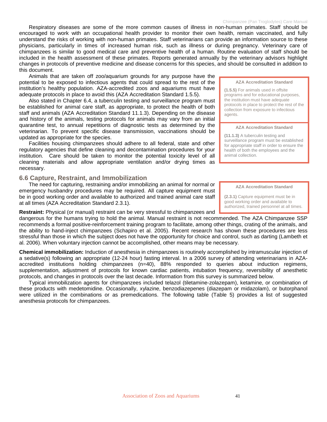#### Chimpanzee (Pan Troglodytes) Care Manual

Respiratory diseases are some of the more common causes of illness in non-human primates. Staff should be encouraged to work with an occupational health provider to monitor their own health, remain vaccinated, and fully understand the risks of working with non-human primates. Staff veterinarians can provide an information source to these physicians, particularly in times of increased human risk, such as illness or during pregnancy. Veterinary care of chimpanzees is similar to good medical care and preventive health of a human. Routine evaluation of staff should be included in the health assessment of these primates. Reports generated annually by the veterinary advisors highlight changes in protocols of preventive medicine and disease concerns for this species, and should be consulted in addition to this document.

Animals that are taken off zoo/aquarium grounds for any purpose have the potential to be exposed to infectious agents that could spread to the rest of the institution's healthy population. AZA-accredited zoos and aquariums must have adequate protocols in place to avoid this (AZA Accreditation Standard 1.5.5).

Also stated in Chapter 6.4, a tuberculin testing and surveillance program must be established for animal care staff, as appropriate, to protect the health of both staff and animals (AZA Accreditation Standard 11.1.3). Depending on the disease and history of the animals, testing protocols for animals may vary from an initial quarantine test, to annual repetitions of diagnostic tests as determined by the veterinarian. To prevent specific disease transmission, vaccinations should be updated as appropriate for the species.

Facilities housing chimpanzees should adhere to all federal, state and other regulatory agencies that define cleaning and decontamination procedures for your institution. Care should be taken to monitor the potential toxicity level of all cleaning materials and allow appropriate ventilation and/or drying times as necessary.

#### **6.6 Capture, Restraint, and Immobilization**

The need for capturing, restraining and/or immobilizing an animal for normal or emergency husbandry procedures may be required. All capture equipment must be in good working order and available to authorized and trained animal care staff at all times (AZA Accreditation Standard 2.3.1).

**Restraint:** Physical (or manual) restraint can be very stressful to chimpanzees and

dangerous for the humans trying to hold the animal. Manual restraint is not recommended. The AZA Chimpanzee SSP recommends a formal positive-reinforcement training program to facilitate, among other things, crating of the animals, and the ability to hand-inject chimpanzees (Schapiro et al. 2005). Recent research has shown these procedures are less stressful than those in which the subject does not have the opportunity for choice and control, such as darting (Lambeth et al. 2006). When voluntary injection cannot be accomplished, other means may be necessary.

**Chemical immobilization:** Induction of anesthesia in chimpanzees is routinely accomplished by intramuscular injection of a sedative(s) following an appropriate (12-24 hour) fasting interval. In a 2006 survey of attending veterinarians in AZAaccredited institutions holding chimpanzees (n=40), 88% responded to queries about induction regimens, supplementation, adjustment of protocols for known cardiac patients, intubation frequency, reversibility of anesthetic protocols, and changes in protocols over the last decade. Information from this survey is summarized below.

Typical immobilization agents for chimpanzees included telazol (tiletamine-zolazepam), ketamine, or combination of these products with medetomidine. Occasionally, xylazine, benzodiazepenes (diazepam or midazolam), or butorphanol were utilized in the combinations or as premedications. The following table (Table 5) provides a list of suggested anesthesia protocols for chimpanzees.

**AZA Accreditation Standard**

**(1.5.5)** For animals used in offsite programs and for educational purposes, the institution must have adequate protocols in place to protect the rest of the collection from exposure to infectious agents.

#### **AZA Accreditation Standard**

**(11.1.3)** A tuberculin testing and surveillance program must be established for appropriate staff in order to ensure the health of both the employees and the animal collection.

**AZA Accreditation Standard**

**(2.3.1)** Capture equipment must be in good working order and available to authorized, trained personnel at all times.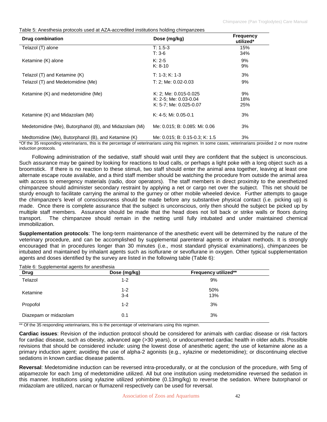Table 5: Anesthesia protocols used at AZA-accredited institutions holding chimpanzees

| <b>Drug combination</b>                                | Dose (mg/kg)                                                             | <b>Frequency</b><br>utilized* |
|--------------------------------------------------------|--------------------------------------------------------------------------|-------------------------------|
| Telazol (T) alone                                      | $T: 1.5-3$<br>T: 3-6                                                     | 15%<br>34%                    |
| Ketamine (K) alone                                     | $K: 2-5$<br>$K: 8-10$                                                    | 9%<br>9%                      |
| Telazol (T) and Ketamine (K)                           | $T: 1-3; K: 1-3$                                                         | 3%                            |
| Telazol (T) and Medetomidine (Me)                      | T: 2; Me: 0.02-0.03                                                      | 9%                            |
| Ketamine (K) and medetomidine (Me)                     | K: 2; Me: 0.015-0.025<br>K: 2-5; Me: 0.03-0.04<br>K: 5-7; Me: 0.025-0.07 | 9%<br>18%<br>25%              |
| Ketamine (K) and Midazolam (Mi)                        | K: 4-5; Mi: 0.05-0.1                                                     | 3%                            |
| Medetomidine (Me), Butorphanol (B), and Midazolam (Mi) | Me: 0.015; B: 0.085: Mi: 0.06                                            | 3%                            |
| Medtomidine (Me), Butorphanol (B), and Ketamine (K)    | Me: 0.015; B: 0.15-0.3; K: 1.5                                           | 3%                            |

\*Of the 35 responding veterinarians, this is the percentage of veterinarians using this regimen. In some cases, veterinarians provided 2 or more routine induction protocols.

Following administration of the sedative, staff should wait until they are confident that the subject is unconscious. Such assurance may be gained by looking for reactions to loud calls, or perhaps a light poke with a long object such as a broomstick. If there is no reaction to these stimuli, two staff should enter the animal area together, leaving at least one alternate escape route available, and a third staff member should be watching the procedure from outside the animal area with access to emergency materials (radio, door operators). The staff members in direct proximity to the anesthetized chimpanzee should administer secondary restraint by applying a net or cargo net over the subject. This net should be sturdy enough to facilitate carrying the animal to the gurney or other mobile wheeled device. Further attempts to gauge the chimpanzee's level of consciousness should be made before any substantive physical contact (i.e. picking up) is made. Once there is complete assurance that the subject is unconscious, only then should the subject be picked up by multiple staff members. Assurance should be made that the head does not loll back or strike walls or floors during transport. The chimpanzee should remain in the netting until fully intubated and under maintained chemical immobilization.

**Supplementation protocols**: The long-term maintenance of the anesthetic event will be determined by the nature of the veterinary procedure, and can be accomplished by supplemental parenteral agents or inhalant methods. It is strongly encouraged that in procedures longer than 30 minutes (i.e., most standard physical examinations), chimpanzees be intubated and maintained by inhalant agents such as isoflurane or sevoflurane in oxygen. Other typical supplementation agents and doses identified by the survey are listed in the following table (Table 6):

#### Table 6: Supplemental agents for anesthesia

| <b>Drug</b>           | Dose (mg/kg)       | <b>Frequency utilized**</b> |  |
|-----------------------|--------------------|-----------------------------|--|
| Telazol               | $1 - 2$            | 9%                          |  |
| Ketamine              | $1 - 2$<br>$3 - 4$ | 50%<br>13%                  |  |
| Propofol              | $1 - 2$            | 3%                          |  |
| Diazepam or midazolam | 0.1                | 3%                          |  |

\*\* Of the 35 responding veterinarians, this is the percentage of veterinarians using this regimen.

**Cardiac issues**: Revision of the induction protocol should be considered for animals with cardiac disease or risk factors for cardiac disease, such as obesity, advanced age (>30 years), or undocumented cardiac health in older adults. Possible revisions that should be considered include: using the lowest dose of anesthetic agent; the use of ketamine alone as a primary induction agent; avoiding the use of alpha-2 agonists (e.g., xylazine or medetomidine); or discontinuing elective sedations in known cardiac disease patients.

**Reversal**: Medetomidine induction can be reversed intra-procedurally, or at the conclusion of the procedure, with 5mg of atipamezole for each 1mg of medetomidine utilized. All but one institution using medetomidine reversed the sedation in this manner. Institutions using xylazine utilized yohimbine (0.13mg/kg) to reverse the sedation. Where butorphanol or midazolam are utilized, narcan or flumazenil respectively can be used for reversal.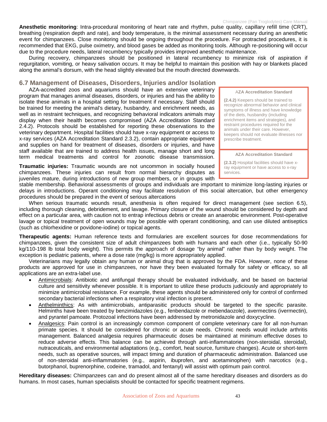**Anesthetic monitoring**: Intra-procedural monitoring of heart rate and rhythm, pulse quality, capillary refill time (CRT), breathing (respiration depth and rate), and body temperature, is the minimal assessment necessary during an anesthetic event for chimpanzees. Close monitoring should be ongoing throughout the procedure. For protracted procedures, it is recommended that EKG, pulse oximetry, and blood gases be added as monitoring tools. Although re-positioning will occur due to the procedure needs, lateral recumbency typically provides improved anesthetic maintenance.

During recovery, chimpanzees should be positioned in lateral recumbency to minimize risk of aspiration if regurgitation, vomiting, or heavy salivation occurs. It may be helpful to maintain this position with hay or blankets placed along the animal's dorsum, with the head slightly elevated but the mouth directed downwards.

### **6.7 Management of Diseases, Disorders, Injuries and/or Isolation**

AZA-accredited zoos and aquariums should have an extensive veterinary program that manages animal diseases, disorders, or injuries and has the ability to isolate these animals in a hospital setting for treatment if necessary. Staff should be trained for meeting the animal's dietary, husbandry, and enrichment needs, as well as in restraint techniques, and recognizing behavioral indicators animals may display when their health becomes compromised (AZA Accreditation Standard 2.4.2). Protocols should be established for reporting these observations to the veterinary department. Hospital facilities should have x-ray equipment or access to x-ray services (AZA Accreditation Standard 2.3.2), contain appropriate equipment and supplies on hand for treatment of diseases, disorders or injuries, and have staff available that are trained to address health issues, manage short and long term medical treatments and control for zoonotic disease transmission.

**Traumatic injuries:** Traumatic wounds are not uncommon in socially housed chimpanzees. These injuries can result from normal hierarchy disputes as juveniles mature, during introductions of new group members, or in groups with

#### A**ZA Accreditation Standard**

**(2.4.2)** Keepers should be trained to recognize abnormal behavior and clinical symptoms of illness and have knowledge of the diets, husbandry (including enrichment items and strategies), and restraint procedures required for the animals under their care. However, keepers should not evaluate illnesses nor prescribe treatment.

#### **AZA Accreditation Standard**

**(2.3.2)** Hospital facilities should have xray equipment or have access to x-ray services.

stable membership. Behavioral assessments of groups and individuals are important to minimize long-lasting injuries or delays in introductions. Operant conditioning may facilitate resolution of this social altercation, but other emergency procedures should be prepared in the event of serious altercations

When serious traumatic wounds result, anesthesia is often required for direct management (see section 6.5), including thorough cleaning, debridement, and lavage. Primary closure of the wound should be considered by depth and effect on a particular area, with caution not to entrap infectious debris or create an anaerobic environment. Post-operative lavage or topical treatment of open wounds may be possible with operant conditioning, and can use diluted antiseptics (such as chlorhexidine or povidone-iodine) or topical agents.

**Therapeutic agents:** Human reference texts and formularies are excellent sources for dose recommendations for chimpanzees, given the consistent size of adult chimpanzees both with humans and each other (i.e., typically 50-90 kg/110-198 lb total body weight). This permits the approach of dosage "by animal" rather than by body weight. The exception is pediatric patients, where a dose rate (mg/kg) is more appropriately applied.

Veterinarians may legally obtain any human or animal drug that is approved by the FDA. However, none of these products are approved for use in chimpanzees, nor have they been evaluated formally for safety or efficacy, so all applications are an extra-label use.

- Antimicrobials: Antibiotic and antifungal therapy should be evaluated individually, and be based on bacterial culture and sensitivity whenever possible. It is important to utilize these products judiciously and appropriately to minimize antimicrobial resistance. For example, these agents should be administered only for control of confirmed secondary bacterial infections when a respiratory viral infection is present.
- Anthelminthics: As with antimicrobials, antiparasitic products should be targeted to the specific parasite. Helminths have been treated by benzimidazoles (e.g., fenbendazole or mebendaozole), avermectins (ivermectin), and pyrantel pamoate. Protozoal infections have been addressed by metronidazole and doxycycline.
- Analgesics: Pain control is an increasingly common component of complete veterinary care for all non-human primate species. It should be considered for chronic or acute needs. Chronic needs would include arthritis management. Balanced analgesia requires pharmaceutic doses be maintained at minimum effective doses to reduce adverse effects. This balance can be achieved through anti-inflammatories (non-steroidal, steroidal), nutraceuticals, and environmental adaptations (e.g., comfort, heat source, furniture changes). Acute or short-term needs, such as operative sources, will impact timing and duration of pharmaceutic administration. Balanced use of non-steroidal anti-inflammatories (e.g., aspirin, ibuprofen, and acetaminophen) with narcotics (e.g., butorphanol, buprenorphine, codeine, tramadol, and fentanyl) will assist with optimum pain control.

**Hereditary diseases:** Chimpanzees can and do present almost all of the same hereditary diseases and disorders as do humans. In most cases, human specialists should be contacted for specific treatment regimens.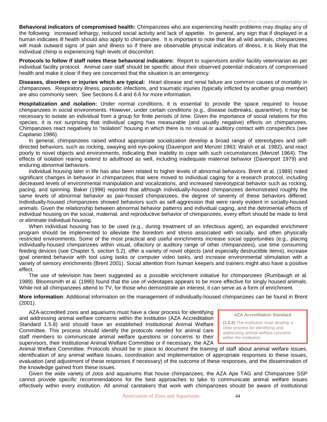**Behavioral indicators of compromised health:** Chimpanzees who are experiencing health problems may display any of the following: increased lethargy, reduced social activity and lack of appetite. In general, any sign that if displayed in a human indicates ill health should also apply to chimpanzee. It is important to note that like all wild animals, chimpanzees will mask outward signs of pain and illness so if there are observable physical indicators of illness, it is likely that the individual chimp is experiencing high levels of discomfort.

**Protocols to follow if staff notes these behavioral indicators:** Report to supervisors and/or facility veterinarian as per individual facility protocol. Animal care staff should be specific about their observed potential indicators of compromised health and make it clear if they are concerned that the situation is an emergency.

**Diseases, disorders or injuries which are typical:** Heart disease and renal failure are common causes of mortality in chimpanzees. Respiratory illness, parasitic infections, and traumatic injuries (typically inflicted by another group member) are also commonly seen. See Sections 6.4 and 6.6 for more information.

**Hospitalization and isolation:** Under normal conditions, it is essential to provide the space required to house chimpanzees in social environments. However, under certain conditions (e.g., disease outbreaks, quarantine), it may be necessary to isolate an individual from a group for finite periods of time. Given the importance of social relations for this species, it is not surprising that individual caging has measurable (and usually negative) effects on chimpanzees. Chimpanzees react negatively to "isolation" housing in which there is no visual or auditory contact with conspecifics (see Capitanio 1986).

In general, chimpanzees raised without appropriate socialization develop a broad range of stereotypies and selfdirected behaviors, such as rocking, swaying and eye-poking (Davenport and Menzel 1963; Walsh et al. 1982), and react poorly to novel objects and environments, indicating their inability to cope with such circumstances (Menzel 1964). The effects of isolation rearing extend to adulthood as well, including inadequate maternal behavior (Davenport 1979) and enduring abnormal behaviors.

Individual housing later in life has also been related to higher levels of abnormal behaviors. Brent et al. (1989) noted significant changes in behavior in chimpanzees that were moved to individual caging for a research protocol, including decreased levels of environmental manipulation and vocalizations, and increased stereotypical behavior such as rocking, pacing, and spinning. Baker (1996) reported that although individually-housed chimpanzees demonstrated roughly the same levels of abnormal behavior as pair-housed chimpanzees, the degree of severity of these behaviors differed. Individually-housed chimpanzees showed behaviors such as self-aggression that were rarely evident in socially-housed animals. Given the relationship between abnormal behavior patterns and individual caging, and the detrimental effects of individual housing on the social, maternal, and reproductive behavior of chimpanzees, every effort should be made to limit or eliminate individual housing.

When individual housing has to be used (e.g., during treatment of an infectious agent), an expanded enrichment program should be implemented to alleviate the boredom and stress associated with socially, and often physically restricted environments. Some of the most practical and useful enrichments increase social opportunities (e.g., placing individually-housed chimpanzees within visual, olfactory or auditory range of other chimpanzees), use time consuming feeding devices (see Chapter 5, section 5.2), offer a variety of novel objects (and especially destructible items), increase goal oriented behavior with tool using tasks or computer video tasks, and increase environmental stimulation with a variety of sensory enrichments (Brent 2001). Social attention from human keepers and trainers might also have a positive effect.

The use of television has been suggested as a possible enrichment initiative for chimpanzees (Rumbaugh et al. 1989). Bloomsmith et al. (1990) found that the use of videotapes appears to be more effective for singly housed animals. While not all chimpanzees attend to TV, for those who demonstrate an interest, it can serve as a form of enrichment.

**More information**: Additional information on the management of individually-housed chimpanzees can be found in Brent (2001).

AZA-accredited zoos and aquariums must have a clear process for identifying and addressing animal welfare concerns within the institution (AZA Accreditation Standard 1.5.8) and should have an established Institutional Animal Welfare Committee. This process should identify the protocols needed for animal care staff members to communicate animal welfare questions or concerns to their supervisors, their Institutional Animal Welfare Committee or if necessary, the AZA

**AZA Accreditation Standard**

**(1.5.8)** The institution must develop a clear process for identifying and addressing animal welfare concerns within the institution.

Animal Welfare Committee. Protocols should be in place to document the training of staff about animal welfare issues, identification of any animal welfare issues, coordination and implementation of appropriate responses to these issues, evaluation (and adjustment of these responses if necessary) of the outcome of these responses, and the dissemination of the knowledge gained from these issues.

Given the wide variety of zoos and aquariums that house chimpanzees, the AZA Ape TAG and Chimpanzee SSP cannot provide specific recommendations for the best approaches to take to communicate animal welfare issues effectively within every institution. All animal caretakers that work with chimpanzees should be aware of institutional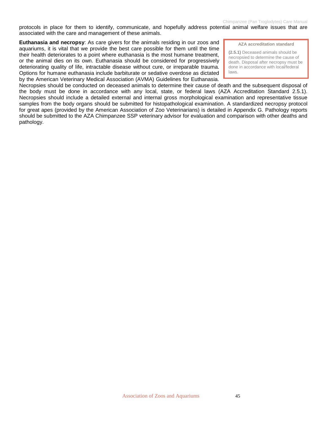protocols in place for them to identify, communicate, and hopefully address potential animal welfare issues that are associated with the care and management of these animals.

**Euthanasia and necropsy**: As care givers for the animals residing in our zoos and aquariums, it is vital that we provide the best care possible for them until the time their health deteriorates to a point where euthanasia is the most humane treatment, or the animal dies on its own. Euthanasia should be considered for progressively deteriorating quality of life, intractable disease without cure, or irreparable trauma. Options for humane euthanasia include barbiturate or sedative overdose as dictated by the American Veterinary Medical Association (AVMA) Guidelines for Euthanasia.

#### **AZA accreditation standard**

**(2.5.1)** Deceased animals should be necropsied to determine the cause of death. Disposal after necropsy must be done in accordance with local/federal laws.

Necropsies should be conducted on deceased animals to determine their cause of death and the subsequent disposal of the body must be done in accordance with any local, state, or federal laws (AZA Accreditation Standard 2.5.1). Necropsies should include a detailed external and internal gross morphological examination and representative tissue samples from the body organs should be submitted for histopathological examination. A standardized necropsy protocol for great apes (provided by the American Association of Zoo Veterinarians) is detailed in Appendix G. Pathology reports should be submitted to the AZA Chimpanzee SSP veterinary advisor for evaluation and comparison with other deaths and pathology.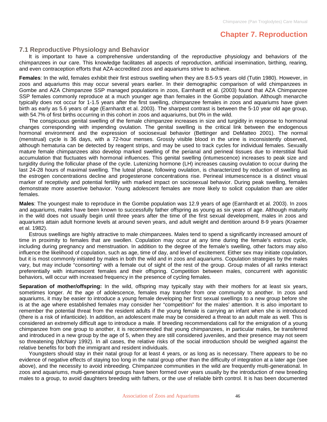# **Chapter 7. Reproduction**

### **7.1 Reproductive Physiology and Behavior**

It is important to have a comprehensive understanding of the reproductive physiology and behaviors of the chimpanzees in our care. This knowledge facilitates all aspects of reproduction, artificial insemination, birthing, rearing, and even contraception efforts that AZA-accredited zoos and aquariums strive to achieve.

**Females**: In the wild, females exhibit their first estrous swelling when they are 8.5-9.5 years old (Tutin 1980). However, in zoos and aquariums this may occur several years earlier. In their demographic comparison of wild chimpanzees in Gombe and AZA Chimpanzee SSP managed populations in zoos, Earnhardt et al. (2003) found that AZA Chimpanzee SSP females commonly reproduce at a much younger age than females in the Gombe population. Although menarche typically does not occur for 1-1.5 years after the first swelling, chimpanzee females in zoos and aquariums have given birth as early as 5.6 years of age (Earnhardt et al. 2003). The sharpest contrast is between the 5-10 year old age group, with 54.7% of first births occurring in this cohort in zoos and aquariums, but 0% in the wild.

The conspicuous genital swelling of the female chimpanzee increases in size and turgidity in response to hormonal changes corresponding with impending ovulation. The genital swelling is the critical link between the endogenous hormonal environment and the expression of sociosexual behavior (Bettinger and DeMatteo 2001). The normal (menstrual) cycle is 36 days, with a 72-hour menses. Grossly visible blood in the urine is inconsistently observed, although hematuria can be detected by reagent strips, and may be used to track cycles for individual females. Sexually mature female chimpanzees also develop marked swelling of the perianal and perineal tissues due to interstitial fluid accumulation that fluctuates with hormonal influences. This genital swelling (intumescence) increases to peak size and turgidity during the follicular phase of the cycle. Lutenizing hormone (LH) increases causing ovulation to occur during the last 24-28 hours of maximal swelling. The luteal phase, following ovulation, is characterized by reduction of swelling as the estrogen concentrations decline and progesterone concentrations rise. Perineal intumescensce is a distinct visual marker of receptivity and potential fertility with marked impact on sociosexual behavior. During peak swelling, females demonstrate more assertive behavior. Young adolescent females are more likely to solicit copulation than are older females.

**Males**: The youngest male to reproduce in the Gombe population was 12.9 years of age (Earnhardt et al. 2003). In zoos and aquariums, males have been known to successfully father offspring as young as six years of age. Although maturity in the wild does not usually begin until three years after the time of the first sexual development, males in zoos and aquariums attain adult hormone levels at around seven years, and adult weight and dentition around 8-9 years (Kraemer et al. 1982).

Estrous swellings are highly attractive to male chimpanzees. Males tend to spend a significantly increased amount of time in proximity to females that are swollen. Copulation may occur at any time during the female's estrous cycle, including during pregnancy and menstruation. In addition to the degree of the female's swelling, other factors may also influence the likelihood of copulation, such as age, time of day, and level of excitement. Either sex may initiate copulation, but it is most commonly initiated by males in both the wild and in zoos and aquariums. Copulation strategies by the males vary, but may include "consorting" with a female out of sight of the rest of the group. Group males of all ranks interact preferentially with intumescent females and their offspring. Competition between males, concurrent with agonistic behaviors, will occur with increased frequency in the presence of cycling females.

**Separation of mother/offspring:** In the wild, offspring may typically stay with their mothers for at least six years, sometimes longer. At the age of adolescence, females may transfer from one community to another. In zoos and aquariums, it may be easier to introduce a young female developing her first sexual swellings to a new group before she is at the age where established females may consider her "competition" for the males' attention. It is also important to remember the potential threat from the resident adults if the young female is carrying an infant when she is introduced (there is a risk of infanticide). In addition, an adolescent male may be considered a threat to an adult male as well. This is considered an extremely difficult age to introduce a male. If breeding recommendations call for the emigration of a young chimpanzee from one group to another, it is recommended that young chimpanzees, in particular males, be transferred and introduced in a new group by the age of 5, when they are still considered juveniles, and their presence may not seem so threatening (McNary 1992). In all cases, the relative risks of the social introduction should be weighed against the relative benefits for both the immigrant and resident individuals.

Youngsters should stay in their natal group for at least 4 years, or as long as is necessary. There appears to be no evidence of negative effects of staying too long in the natal group other than the difficulty of integration at a later age (see above), and the necessity to avoid inbreeding. Chimpanzee communities in the wild are frequently multi-generational. In zoos and aquariums, multi-generational groups have been formed over years usually by the introduction of new breeding males to a group, to avoid daughters breeding with fathers, or the use of reliable birth control. It is has been documented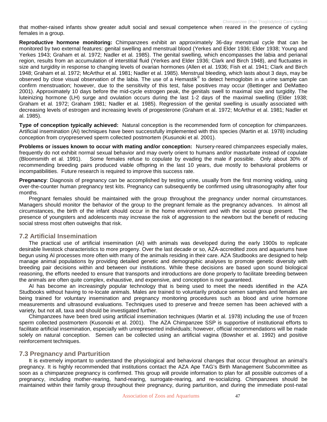that mother-raised infants show greater adult social and sexual competence when reared in the presence of cycling females in a group.

**Reproductive hormone monitoring:** Chimpanzees exhibit an approximately 36-day menstrual cycle that can be monitored by two external features: genital swelling and menstrual blood (Yerkes and Elder 1936; Elder 1938; Young and Yerkes 1943; Graham et al. 1972; Nadler et al. 1985). The genital swelling, which encompasses the labia and perianal region, results from an accumulation of interstitial fluid (Yerkes and Elder 1936; Clark and Birch 1948), and fluctuates in size and turgidity in response to changing levels of ovarian hormones (Allen et al. 1936; Fish et al. 1941; Clark and Birch 1948; Graham et al. 1972; McArthur et al. 1981; Nadler et al. 1985). Menstrual bleeding, which lasts about 3 days, may be observed by close visual observation of the labia. The use of a Hemastik® to detect hemoglobin in a urine sample can confirm menstruation; however, due to the sensitivity of this test, false positives may occur (Bettinger and DeMatteo 2001). Approximately 10 days before the mid-cycle estrogen peak, the genitals swell to maximal size and turgidity. The luteinizing hormone (LH) surge and ovulation occurs during the last 1-2 days of the maximal swelling (Elder 1938; Graham et al. 1972; Graham 1981; Nadler et al. 1985). Regression of the genital swelling is usually associated with decreasing levels of estrogen and increasing levels of progesterone (Graham et al. 1972; McArthur et al. 1981; Nadler et al. 1985).

**Type of conception typically achieved:** Natural conception is the recommended form of conception for chimpanzees. Artificial insemination (AI) techniques have been successfully implemented with this species (Martin et al. 1978) including conception from cryopreserved sperm collected postmortem (Kusunoki et al. 2001).

**Problems or issues known to occur with mating and/or conception:** Nursery-reared chimpanzees especially males, frequently do not exhibit normal sexual behavior and may overly orient to humans and/or masturbate instead of copulate (Bloomsmith et al. 1991). Some females refuse to copulate by evading the male if possible. Only about 30% of recommending breeding pairs produced viable offspring in the last 10 years, due mostly to behavioral problems or incompatibilities. Future research is required to improve this success rate.

**Pregnancy**: Diagnosis of pregnancy can be accomplished by testing urine, usually from the first morning voiding, using over-the-counter human pregnancy test kits. Pregnancy can subsequently be confirmed using ultrasonography after four months.

Pregnant females should be maintained with the group throughout the pregnancy under normal circumstances. Managers should monitor the behavior of the group to the pregnant female as the pregnancy advances. In almost all circumstances, the birth of the infant should occur in the home environment and with the social group present. The presence of youngsters and adolescents may increase the risk of aggression to the newborn but the benefit of reducing social stress most often outweighs that risk.

## **7.2 Artificial Insemination**

The practical use of artificial insemination (AI) with animals was developed during the early 1900s to replicate desirable livestock characteristics to more progeny. Over the last decade or so, AZA-accredited zoos and aquariums have begun using AI processes more often with many of the animals residing in their care. AZA Studbooks are designed to help manage animal populations by providing detailed genetic and demographic analyses to promote genetic diversity with breeding pair decisions within and between our institutions. While these decisions are based upon sound biological reasoning, the efforts needed to ensure that transports and introductions are done properly to facilitate breeding between the animals are often quite complex, exhaustive, and expensive, and conception is not guaranteed.

AI has become an increasingly popular technology that is being used to meet the needs identified in the AZA Studbooks without having to re-locate animals. Males are trained to voluntarily produce semen samples and females are being trained for voluntary insemination and pregnancy monitoring procedures such as blood and urine hormone measurements and ultrasound evaluations. Techniques used to preserve and freeze semen has been achieved with a variety, but not all, taxa and should be investigated further.

Chimpanzees have been bred using artificial insemination techniques (Martin et al. 1978) including the use of frozen sperm collected postmortem (Kusonoki et al. 2001). The AZA Chimpanzee SSP is supportive of institutional efforts to facilitate artificial insemination, especially with unrepresented individuals; however, official recommendations will be made solely on natural conception. Semen can be collected using an artificial vagina (Bowsher et al. 1992) and positive reinforcement techniques.

## **7.3 Pregnancy and Parturition**

It is extremely important to understand the physiological and behavioral changes that occur throughout an animal's pregnancy. It is highly recommended that institutions contact the AZA Ape TAG's Birth Management Subcommittee as soon as a chimpanzee pregnancy is confirmed. This group will provide information to plan for all possible outcomes of a pregnancy, including mother-rearing, hand-rearing, surrogate-rearing, and re-socializing. Chimpanzees should be maintained within their family group throughout their pregnancy, during parturition, and during the immediate post-natal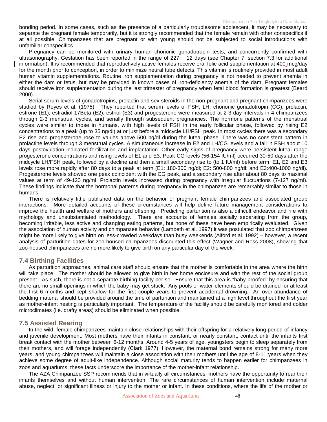bonding period. In some cases, such as the presence of a particularly troublesome adolescent, it may be necessary to separate the pregnant female temporarily, but it is strongly recommended that the female remain with other conspecifics if at all possible. Chimpanzees that are pregnant or with young should not be subjected to social introductions with unfamiliar conspecifics.

Pregnancy can be monitored with urinary human chorionic gonadotropin tests, and concurrently confirmed with ultrasonography. Gestation has been reported in the range of 227 + 12 days (see Chapter 7, section 7.3 for additional information). It is recommended that reproductively active females receive oral folic acid supplementation at 400 mcg/day for the month prior to conception, in order to minimize neural tube defects. This vitamin is routinely provided in most adult human vitamin supplementations. Routine iron supplementation during pregnancy is not needed to prevent anemia in either the dam or fetus, but may be provided in known cases of iron-deficiency anemia of the dam. Pregnant females should receive iron supplementation during the last trimester of pregnancy when fetal blood formation is greatest (Beard 2000).

Serial serum levels of gonadotropins, prolactin and sex steroids in the non-pregnant and pregnant chimpanzees were studied by Reyes et al. (1975). They reported that serum levels of FSH, LH, chorionic gonadotropin (CG), prolactin, estrone (E1), estradiol-17Beta (E2), estriol (E3) and progesterone were measured at 2-3 day intervals in 4 chimpanzees through 2-3 menstrual cycles, and serially through subsequent pregnancies. The hormone patterns of the menstrual cycles were similar to those in humans, with high levels of FSH in the early follicular phase, followed by rising E2 concentrations to a peak (up to 35 ng/dl) at or just before a midcycle LH/FSH peak. In most cycles there was a secondary E2 rise and progesterone rose to values above 500 ng/dl during the luteal phase. There was no consistent pattern in prolactine levels through 3 menstrual cycles. A simultaneous increase in E2 and LH/CG levels and a fall in FSH about 10 days postovulation indicated fertilization and implantation. Other early signs of pregnancy were persistent luteal range progesterone concentrations and rising levels of E1 and E3. Peak CG levels (56-154 IU/ml) occurred 30-50 days after the midcycle LH/FSH peak, followed by a decline and then a small secondary rise to (to 1 IU/ml) before term. E1, E2 and E3 levels rose more rapidly after 80 days to a peak at term (E1: 180-300 ng/dl; E2: 500-800 ng/dl; and E3:400-1000 ng/dl). Progesterone levels showed one peak coincident with the CG peak, and a secondary rise after about 80 days to maximal values at term of 49-120 ng/ml. Prolactin levels increased during pregnancy with irregular fluctuations (7-127 ng/ml). These findings indicate that the hormonal patterns during pregnancy in the chimpanzee are remarkably similar to those in humans.

There is relatively little published data on the behavior of pregnant female chimpanzees and associated group interactions. More detailed accounts of these circumstances will help define future management considerations to improve the health and welfare of mothers and offspring. Predicting parturition is also a difficult endeavor and rife with mythology and unsubstantiated methodology. There are accounts of females socially separating from the group, becoming irritable, less active and changing eating patterns, but none of these have been empirically evaluated. Given the association of human activity and chimpanzee behavior (Lambeth et al. 1997) it was postulated that zoo chimpanzees might be more likely to give birth on less-crowded weekdays than busy weekends (Alford et al. 1992) – however, a recent analysis of parturition dates for zoo-housed chimpanzees discounted this effect (Wagner and Ross 2008), showing that zoo-housed chimpanzees are no more likely to give birth on any particular day of the week.

## **7.4 Birthing Facilities**

As parturition approaches, animal care staff should ensure that the mother is comfortable in the area where the birth will take place. The mother should be allowed to give birth in her home enclosure and with the rest of the social group present. As such, there is not a separate birthing facility per se. Ensure that this area is "baby-proofed" by ensuring that there are no small openings in which the baby may get stuck. Any pools or water-elements should be drained for at least the first 6 months and kept shallow for the first couple years to prevent accidental drowning. An over-abundance of bedding material should be provided around the time of parturition and maintained at a high level throughout the first year as mother-infant nesting is particularly important. The temperature of the facility should be carefully monitored and colder microclimates (i.e. drafty areas) should be eliminated when possible.

## **7.5 Assisted Rearing**

In the wild, female chimpanzees maintain close relationships with their offspring for a relatively long period of infancy and juvenile development. Most mothers have their infants in constant, or nearly constant, contact until the infants first break contact with the mother between 6-12 months. Around 4-5 years of age, youngsters begin to sleep separately from their mothers, and will forage independently (Clark 1977). However, the maternal bond remains strong for many more years, and young chimpanzees will maintain a close association with their mothers until the age of 8-11 years when they achieve some degree of adult-like independence. Although social maturity tends to happen earlier for chimpanzees in zoos and aquariums, these facts underscore the importance of the mother-infant relationship.

The AZA Chimpanzee SSP recommends that in virtually all circumstances, mothers have the opportunity to rear their infants themselves and without human intervention. The rare circumstances of human intervention include maternal abuse, neglect, or significant illness or injury to the mother or infant. In these conditions, where the life of the mother or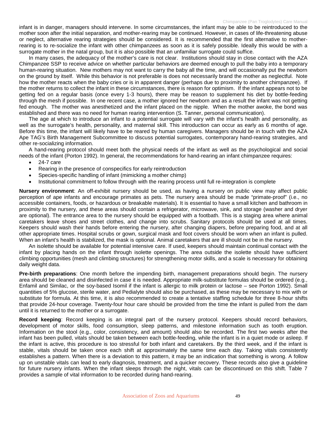infant is in danger, managers should intervene. In some circumstances, the infant may be able to be reintroduced to the mother soon after the initial separation, and mother-rearing may be continued. However, in cases of life-threatening abuse or neglect, alternative rearing strategies should be considered. It is recommended that the first alternative to motherrearing is to re-socialize the infant with other chimpanzees as soon as it is safely possible. Ideally this would be with a surrogate mother in the natal group, but it is also possible that an unfamiliar surrogate could suffice.

In many cases, the adequacy of the mother's care is not clear. Institutions should stay in close contact with the AZA Chimpanzee SSP to receive advice on whether particular behaviors are deemed enough to pull the baby into a temporary human-rearing situation. New mothers may not want to carry the baby all the time, and will occasionally put the newborn on the ground by itself. While this behavior is not preferable is does not necessarily brand the mother as neglectful. Note how the mother reacts when the baby cries or is in apparent danger (perhaps due to proximity to another chimpanzee). If the mother returns to collect the infant in these circumstances, there is reason for optimism. If the infant appears not to be getting fed on a regular basis (once every 1-3 hours), there may be reason to supplement his diet by bottle-feeding through the mesh if possible. In one recent case, a mother ignored her newborn and as a result the infant was not getting fed enough. The mother was anesthetized and the infant placed on the nipple. When the mother awoke, the bond was established and there was no need for human rearing intervention (S. Tanner, personal communication).

The age at which to introduce an infant to a potential surrogate will vary with the infant's health and personality, as well as the surrogate's health, personality, and maternal skill. This introduction can occur as early as 6 months of age. Before this time, the infant will likely have to be reared by human caregivers. Managers should be in touch with the AZA Ape TAG's Birth Management Subcommittee to discuss potential surrogates, contemporary hand-rearing strategies, and other re-socializing information.

A hand-rearing protocol should meet both the physical needs of the infant as well as the psychological and social needs of the infant (Porton 1992). In general, the recommendations for hand-rearing an infant chimpanzee requires:

- 24-7 care
- Rearing in the presence of conspecifics for early reintroduction
- Species-specific handling of infant (mimicking a mother chimp)
- Institutional commitment to follow through with the rearing process until full re-integration is complete

**Nursery environment**: An off-exhibit nursery should be used, as having a nursery on public view may affect public perception of ape infants and encourage primates as pets. The nursery area should be made "primate-proof" (i.e., no accessible containers, foods, or hazardous or breakable materials). It is essential to have a small kitchen and bathroom in proximity to the nursery, and these areas should contain a refrigerator, microwave, sink, and storage (washer and dryer are optional). The entrance area to the nursery should be equipped with a footbath. This is a staging area where animal caretakers leave shoes and street clothes, and change into scrubs. Sanitary protocols should be used at all times. Keepers should wash their hands before entering the nursery, after changing diapers, before preparing food, and at all other appropriate times. Hospital scrubs or gown, surgical mask and foot covers should be worn when an infant is pulled. When an infant's health is stabilized, the mask is optional. Animal caretakers that are ill should not be in the nursery.

An isolette should be available for potential intensive care. If used, keepers should maintain continual contact with the infant by placing hands on the infant through isolette openings. The area outside the isolette should have sufficient climbing opportunities (mesh and climbing structures) for strengthening motor skills, and a scale is necessary for obtaining daily weight data.

**Pre-birth preparations**: One month before the impending birth, management preparations should begin. The nursery area should be cleaned and disinfected in case it is needed. Appropriate milk-substitute formulas should be ordered (e.g., Enfamil and Similac, or the soy-based Isomil if the infant is allergic to milk protein or lactose – see Porton 1992). Small quantities of 5% glucose, sterile water, and Pedialyte should also be purchased, as these may be necessary to mix with or substitute for formula. At this time, it is also recommended to create a tentative staffing schedule for three 8-hour shifts that provide 24-hour coverage. Twenty-four hour care should be provided from the time the infant is pulled from the dam until it is returned to the mother or a surrogate.

**Record keeping**: Record keeping is an integral part of the nursery protocol. Keepers should record behaviors, development of motor skills, food consumption, sleep patterns, and milestone information such as tooth eruption. Information on the stool (e.g., color, consistency, and amount) should also be recorded. The first two weeks after the infant has been pulled, vitals should be taken between each bottle-feeding, while the infant is in a quiet mode or asleep. If the infant is active, this procedure is too stressful for both infant and caretakers. By the third week, and if the infant is stable, vitals should be taken once each shift at approximately the same time each day. Taking vitals consistently establishes a pattern. When there is a deviation to this pattern, it may be an indication that something is wrong. A follow up on unstable vitals can lead to early diagnosis, treatment, and a quicker recovery. These records also give a guideline for future nursery infants. When the infant sleeps through the night, vitals can be discontinued on this shift. Table 7 provides a sample of vital information to be recorded during hand-rearing.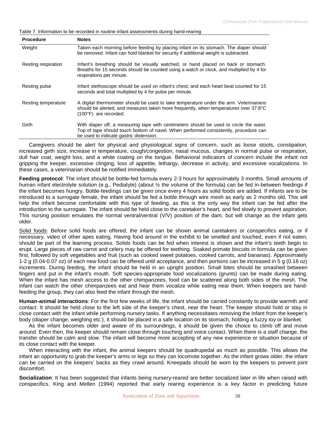Table 7: Information to be recorded in routine infant assessments during hand-rearing

| <b>Procedure</b>    | <b>Notes</b>                                                                                                                                                                                                              |
|---------------------|---------------------------------------------------------------------------------------------------------------------------------------------------------------------------------------------------------------------------|
| Weight              | Taken each morning before feeding by placing infant on its stomach. The diaper should<br>be removed. Infant can hold blanket for security if additional weight is subtracted.                                             |
| Resting respiration | Infant's breathing should be visually watched, or hand placed on back or stomach.<br>Breaths for 15 seconds should be counted using a watch or clock, and multiplied by 4 for<br>respirations per minute.                 |
| Resting pulse       | Infant stethoscope should be used on infant's chest; and each heart beat counted for 15<br>seconds and total multiplied by 4 for pulse per minute.                                                                        |
| Resting temperature | A digital thermometer should be used to take temperature under the arm. Veterinarians<br>should be alerted, and measures taken more frequently, when temperatures over 37.8°C<br>$(100^{\circ}F)$ are recorded.           |
| Girth               | With diaper off, a measuring tape with centimeters should be used to circle the waist.<br>Top of tape should touch bottom of navel. When performed consistently, procedure can<br>be used to indicate gastric distension. |

Caregivers should be alert for physical and physiological signs of concern, such as loose stools, constipation, increased girth size, increase in temperature, cough/congestion, nasal mucous, changes in normal pulse or respiration, dull hair coat, weight loss, and a white coating on the tongue. Behavioral indicators of concern include the infant not gripping the keeper, excessive clinging, loss of appetite, lethargy, decrease in activity, and excessive vocalizations. In these cases, a veterinarian should be notified immediately.

**Feeding protocol**: The infant should be bottle-fed formula every 2-3 hours for approximately 3 months. Small amounts of human infant electrolyte solution (e.g., Pedialyte) (about ½ the volume of the formula) can be fed in-between feedings if the infant becomes hungry. Bottle-feedings can be given once every 4 hours as solid foods are added. If infants are to be introduced to a surrogate female, the infant should be fed a bottle through wire mesh as early as 2 months old. This will help the infant become comfortable with this type of feeding, as this is the only way the infant can be fed after the introduction to the surrogate. The infant should be held close to the caretaker's heart, and fed slowly to prevent aspiration. This nursing position emulates the normal ventral/ventral (V/V) position of the dam, but will change as the infant gets older.

Solid foods: Before solid foods are offered, the infant can be shown animal caretakers or conspecifics eating, or if necessary, video of other apes eating. Having food around in the exhibit to be smelled and touched, even if not eaten, should be part of the learning process. Solids foods can be fed when interest is shown and the infant's teeth begin to erupt. Large pieces of raw carrot and celery may be offered for teething. Soaked primate biscuits in formula can be given first, followed by soft vegetables and fruit (such as cooked sweet potatoes, cooked carrots, and bananas). Approximately 1-2 g (0.04-0.07 oz) of each new food can be offered until acceptance, and then portions can be increased in 5 g (0.18 oz) increments. During feeding, the infant should be held in an upright position. Small bites should be smashed between fingers and put in the infant's mouth. Soft species-appropriate food vocalizations (grunts) can be made during eating. When the infant has mesh access to the other chimpanzees, food can be scattered along both sides of the mesh. The infant can watch the other chimpanzees eat and hear them vocalize while eating near them. When keepers are handfeeding the group, they can also feed the infant through the mesh.

**Human-animal interactions**: For the first few weeks of life, the infant should be carried constantly to provide warmth and contact. It should be held close to the left side of the keeper's chest, near the heart. The keeper should hold or stay in close contact with the infant while performing nursery tasks. If anything necessitates removing the infant from the keeper's body (diaper change, weighing etc.), it should be placed in a safe location on its stomach, holding a fuzzy toy or blanket.

As the infant becomes older and aware of its surroundings, it should be given the choice to climb off and move around. Even then, the keeper should remain close through touching and voice contact. When there is a staff change, the transfer should be calm and slow. The infant will become more accepting of any new experience or situation because of its close contact with the keeper.

When interacting with the infant, the animal keepers should be quadrupedal as much as possible. This allows the infant an opportunity to grab the keeper's arms or legs so they can locomote together. As the infant grows older, the infant can be carried on the keepers' backs as they crawl around. Kneepads should be worn by the keepers to prevent joint discomfort.

**Socialization**: It has been suggested that infants being nursery-reared are better socialized later in life when raised with conspecifics. King and Mellen (1994) reported that early rearing experience is a key factor in predicting future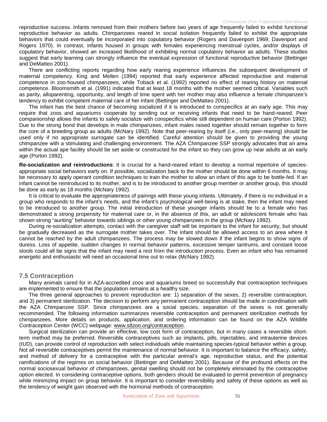reproductive success. Infants removed from their mothers before two years of age frequently failed to exhibit functional reproductive behavior as adults. Chimpanzees reared in social isolation frequently failed to exhibit the appropriate behaviors that could eventually be incorporated into copulatory behavior (Rogers and Davenport 1969; Davenport and Rogers 1970). In contrast, infants housed in groups with females experiencing menstrual cycles, and/or displays of copulatory behavior, showed an increased likelihood of exhibiting normal copulatory behavior as adults. These studies suggest that early learning can strongly influence the eventual expression of functional reproductive behavior (Bettinger and DeMatteo 2001).

There are conflicting reports regarding how early rearing experience influences the subsequent development of maternal competency. King and Mellen (1994) reported that early experience affected reproductive and maternal competence in zoo-housed chimpanzees, while Toback et al. (1992) reported no effect of rearing history on maternal competence. Bloomsmith et al. (1991) indicated that at least 18 months with the mother seemed critical. Variables such as parity, alloparenting, opportunity, and length of time spent with her mother may also influence a female chimpanzee's tendency to exhibit competent maternal care of her infant (Bettinger and DeMatteo 2001).

The infant has the best chance of becoming socialized if it is introduced to conspecifics at an early age. This may require that zoos and aquariums cooperate by sending out or receiving infants that need to be hand-reared. Peer companionship allows the infants to safely socialize with conspecifics while still dependent on human care (Porton 1992). Due to the strong bond that develops in male chimpanzees, infant males raised together should remain together to form the core of a breeding group as adults (McNary 1992). Note that peer-rearing by itself (i.e., only peer-rearing) should be used only if no appropriate surrogate can be identified. Careful attention should be given to providing the young chimpanzee with a stimulating and challenging environment. The AZA Chimpanzee SSP strongly advocates that an area within the actual ape facility should be set aside or constructed for the infant so they can grow up near adults at an early age (Porton 1992).

**Re-socialization and reintroductions**: It is crucial for a hand-reared infant to develop a normal repertoire of speciesappropriate social behaviors early on. If possible, socialization back to the mother should be done within 6 months. It may be necessary to apply operant condition techniques to train the mother to allow an infant of this age to be bottle-fed. If an infant cannot be reintroduced to its mother, and is to be introduced to another group member or another group, this should be done as early as 18 months (McNary 1992).

It is critical to evaluate the appropriateness of pairings with these young infants. Ultimately, if there is no individual in a group who responds to the infant's needs, and the infant's psychological well-being is at stake, then the infant may need to be introduced to another group. The initial introduction of these younger infants should be to a female who has demonstrated a strong propensity for maternal care or, in the absence of this, an adult or adolescent female who has shown strong "aunting" behavior towards siblings or other young chimpanzees in the group (McNary 1992).

During re-socialization attempts, contact with the caregiver staff will be important to the infant for security, but should be gradually decreased as the surrogate mother takes over. The infant should be allowed access to an area where it cannot be reached by the adult chimpanzees. The process may be slowed down if the infant begins to show signs of duress. Loss of appetite, sudden changes in normal behavior patterns, excessive temper tantrums, and constant loose stools could all be signs that the infant may need a rest from the introduction process. Even an infant who has remained energetic and enthusiastic will need an occasional time out to relax (McNary 1992).

## **7.5 Contraception**

Many animals cared for in AZA-accredited zoos and aquariums breed so successfully that contraception techniques are implemented to ensure that the population remains at a healthy size.

The three general approaches to prevent reproduction are: 1) separation of the sexes, 2) reversible contraception, and 3) permanent sterilization. The decision to perform any permanent contraception should be made in coordination with the AZA Chimpanzee SSP. Since chimpanzees are a social species, separation of the sexes is not generally recommended. The following information summarizes reversible contraception and permanent sterilization methods for chimpanzees. More details on products, application, and ordering information can be found on the AZA Wildlife Contraception Center (WCC) webpage: www.stlzoo.org/contraception.

Surgical sterilization can provide an effective, low cost form of contraception, but in many cases a reversible shortterm method may be preferred. Reversible contraceptives such as implants, pills, injectables, and intrauterine devices (IUD), can provide control of reproduction with select individuals while maintaining species-typical behavior within a group. Not all reversible contraceptives permit the maintenance of normal behavior. It is important to balance the efficacy, safety, and method of delivery for a contraceptive with the particular animal's age, reproductive status, and the potential ramifications of the regimes on social behavior (Bettinger and DeMatteo 2001). Because of the profound effects on the normal sociosexual behavior of chimpanzees, genital swelling should not be completely eliminated by the contraceptive option elected. In considering contraceptive options, both genders should be evaluated to permit prevention of pregnancy while minimizing impact on group behavior. It is important to consider reversibility and safety of these options as well as the tendency of weight gain observed with the hormonal methods of contraception.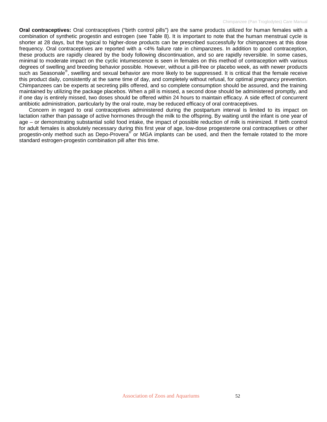**Oral contraceptives:** Oral contraceptives ("birth control pills") are the same products utilized for human females with a combination of synthetic progestin and estrogen (see Table 8). It is important to note that the human menstrual cycle is shorter at 28 days, but the typical to higher-dose products can be prescribed successfully for chimpanzees at this dose frequency. Oral contraceptives are reported with a <4% failure rate in chimpanzees. In addition to good contraception, these products are rapidly cleared by the body following discontinuation, and so are rapidly reversible. In some cases, minimal to moderate impact on the cyclic intumescence is seen in females on this method of contraception with various degrees of swelling and breeding behavior possible. However, without a pill-free or placebo week, as with newer products such as Seasonale®, swelling and sexual behavior are more likely to be suppressed. It is critical that the female receive this product daily, consistently at the same time of day, and completely without refusal, for optimal pregnancy prevention. Chimpanzees can be experts at secreting pills offered, and so complete consumption should be assured, and the training maintained by utilizing the package placebos. When a pill is missed, a second dose should be administered promptly, and if one day is entirely missed, two doses should be offered within 24 hours to maintain efficacy. A side effect of concurrent antibiotic administration, particularly by the oral route, may be reduced efficacy of oral contraceptives.

Concern in regard to oral contraceptives administered during the postpartum interval is limited to its impact on lactation rather than passage of active hormones through the milk to the offspring. By waiting until the infant is one year of age – or demonstrating substantial solid food intake, the impact of possible reduction of milk is minimized. If birth control for adult females is absolutely necessary during this first year of age, low-dose progesterone oral contraceptives or other progestin-only method such as Depo-Provera<sup>®</sup> or MGA implants can be used, and then the female rotated to the more standard estrogen-progestin combination pill after this time.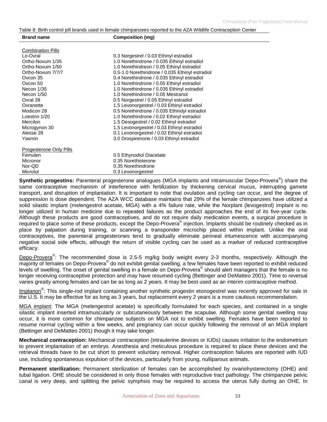Table 8: Birth control pill brands used in female chimpanzees reported to the AZA Wildlife Contraception Center

| <b>Brand name</b>        | Composition (mg)                                |  |
|--------------------------|-------------------------------------------------|--|
|                          |                                                 |  |
| <b>Combination Pills</b> |                                                 |  |
| Lo-Ovral                 | 0.3 Norgestrel / 0.03 Ethinyl estradiol         |  |
| Ortho-Novum 1/35         | 1.0 Norethindrone / 0.035 Ethinyl estradiol     |  |
| Ortho-Novum 1/50         | 1.0 Norethindreon / 0.05 Ethinyl estradiol      |  |
| Ortho-Novum 7/7/7        | 0.5-1.0 Norethindrone / 0.035 Ethinyl estradiol |  |
| Ovcon 35                 | 0.4 Norethindrone / 0.035 Ethinyl estradiol     |  |
| Ovcon 50                 | 1.0 Norethindrone / 0.05 Ethinyl estradiol      |  |
| Necon 1/35               | 1.0 Norethindrone / 0.035 Ethinyl estradiol     |  |
| Necon 1/50               | 1.0 Norethindrone / 0.05 Mestranol              |  |
| Ovral 28                 | 0.5 Norgestrel / 0.05 Ethinyl estradiol         |  |
| Ovranette                | 1.5 Levonorgestrel / 0.03 Ethinyl estradiol     |  |
| Modicon 28               | 0.5 Norethindrone / 0.035 Ethindyl estradiol    |  |
| Loestrin 1/20            | 1.0 Norethindrone / 0.02 Ethinyl estradiol      |  |
| Mercilon                 | 1.5 Desogestrel / 0.02 Ethinyl estradiol        |  |
| Microgynon 30            | 1.5 Levonorgestrel / 0.03 Ethinyl estradiol     |  |
| Alesse 28                | 0.1 Levonorgestrel / 0.02 Ethinyl estradiol     |  |
| Yasmin                   | 3.0 Drospirenone / 0.03 Ethinyl estradiol       |  |
| Progesterone Only Pills  |                                                 |  |
| Femulen                  | 0.5 Ethynodiol Diacetate                        |  |
| Micronor                 | 0.35 Norethisterone                             |  |
| Nor-QD                   | 0.35 Norethindrone                              |  |
|                          |                                                 |  |
| Microlut                 | 0.3 Levonorgestrel                              |  |

**Synthetic progestins:** Parenteral progesterone analogues (MGA implants and intramuscular Depo-Provera® ) share the same contraceptive mechanism of interference with fertilization by thickening cervical mucus, interrupting gamete transport, and disruption of implantation. It is important to note that ovulation and cycling can occur, and the degree of suppression is dose dependent. The AZA WCC database maintains that 29% of the female chimpanzees have utilized a solid silastic implant (melengestrol acetate, MGA) with a 4% failure rate, while the Norplant (levogestrol) implant is no longer utilized in human medicine due to repeated failures as the product approaches the end of its five-year cycle. Although these products are good contraceptives, and do not require daily medication events, a surgical procedure is required to place some of these products, except the Depo-Provera<sup>®</sup> injection. Implants should be routinely checked as in place by palpation during training, or scanning a transponder microchip placed within implant. Unlike the oral contraceptives, the parenteral progesterones tend to gradually eliminate perineal intumescence with accompanying negative social side effects, although the return of visible cycling can be used as a marker of reduced contraceptive efficacy.

Depo-Provera<sup>®</sup>: The recommended dose is 2.5-5 mg/kg body weight every 2-3 months, respectively. Although the majority of females on Depo-Provera® do not exhibit genital swelling, a few females have been reported to exhibit reduced levels of swelling. The onset of genital swelling in a female on Depo-Provera® should alert managers that the female is no longer receiving contraceptive protection and may have resumed cycling (Bettinger and DeMatteo 2001). Time to reversal varies greatly among females and can be as long as 2 years. It may be best used as an interim contraceptive method.

Implanon<sup>®</sup>: This single-rod implant containing another synthetic progestin etonogestrel was recently approved for sale in the U.S. It may be effective for as long as 3 years, but replacement every 2 years is a more cautious recommendation.

MGA implant: The MGA (melengestrol acetate) is specifically formulated for each species, and contained in a single silastic implant inserted intramuscularly or subcutaneously between the scapulae. Although some genital swelling may occur, it is more common for chimpanzee subjects on MGA not to exhibit swelling. Females have been reported to resume normal cycling within a few weeks, and pregnancy can occur quickly following the removal of an MGA implant (Bettinger and DeMatteo 2001) though it may take longer.

**Mechanical contraception:** Mechanical contraception (intrauterine devices or IUDs) causes irritation to the endometrium to prevent implantation of an embryo. Anesthesia and meticulous procedure is required to place these devices and the retrieval threads have to be cut short to prevent voluntary removal. Higher contraception failures are reported with IUD use, including spontaneous expulsion of the devices, particularly from young, nulliparous animals.

**Permanent sterilization:** Permanent sterilization of females can be accomplished by ovariohysterectomy (OHE) and tubal ligation. OHE should be considered in only those females with reproductive tract pathology. The chimpanzee pelvic canal is very deep, and splitting the pelvic symphsis may be required to access the uterus fully during an OHE. In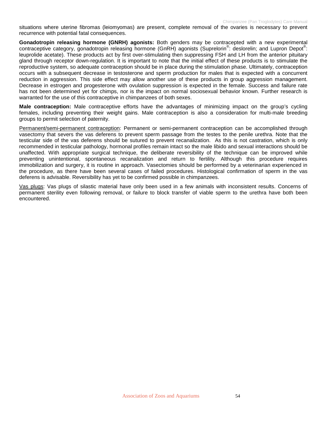situations where uterine fibromas (leiomyomas) are present, complete removal of the ovaries is necessary to prevent recurrence with potential fatal consequences.

**Gonadotropin releasing hormone (GNRH) agonists:** Both genders may be contracepted with a new experimental contraceptive category, gonadotropin releasing hormone (GnRH) agonists (Suprelorin<sup>®</sup>: deslorelin; and Lupron Depot<sup>®</sup>: leuprolide acetate). These products act by first over-stimulating then suppressing FSH and LH from the anterior pituitary gland through receptor down-regulation. It is important to note that the initial effect of these products is to stimulate the reproductive system, so adequate contraception should be in place during the stimulation phase. Ultimately, contraception occurs with a subsequent decrease in testosterone and sperm production for males that is expected with a concurrent reduction in aggression. This side effect may allow another use of these products in group aggression management. Decrease in estrogen and progesterone with ovulation suppression is expected in the female. Success and failure rate has not been determined yet for chimps, nor is the impact on normal sociosexual behavior known. Further research is warranted for the use of this contraceptive in chimpanzees of both sexes.

**Male contraception:** Male contraceptive efforts have the advantages of minimizing impact on the group's cycling females, including preventing their weight gains. Male contraception is also a consideration for multi-male breeding groups to permit selection of paternity.

Permanent/semi-permanent contraception: Permanent or semi-permanent contraception can be accomplished through vasectomy that severs the vas deferens to prevent sperm passage from the testes to the penile urethra. Note that the testicular side of the vas deferens should be sutured to prevent recanalization. As this is not castration, which is only recommended in testicular pathology, hormonal profiles remain intact so the male libido and sexual interactions should be unaffected. With appropriate surgical technique, the deliberate reversibility of the technique can be improved while preventing unintentional, spontaneous recanalization and return to fertility. Although this procedure requires immobilization and surgery, it is routine in approach. Vasectomies should be performed by a veterinarian experienced in the procedure, as there have been several cases of failed procedures. Histological confirmation of sperm in the vas deferens is advisable. Reversibility has yet to be confirmed possible in chimpanzees.

Vas plugs: Vas plugs of silastic material have only been used in a few animals with inconsistent results. Concerns of permanent sterility even following removal, or failure to block transfer of viable sperm to the urethra have both been encountered.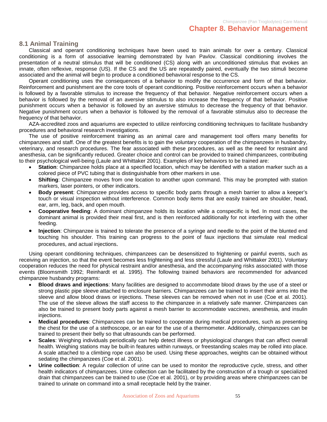# **Chapter 8. Behavior Management**

### **8.1 Animal Training**

Classical and operant conditioning techniques have been used to train animals for over a century. Classical conditioning is a form of [associative learning](http://en.wikipedia.org/wiki/Associative_learning) demonstrated by Ivan Pavlov. Classical conditioning involves the presentation of a neutral [stimulus](http://en.wikipedia.org/wiki/Stimulus_(physiology)) that will be conditioned (CS) along with an unconditioned stimulus that evokes an innate, often reflexive, response (US). If the CS and the US are repeatedly paired, eventually the two stimuli become associated and the animal will begin to produce a conditioned behavioral response to the CS.

Operant conditioning uses the consequences of a behavior to modify the occurrence and form of that [behavior.](http://en.wikipedia.org/wiki/Behavior) [Reinforcement](http://en.wikipedia.org/wiki/Reinforcement) and [punishment](http://en.wikipedia.org/wiki/Punishment) are the core tools of operant conditioning. Positive reinforcement occurs when a behavior is followed by a favorable stimulus to increase the frequency of that behavior. Negative reinforcement occurs when a behavior is followed by the removal of an aversive stimulus to also increase the frequency of that behavior. Positive punishment occurs when a behavior is followed by an aversive stimulus to decrease the frequency of that behavior. Negative punishment occurs when a behavior is followed by the removal of a favorable stimulus also to decrease the frequency of that behavior.

AZA-accredited zoos and aquariums are expected to utilize reinforcing conditioning techniques to facilitate husbandry procedures and behavioral research investigations.

The use of positive reinforcement training as an animal care and management tool offers many benefits for chimpanzees and staff. One of the greatest benefits is to gain the voluntary cooperation of the chimpanzees in husbandry, veterinary, and research procedures. The fear associated with these procedures, as well as the need for restraint and anesthesia, can be significantly reduced. Greater choice and control can be provided to trained chimpanzees, contributing to their psychological well-being (Laule and Whittaker 2001). Examples of key behaviors to be trained are:

- **Station**: Chimpanzee holds place at a specified location, which may be identified with a station marker such as a colored piece of PVC tubing that is distinguishable from other markers in use.
- **Shifting**: Chimpanzee moves from one location to another upon command. This may be prompted with station markers, laser pointers, or other indicators.
- **Body present**: Chimpanzee provides access to specific body parts through a mesh barrier to allow a keeper's touch or visual inspection without interference. Common body items that are easily trained are shoulder, head, ear, arm, leg, back, and open mouth.
- **Cooperative feeding**: A dominant chimpanzee holds its location while a conspecific is fed. In most cases, the dominant animal is provided their meal first, and is then reinforced additionally for not interfering with the other feeding.
- **Injection**: Chimpanzee is trained to tolerate the presence of a syringe and needle to the point of the blunted end touching his shoulder. This training can progress to the point of faux injections that simulate real medical procedures, and actual injections.

Using operant conditioning techniques, chimpanzees can be desensitized to frightening or painful events, such as receiving an injection, so that the event becomes less frightening and less stressful (Laule and Whittaker 2001). Voluntary cooperation reduces the need for physical restraint and/or anesthesia, and the accompanying risks associated with those events (Bloomsmith 1992; Reinhardt et al. 1995). The following trained behaviors are recommended for advanced chimpanzee husbandry programs:

- **Blood draws and injections**: Many facilities are designed to accommodate blood draws by the use of a steel or strong plastic pipe sleeve attached to enclosure barriers. Chimpanzees can be trained to insert their arms into the sleeve and allow blood draws or injections. These sleeves can be removed when not in use (Coe et al. 2001). The use of the sleeve allows the staff access to the chimpanzee in a relatively safe manner. Chimpanzees can also be trained to present body parts against a mesh barrier to accommodate vaccines, anesthesia, and insulin injections.
- **Medical procedures**: Chimpanzees can be trained to cooperate during medical procedures, such as presenting the chest for the use of a stethoscope, or an ear for the use of a thermometer. Additionally, chimpanzees can be trained to present their belly so that ultrasounds can be performed.
- **Scales**: Weighing individuals periodically can help detect illness or physiological changes that can affect overall health. Weighing stations may be built-in features within runways, or freestanding scales may be rolled into place. A scale attached to a climbing rope can also be used. Using these approaches, weights can be obtained without sedating the chimpanzees (Coe et al. 2001).
- **Urine collection**: A regular collection of urine can be used to monitor the reproductive cycle, stress, and other health indicators of chimpanzees. Urine collection can be facilitated by the construction of a trough or specialized drain that chimpanzees can be trained to use (Coe et al. 2001), or by providing areas where chimpanzees can be trained to urinate on command into a small receptacle held by the trainer.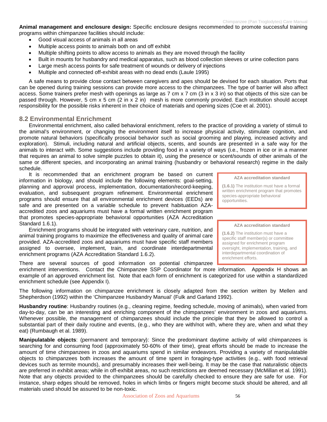**Animal management and enclosure design:** Specific enclosure designs recommended to promote successful training programs within chimpanzee facilities should include:

- Good visual access of animals in all areas
- Multiple access points to animals both on and off exhibit
- Multiple shifting points to allow access to animals as they are moved through the facility
- Built in mounts for husbandry and medical apparatus, such as blood collection sleeves or urine collection pans
- Large mesh access points for safe treatment of wounds or delivery of injections
- Multiple and connected off-exhibit areas with no dead ends (Laule 1995)

A safe means to provide close contact between caregivers and apes should be devised for each situation. Ports that can be opened during training sessions can provide more access to the chimpanzees. The type of barrier will also affect access. Some trainers prefer mesh with openings as large as 7 cm x 7 cm (3 in x 3 in) so that objects of this size can be passed through. However, 5 cm x 5 cm (2 in x 2 in) mesh is more commonly provided. Each institution should accept responsibility for the possible risks inherent in their choice of materials and opening sizes (Coe et al. 2001).

# **8.2 Environmental Enrichment**

Environmental enrichment, also called behavioral enrichment, refers to the practice of providing a variety of stimuli to the animal's environment, or changing the environment itself to increase physical activity, stimulate cognition, and promote natural behaviors (specifically prosocial behavior such as social grooming and playing, increased activity and exploration). Stimuli, including natural and artificial objects, scents, and sounds are presented in a safe way for the animals to interact with. Some suggestions include providing food in a variety of ways (i.e., frozen in ice or in a manner that requires an animal to solve simple puzzles to obtain it), using the presence or scent/sounds of other animals of the same or different species, and incorporating an animal training (husbandry or behavioral research) regime in the daily schedule.

It is recommended that an enrichment program be based on current information in biology, and should include the following elements: goal-setting, planning and approval process, implementation, documentation/record-keeping, evaluation, and subsequent program refinement. Environmental enrichment programs should ensure that all environmental enrichment devices (EEDs) are safe and are presented on a variable schedule to prevent habituation AZAaccredited zoos and aquariums must have a formal written enrichment program that promotes species-appropriate behavioral opportunities (AZA Accreditation Standard 1.6.1).

Enrichment programs should be integrated with veterinary care, nutrition, and animal training programs to maximize the effectiveness and quality of animal care provided. AZA-accredited zoos and aquariums must have specific staff members assigned to oversee, implement, train, and coordinate interdepartmental enrichment programs (AZA Accreditation Standard 1.6.2).

There are several sources of good information on potential chimpanzee

enrichment interventions. Contact the Chimpanzee SSP Coordinator for more information. Appendix H shows an example of an approved enrichment list. Note that each form of enrichment is categorized for use within a standardized enrichment schedule (see Appendix I).

The following information on chimpanzee enrichment is closely adapted from the section written by Mellen and Shepherdson (1992) within the 'Chimpanzee Husbandry Manual' (Fulk and Garland 1992).

**Husbandry routine**: Husbandry routines (e.g., cleaning regime, feeding schedule, moving of animals), when varied from day-to-day, can be an interesting and enriching component of the chimpanzees' environment in zoos and aquariums. Whenever possible, the management of chimpanzees should include the principle that they be allowed to control a substantial part of their daily routine and events, (e.g., who they are with/not with, where they are, when and what they eat) (Rumbaugh et al. 1989).

**Manipulatable objects**: (permanent and temporary): Since the predominant daytime activity of wild chimpanzees is searching for and consuming food (approximately 50-60% of their time), great efforts should be made to increase the amount of time chimpanzees in zoos and aquariums spend in similar endeavors. Providing a variety of manipulatable objects to chimpanzees both increases the amount of time spent in foraging-type activities (e.g., with food retrieval devices such as termite mounds), and presumably increases their well-being. It may be the case that naturalistic objects are preferred in exhibit areas; while in off-exhibit areas, no such restrictions are deemed necessary (McMillan et al. 1991). Note that any objects provided to the chimpanzees should be carefully checked to ensure they are safe for use. For instance, sharp edges should be removed, holes in which limbs or fingers might become stuck should be altered, and all materials used should be assured to be non-toxic.

**AZA accreditation standard**

**(1.6.1)** The institution must have a formal written enrichment program that promotes species-appropriate behavioral opportunities.

#### **AZA accreditation standard**

**(1.6.2)** The institution must have a specific staff member(s) or committee assigned for enrichment program oversight, implementation, training, and interdepartmental coordination of enrichment efforts.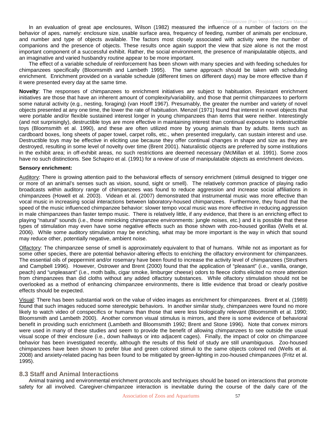In an evaluation of great ape enclosures, Wilson (1982) measured the influence of a number of factors on the behavior of apes, namely: enclosure size, usable surface area, frequency of feeding, number of animals per enclosure, and number and type of objects available. The factors most closely associated with activity were the number of companions and the presence of objects. These results once again support the view that size alone is not the most important component of a successful exhibit. Rather, the social environment, the presence of manipulatable objects, and an imaginative and varied husbandry routine appear to be more important.

The effect of a variable schedule of reinforcement has been shown with many species and with feeding schedules for chimpanzees specifically (Bloomsmith and Lambeth 1995). The same approach should be taken with scheduling enrichment. Enrichment provided on a variable schedule (different times on different days) may be more effective than if it were presented every day at the same time.

**Novelty**: The responses of chimpanzees to enrichment initiatives are subject to habituation. Resistant enrichment initiatives are those that have an inherent amount of complexity/variability, and those that permit chimpanzees to perform some natural activity (e.g., nesting, foraging) (van Hooff 1967). Presumably, the greater the number and variety of novel objects presented at any one time, the lower the rate of habituation. Menzel (1971) found that interest in novel objects that were portable and/or flexible sustained interest longer in young chimpanzees than items that were neither. Interestingly (and not surprisingly), destructible toys are more effective in maintaining interest than continual exposure to indestructible toys (Bloomsmith et al. 1990), and these are often utilized more by young animals than by adults. Items such as cardboard boxes, long sheets of paper towel, carpet rolls, etc., when presented irregularly, can sustain interest and use. Destructible toys may be effective in eliciting use because they offer continual changes in shape and size as they are destroyed, resulting in some level of novelty over time (Brent 2001). Naturalistic objects are preferred by some institutions in the exhibit area; in off-exhibit areas, no such restrictions are deemed necessary (McMillan et al. 1991). Some zoos have no such distinctions. See Schapiro et al. (1991) for a review of use of manipulatable objects as enrichment devices.

#### **Sensory enrichment:**

Auditory: There is growing attention paid to the behavioral effects of sensory enrichment (stimuli designed to trigger one or more of an animal's senses such as vision, sound, sight or smell). The relatively common practice of playing radio broadcasts within auditory range of chimpanzees was found to reduce aggression and increase social affiliations in chimpanzees (Howell et al. 2003). Videan et al. (2007) demonstrated that instrumental music was more effective than vocal music in increasing social interactions between laboratory-housed chimpanzees. Furthermore, they found that the speed of the music influenced chimpanzee behavior: slower tempo vocal music was more effective in reducing aggression in male chimpanzees than faster tempo music. There is relatively little, if any evidence, that there is an enriching effect to playing "natural" sounds (i.e., those mimicking chimpanzee environments: jungle noises, etc.) and it is possible that these types of stimulation may even have some negative effects such as those shown with zoo-housed gorillas (Wells et al. 2006). While some auditory stimulation may be enriching, what may be more important is the way in which that sound may reduce other, potentially negative, ambient noise.

Olfactory: The chimpanzee sense of smell is approximately equivalent to that of humans. While not as important as for some other species, there are potential behavior-altering effects to enriching the olfactory environment for chimpanzees. The essential oils of peppermint and/or rosemary have been found to increase the activity level of chimpanzees (Struthers and Campbell 1996). However, Ostrower and Brent (2000) found that the application of "pleasant" (i.e., vanilla, orange, peach) and "unpleasant" (i.e., moth balls, cigar smoke, limburger cheese) odors to fleece cloths elicited no more attention from chimpanzees than did cloths without any added olfactory substances. While olfactory stimulation should not be overlooked as a method of enhancing chimpanzee environments, there is little evidence that broad or clearly positive effects should be expected.

Visual: There has been substantial work on the value of video images as enrichment for chimpanzees. Brent et al. (1989) found that such images reduced some stereotypic behaviors. In another similar study, chimpanzees were found no more likely to watch video of conspecifics or humans than those that were less biologically relevant (Bloomsmith et al. 1990; Bloomsmith and Lambeth 2000). Another common visual stimulus is mirrors, and there is some evidence of behavioral benefit in providing such enrichment (Lambeth and Bloomsmith 1992; Brent and Stone 1996). Note that convex mirrors were used in many of these studies and seem to provide the benefit of allowing chimpanzees to see outside the usual visual scope of their enclosure (i.e., down hallways or into adjacent cages). Finally, the impact of color on chimpanzee behavior has been investigated recently, although the results of this field of study are still unambiguous. Zoo-housed chimpanzees have been shown to prefer blue and green colored stimuli to the same objects colored red (Wells et al. 2008) and anxiety-related pacing has been found to be mitigated by green-lighting in zoo-housed chimpanzees (Fritz et al. 1995).

## **8.3 Staff and Animal Interactions**

Animal training and environmental enrichment protocols and techniques should be based on interactions that promote safety for all involved. Caregiver-chimpanzee interaction is inevitable during the course of the daily care of the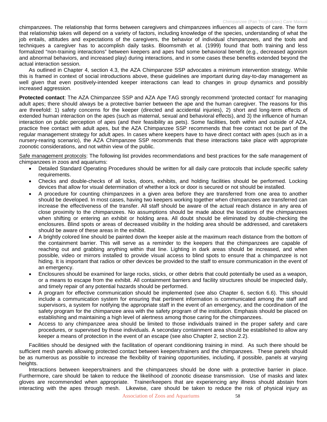chimpanzees. The relationship that forms between caregivers and chimpanzees influences all aspects of care. The form that relationship takes will depend on a variety of factors, including knowledge of the species, understanding of what the job entails, attitudes and expectations of the caregivers, the behavior of individual chimpanzees, and the tools and techniques a caregiver has to accomplish daily tasks. Bloomsmith et al. (1999) found that both training and less formalized "non-training interactions" between keepers and apes had some behavioral benefit (e.g., decreased agonism and abnormal behaviors, and increased play) during interactions, and in some cases these benefits extended beyond the actual interaction session.

As outlined in Chapter 4, section 4.3, the AZA Chimpanzee SSP advocates a minimum intervention strategy. While this is framed in context of social introductions above, these guidelines are important during day-to-day management as well given that even positively-intended keeper interactions can lead to changes in group dynamics and possibly increased aggression.

**Protected contact**: The AZA Chimpanzee SSP and AZA Ape TAG strongly recommend 'protected contact' for managing adult apes; there should always be a protective barrier between the ape and the human caregiver. The reasons for this are threefold: 1) safety concerns for the keeper (directed and accidental injuries), 2) short and long-term effects of extended human interaction on the apes (such as maternal, sexual and behavioral effects), and 3) the influence of human interaction on public perception of apes (and their feasibility as pets). Some facilities, both within and outside of AZA, practice free contact with adult apes, but the AZA Chimpanzee SSP recommends that free contact not be part of the regular management strategy for adult apes. In cases where keepers have to have direct contact with apes (such as in a nursery-rearing scenario), the AZA Chimpanzee SSP recommends that these interactions take place with appropriate zoonotic considerations, and not within view of the public.

Safe management protocols: The following list provides recommendations and best practices for the safe management of chimpanzees in zoos and aquariums:

- Detailed Standard Operating Procedures should be written for all daily care protocols that include specific safety requirements.
- Checks and double-checks of all locks, doors, exhibits, and holding facilities should be performed. Locking devices that allow for visual determination of whether a lock or door is secured or not should be installed.
- A procedure for counting chimpanzees in a given area before they are transferred from one area to another should be developed. In most cases, having two keepers working together when chimpanzees are transferred can increase the effectiveness of the transfer. All staff should be aware of the actual reach distance in any area of close proximity to the chimpanzees. No assumptions should be made about the locations of the chimpanzees when shifting or entering an exhibit or holding area. All doubt should be eliminated by double-checking the enclosures. Blind spots or areas of decreased visibility in the holding area should be addressed, and caretakers should be aware of these areas in the exhibit.
- A brightly colored line should be painted down the keeper aisle at the maximum reach distance from the bottom of the containment barrier. This will serve as a reminder to the keepers that the chimpanzees are capable of reaching out and grabbing anything within that line. Lighting in dark areas should be increased, and when possible, video or mirrors installed to provide visual access to blind spots to ensure that a chimpanzee is not hiding. It is important that radios or other devices be provided to the staff to ensure communication in the event of an emergency.
- Enclosures should be examined for large rocks, sticks, or other debris that could potentially be used as a weapon, or a means to escape from the exhibit. All containment barriers and facility structures should be inspected daily, and timely repair of any potential hazards should be performed.
- A program for effective communication should be implemented (see also Chapter 6, section 6.6). This should include a communication system for ensuring that pertinent information is communicated among the staff and supervisors, a system for notifying the appropriate staff in the event of an emergency, and the coordination of the safety program for the chimpanzee area with the safety program of the institution. Emphasis should be placed on establishing and maintaining a high level of alertness among those caring for the chimpanzees.
- Access to any chimpanzee area should be limited to those individuals trained in the proper safety and care procedures, or supervised by those individuals. A secondary containment area should be established to allow any keeper a means of protection in the event of an escape (see also Chapter 2, section 2.2).

Facilities should be designed with the facilitation of operant conditioning training in mind. As such there should be sufficient mesh panels allowing protected contact between keepers/trainers and the chimpanzees. These panels should be as numerous as possible to increase the flexibility of training opportunities, including, if possible, panels at varying heights.

Interactions between keepers/trainers and the chimpanzees should be done with a protective barrier in place. Furthermore, care should be taken to reduce the likelihood of zoonotic disease transmission. Use of masks and latex gloves are recommended when appropriate. Trainer/keepers that are experiencing any illness should abstain from interacting with the apes through mesh. Likewise, care should be taken to reduce the risk of physical injury as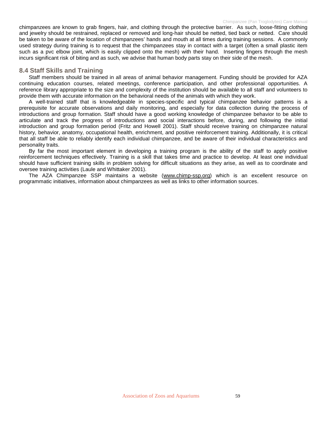chimpanzees are known to grab fingers, hair, and clothing through the protective barrier. As such, loose-fitting clothing and jewelry should be restrained, replaced or removed and long-hair should be netted, tied back or netted. Care should be taken to be aware of the location of chimpanzees' hands and mouth at all times during training sessions. A commonly used strategy during training is to request that the chimpanzees stay in contact with a target (often a small plastic item such as a pvc elbow joint, which is easily clipped onto the mesh) with their hand. Inserting fingers through the mesh incurs significant risk of biting and as such, we advise that human body parts stay on their side of the mesh.

#### **8.4 Staff Skills and Training**

Staff members should be trained in all areas of animal behavior management. Funding should be provided for AZA continuing education courses, related meetings, conference participation, and other professional opportunities. A reference library appropriate to the size and complexity of the institution should be available to all staff and volunteers to provide them with accurate information on the behavioral needs of the animals with which they work.

A well-trained staff that is knowledgeable in species-specific and typical chimpanzee behavior patterns is a prerequisite for accurate observations and daily monitoring, and especially for data collection during the process of introductions and group formation. Staff should have a good working knowledge of chimpanzee behavior to be able to articulate and track the progress of introductions and social interactions before, during, and following the initial introduction and group formation period (Fritz and Howell 2001). Staff should receive training on chimpanzee natural history, behavior, anatomy, occupational health, enrichment, and positive reinforcement training. Additionally, it is critical that all staff be able to reliably identify each individual chimpanzee, and be aware of their individual characteristics and personality traits.

By far the most important element in developing a training program is the ability of the staff to apply positive reinforcement techniques effectively. Training is a skill that takes time and practice to develop. At least one individual should have sufficient training skills in problem solving for difficult situations as they arise, as well as to coordinate and oversee training activities (Laule and Whittaker 2001).

The AZA Chimpanzee SSP maintains a website (www.chimp-ssp.org) which is an excellent resource on programmatic initiatives, information about chimpanzees as well as links to other information sources.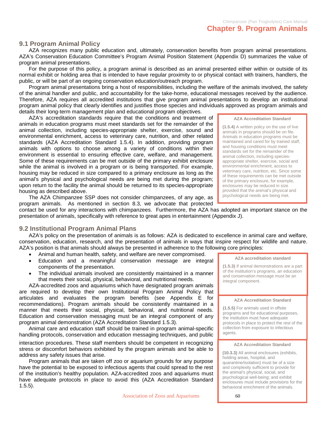# **9.1 Program Animal Policy**

AZA recognizes many public education and, ultimately, conservation benefits from program animal presentations. AZA's Conservation Education Committee's Program Animal Position Statement (Appendix D) summarizes the value of program animal presentations.

For the purpose of this policy, a program animal is described as an animal presented either within or outside of its normal exhibit or holding area that is intended to have regular proximity to or physical contact with trainers, handlers, the public, or will be part of an ongoing conservation education/outreach program.

Program animal presentations bring a host of responsibilities, including the welfare of the animals involved, the safety of the animal handler and public, and accountability for the take-home, educational messages received by the audience. Therefore, AZA requires all accredited institutions that give program animal presentations to develop an institutional program animal policy that clearly identifies and justifies those species and individuals approved as program animals and details their long-term management plan and educational program objectives.

AZA's accreditation standards require that the conditions and treatment of animals in education programs must meet standards set for the remainder of the animal collection, including species-appropriate shelter, exercise, sound and environmental enrichment, access to veterinary care, nutrition, and other related standards (AZA Accreditation Standard 1.5.4). In addition, providing program animals with options to choose among a variety of conditions within their environment is essential to ensuring effective care, welfare, and management. Some of these requirements can be met outside of the primary exhibit enclosure while the animal is involved in a program or is being transported. For example, housing may be reduced in size compared to a primary enclosure as long as the animal's physical and psychological needs are being met during the program; upon return to the facility the animal should be returned to its species-appropriate housing as described above.

The AZA Chimpanzee SSP does not consider chimpanzees, of any age, as program animals. As mentioned in section 8.3, we advocate that protected **AZA Accreditation Standard**

**(1.5.4)** A written policy on the use of live animals in programs should be on file. Animals in education programs must be maintained and cared for by trained staff, and housing conditions must meet standards set for the remainder of the animal collection, including speciesappropriate shelter, exercise, social and environmental enrichment, access to veterinary care, nutrition, etc. Since some of these requirements can be met outside of the primary enclosure, for example, enclosures may be reduced in size provided that the animal's physical and psychological needs are being met.

contact be used for any interactions with chimpanzees. Furthermore, the AZA has adopted an important stance on the presentation of animals, specifically with reference to great apes in entertainment (Appendix J).

## **9.2 Institutional Program Animal Plans**

AZA's policy on the presentation of animals is as follows: AZA is dedicated to excellence in animal care and welfare, conservation, education, research, and the presentation of animals in ways that inspire respect for wildlife and nature. AZA's position is that animals should always be presented in adherence to the following core principles:

- Animal and human health, safety, and welfare are never compromised.
- Education and a meaningful conservation message are integral components of the presentation.
- The individual animals involved are consistently maintained in a manner that meets their social, physical, behavioral, and nutritional needs.

AZA-accredited zoos and aquariums which have designated program animals are required to develop their own Institutional Program Animal Policy that articulates and evaluates the program benefits (see Appendix E for recommendations). Program animals should be consistently maintained in a manner that meets their social, physical, behavioral, and nutritional needs. Education and conservation messaging must be an integral component of any program animal demonstration (AZA Accreditation Standard 1.5.3).

Animal care and education staff should be trained in program animal-specific handling protocols, conservation and education messaging techniques, and public

interaction procedures. These staff members should be competent in recognizing stress or discomfort behaviors exhibited by the program animals and be able to address any safety issues that arise.

Program animals that are taken off zoo or aquarium grounds for any purpose have the potential to be exposed to infectious agents that could spread to the rest of the institution's healthy population. AZA-accredited zoos and aquariums must have adequate protocols in place to avoid this (AZA Accreditation Standard 1.5.5).

**AZA accreditation standard**

**(1.5.3)** If animal demonstrations are a part of the institution's programs, an education and conservation message must be an integral component.

#### **AZA Accreditation Standard**

**(1.5.5)** For animals used in offsite programs and for educational purposes, the institution must have adequate protocols in place to protect the rest of the collection from exposure to infectious agents.

#### **AZA Accreditation Standard**

**(10.3.3)** All animal enclosures (exhibits, holding areas, hospital, and quarantine/isolation) must be of a size and complexity sufficient to provide for the animal's physical, social, and psychological well-being; and exhibit enclosures must include provisions for the behavioral enrichment of the animals.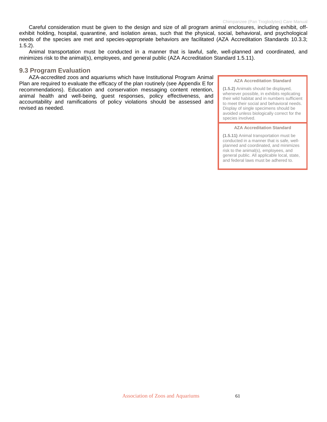Careful consideration must be given to the design and size of all program animal enclosures, including exhibit, offexhibit holding, hospital, quarantine, and isolation areas, such that the physical, social, behavioral, and psychological needs of the species are met and species-appropriate behaviors are facilitated (AZA Accreditation Standards 10.3.3; 1.5.2).

Animal transportation must be conducted in a manner that is lawful, safe, well-planned and coordinated, and minimizes risk to the animal(s), employees, and general public (AZA Accreditation Standard 1.5.11).

#### **9.3 Program Evaluation**

AZA-accredited zoos and aquariums which have Institutional Program Animal Plan are required to evaluate the efficacy of the plan routinely (see Appendix E for recommendations). Education and conservation messaging content retention, animal health and well-being, guest responses, policy effectiveness, and accountability and ramifications of policy violations should be assessed and revised as needed.

#### **AZA Accreditation Standard**

**(1.5.2)** Animals should be displayed, whenever possible, in exhibits replicating their wild habitat and in numbers sufficient to meet their social and behavioral needs. Display of single specimens should be avoided unless biologically correct for the species involved.

#### **AZA Accreditation Standard**

**(1.5.11)** Animal transportation must be conducted in a manner that is safe, wellplanned and coordinated, and minimizes risk to the animal(s), employees, and general public. All applicable local, state, and federal laws must be adhered to.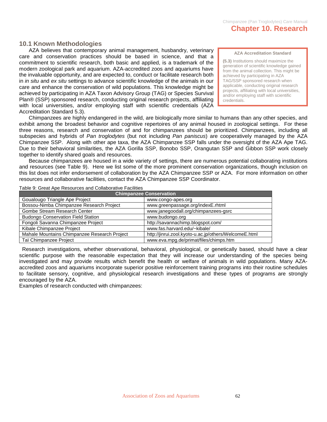### **10.1 Known Methodologies**

AZA believes that contemporary animal management, husbandry, veterinary care and conservation practices should be based in science, and that a commitment to scientific research, both basic and applied, is a trademark of the modern zoological park and aquarium. AZA-accredited zoos and aquariums have the invaluable opportunity, and are expected to, conduct or facilitate research both in *in situ* and *ex situ* settings to advance scientific knowledge of the animals in our care and enhance the conservation of wild populations. This knowledge might be achieved by participating in AZA Taxon Advisory Group (TAG) or Species Survival Plan® (SSP) sponsored research, conducting original research projects, affiliating with local universities, and/or employing staff with scientific credentials (AZA Accreditation Standard 5.3).

#### **AZA Accreditation Standard**

**(5.3)** Institutions should maximize the generation of scientific knowledge gained from the animal collection. This might be achieved by participating in AZA TAG/SSP sponsored research when applicable, conducting original research projects, affiliating with local universities, and/or employing staff with scientific credentials.

Chimpanzees are highly endangered in the wild, are biologically more similar to humans than any other species, and exhibit among the broadest behavior and cognitive repertoires of any animal housed in zoological settings. For these three reasons, research and conservation of and for chimpanzees should be prioritized. Chimpanzees, including all subspecies and hybrids of *Pan troglodytes* (but not including *Pan paniscus*) are cooperatively managed by the AZA Chimpanzee SSP. Along with other ape taxa, the AZA Chimpanzee SSP falls under the oversight of the AZA Ape TAG. Due to their behavioral similarities, the AZA Gorilla SSP, Bonobo SSP, Orangutan SSP and Gibbon SSP work closely together to identify shared goals and resources.

Because chimpanzees are housed in a wide variety of settings, there are numerous potential collaborating institutions and resources (see Table 9). Here we list some of the more prominent conservation organizations, though inclusion on this list does not infer endorsement of collaboration by the AZA Chimpanzee SSP or AZA. For more information on other resources and collaborative facilities, contact the AZA Chimpanzee SSP Coordinator.

|  |  | Table 9: Great Ape Resources and Collaborative Facilities |  |
|--|--|-----------------------------------------------------------|--|
|--|--|-----------------------------------------------------------|--|

| <b>Chimpanzee Conservation</b>               |                                                       |  |
|----------------------------------------------|-------------------------------------------------------|--|
| Goualougo Triangle Ape Project               | www.congo-apes.org                                    |  |
| Bossou-Nimba Chimpanzee Research Project     | www.greenpassage.org/indexE.rhtml                     |  |
| Gombe Stream Research Center                 | www.janegoodall.org/chimpanzees-gsrc                  |  |
| <b>Budongo Conservation Field Station</b>    | www.budongo.org                                       |  |
| Fongoli Savanna Chimpanzee Project           | http://savannachimp.blogspot.com/                     |  |
| Kibale Chimpanzee Project                    | www.fas.harvard.edu/~kibale/                          |  |
| Mahale Mountains Chimpanzee Research Project | http://jinrui.zool.kyoto-u.ac.jp/others/WelcomeE.html |  |
| Taï Chimpanzee Project                       | www.eva.mpg.de/primat/files/chimps.htm                |  |

 Research investigations, whether observational, behavioral, physiological, or genetically based, should have a clear scientific purpose with the reasonable expectation that they will increase our understanding of the species being investigated and may provide results which benefit the health or welfare of animals in wild populations. Many AZAaccredited zoos and aquariums incorporate superior positive reinforcement training programs into their routine schedules to facilitate sensory, cognitive, and physiological research investigations and these types of programs are strongly encouraged by the AZA.

Examples of research conducted with chimpanzees: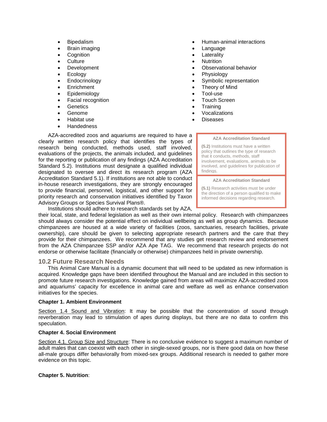- Bipedalism
- Brain imaging
- **Cognition**
- **Culture**
- **Development**
- **Ecology**
- Endocrinology
- **Enrichment**
- **Epidemiology**
- Facial recognition
- **Genetics**
- Genome
- Habitat use
- 
- Human-animal interactions
- **Language**
- **Laterality**
- **Nutrition**
- Observational behavior
- **Physiology**
- Symbolic representation
- Theory of Mind
- Tool-use
- Touch Screen
- **Training**
- Vocalizations
- Diseases

#### **Handedness**

AZA-accredited zoos and aquariums are required to have a clearly written research policy that identifies the types of research being conducted, methods used, staff involved, evaluations of the projects, the animals included, and guidelines for the reporting or publication of any findings (AZA Accreditation Standard 5.2). Institutions must designate a qualified individual designated to oversee and direct its research program (AZA Accreditation Standard 5.1). If institutions are not able to conduct in-house research investigations, they are strongly encouraged to provide financial, personnel, logistical, and other support for priority research and conservation initiatives identified by Taxon Advisory Groups or Species Survival Plans®.

policy that outlines the type of research that it conducts, methods, staff

**AZA Accreditation Standard (5.2)** Institutions must have a written

involvement, evaluations, animals to be involved, and guidelines for publication of findings.

**AZA Accreditation Standard**

**(5.1)** Research activities must be under the direction of a person qualified to make informed decisions regarding research.

Institutions should adhere to research standards set by AZA,

their local, state, and federal legislation as well as their own internal policy. Research with chimpanzees should always consider the potential effect on individual wellbeing as well as group dynamics. Because chimpanzees are housed at a wide variety of facilities (zoos, sanctuaries, research facilities, private ownership), care should be given to selecting appropriate research partners and the care that they provide for their chimpanzees. We recommend that any studies get research review and endorsement from the AZA Chimpanzee SSP and/or AZA Ape TAG. We recommend that research projects do not endorse or otherwise facilitate (financially or otherwise) chimpanzees held in private ownership.

#### **10.2 Future Research Needs**

This Animal Care Manual is a dynamic document that will need to be updated as new information is acquired. Knowledge gaps have been identified throughout the Manual and are included in this section to promote future research investigations. Knowledge gained from areas will maximize AZA-accredited zoos and aquariums' capacity for excellence in animal care and welfare as well as enhance conservation initiatives for the species.

#### **Chapter 1. Ambient Environment**

Section 1.4 Sound and Vibration: It may be possible that the concentration of sound through reverberation may lead to stimulation of apes during displays, but there are no data to confirm this speculation.

#### **Chapter 4. Social Environment**

Section 4.1. Group Size and Structure: There is no conclusive evidence to suggest a maximum number of adult males that can coexist with each other in single-sexed groups, nor is there good data on how these all-male groups differ behaviorally from mixed-sex groups. Additional research is needed to gather more evidence on this topic.

#### **Chapter 5. Nutrition**: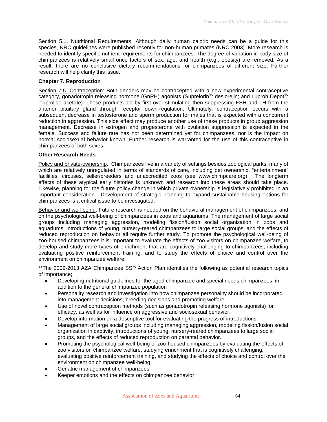Section 5.1. Nutritional Requirements: Although daily human caloric needs can be a guide for this species, NRC guidelines were published recently for non-human primates (NRC 2003). More research is needed to identify specific nutrient requirements for chimpanzees. The degree of variation in body size of chimpanzees is relatively small once factors of sex, age, and health (e.g., obesity) are removed. As a result, there are no conclusive dietary recommendations for chimpanzees of different size. Further research will help clarify this issue.

#### **Chapter 7. Reproduction**

Section 7.5. Contraception: Both genders may be contracepted with a new experimental contraceptive category, gonadotropin releasing hormone (GnRH) agonists (Suprelorin®: deslorelin; and Lupron Depot®: leuprolide acetate). These products act by first over-stimulating then suppressing FSH and LH from the anterior pituitary gland through receptor down-regulation. Ultimately, contraception occurs with a subsequent decrease in testosterone and sperm production for males that is expected with a concurrent reduction in aggression. This side effect may produce another use of these products in group aggression management. Decrease in estrogen and progesterone with ovulation suppression is expected in the female. Success and failure rate has not been determined yet for chimpanzees, nor is the impact on normal sociosexual behavior known. Further research is warranted for the use of this contraceptive in chimpanzees of both sexes.

#### **Other Research Needs**

Policy and private-ownership. Chimpanzees live in a variety of settings besides zoological parks, many of which are relatively unregulated in terms of standards of care, including pet ownership, "entertainment" facilities, circuses, seller/breeders and unaccredited zoos (see www.chimpcare.org). The longterm effects of these atypical early histories is unknown and research into these areas should take place. Likewise, planning for the future policy change in which private ownership is legislatively prohibited in an important consideration. Development of strategic planning to expand sustainable housing options for chimpanzees is a critical issue to be investigated.

Behavior and well-being: Future research is needed on the behavioral management of chimpanzees, and on the psychological well-being of chimpanzees in zoos and aquariums. The management of large social groups including managing aggression, modeling fission/fusion social organization in zoos and aquariums, introductions of young, nursery-reared chimpanzees to large social groups, and the effects of reduced reproduction on behavior all require further study. To promote the psychological well-being of zoo-housed chimpanzees it is important to evaluate the effects of zoo visitors on chimpanzee welfare, to develop and study more types of enrichment that are cognitively challenging to chimpanzees, including evaluating positive reinforcement training, and to study the effects of choice and control over the environment on chimpanzee welfare.

\*\*The 2009-2013 AZA Chimpanzee SSP Action Plan identifies the following as potential research topics of importance;

- Developing nutritional guidelines for the aged chimpanzee and special needs chimpanzees, in addition to the general chimpanzee population
- Personality research and investigation into how chimpanzee personality should be incorporated into management decisions, breeding decisions and promoting welfare.
- Use of novel contraception methods (such as gonadotropin releasing hormone agonists) for efficacy, as well as for influence on aggressive and sociosexual behavior.
- Develop information on a descriptive tool for evaluating the progress of introductions.
- Management of large social groups including managing aggression, modeling fission/fusion social organization in captivity, introductions of young, nursery-reared chimpanzees to large social groups, and the effects of reduced reproduction on parental behavior.
- Promoting the psychological well-being of zoo-housed chimpanzees by evaluating the effects of zoo visitors on chimpanzee welfare, studying enrichment that is cognitively challenging, evaluating positive reinforcement training, and studying the effects of choice and control over the environment on chimpanzee well-being
- Geriatric management of chimpanzees
- Keeper emotions and the effects on chimpanzee behavior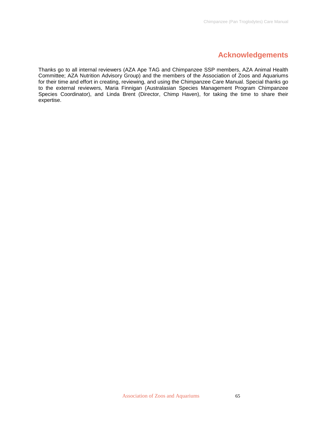# **Acknowledgements**

Thanks go to all internal reviewers (AZA Ape TAG and Chimpanzee SSP members, AZA Animal Health Committee; AZA Nutrition Advisory Group) and the members of the Association of Zoos and Aquariums for their time and effort in creating, reviewing, and using the Chimpanzee Care Manual. Special thanks go to the external reviewers, Maria Finnigan (Australasian Species Management Program Chimpanzee Species Coordinator), and Linda Brent (Director, Chimp Haven), for taking the time to share their expertise.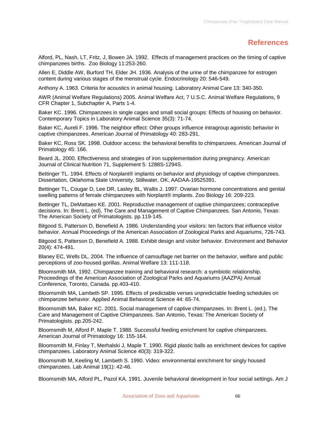# **References**

Alford, PL, Nash, LT, Fritz, J, Bowen JA. 1992. Effects of management practices on the timing of captive chimpanzees births. Zoo Biology 11:253-260.

Allen E, Diddle AW, Burford TH, Elder JH. 1936. Analysis of the urine of the chimpanzee for estrogen content during various stages of the menstrual cycle. Endocrinology 20: 546-549.

Anthony A. 1963. Criteria for acoustics in animal housing. Laboratory Animal Care 13: 340-350.

AWR (Animal Welfare Regulations) 2005. Animal Welfare Act, 7 U.S.C. Animal Welfare Regulations, 9 CFR Chapter 1, Subchapter A, Parts 1-4.

Baker KC. 1996. Chimpanzees in single cages and small social groups: Effects of housing on behavior. Contemporary Topics in Laboratory Animal Science 35(3): 71-74.

Baker KC, Aureli F. 1996. The neighbor effect: Other groups influence intragroup agonistic behavior in captive chimpanzees. American Journal of Primatology 40: 283-291.

Baker KC, Ross SK. 1998. Outdoor access: the behavioral benefits to chimpanzees. American Journal of Primatology 45: 166.

Beard JL. 2000. Effectiveness and strategies of iron supplementation during pregnancy. American Journal of Clinical Nutrition 71, Supplement 5: 1288S-1294S.

Bettinger TL. 1994. Effects of Norplant® implants on behavior and physiology of captive chimpanzees. Dissertation, Oklahoma State University, Stillwater, OK, AADAA-19525391.

Bettinger TL, Cougar D, Lee DR, Lasley BL, Wallis J. 1997. Ovarian hormone concentrations and genital swelling patterns of female chimpanzees with Norplant® implants. Zoo Biology 16: 209-223.

Bettinger TL, DeMattaeo KE. 2001. Reproductive management of captive chimpanzees; contraceptive decisions. In: Brent L. (ed), The Care and Management of Captive Chimpanzees. San Antonio, Texas: The American Society of Primatologists. pp.119-145.

Bitgood S, Patterson D, Benefield A. 1986. Understanding your visitors: ten factors that influence visitor behavior. Annual Proceedings of the American Association of Zoological Parks and Aquariums, 726-743.

Bitgood S, Patterson D, Benefield A. 1988. Exhibit design and visitor behavior. Environment and Behavior 20(4): 474-491.

Blaney EC, Wells DL. 2004. The influence of camouflage net barrier on the behavior, welfare and public perceptions of zoo-housed gorillas. Animal Welfare 13: 111-118.

Bloomsmith MA. 1992. Chimpanzee training and behavioral research: a symbiotic relationship. Proceedings of the American Association of Zoological Parks and Aquariums (AAZPA) Annual Conference, Toronto, Canada. pp.403-410.

Bloomsmith MA, Lambeth SP. 1995. Effects of predictable verses unpredictable feeding schedules on chimpanzee behavior. Applied Animal Behavioral Science 44: 65-74.

Bloomsmith MA, Baker KC. 2001. Social management of captive chimpanzees. In: Brent L. (ed.), The Care and Management of Captive Chimpanzees. San Antonio, Texas: The American Society of Primatologists. pp.205-242.

Bloomsmith M, Alford P, Maple T. 1988. Successful feeding enrichment for captive chimpanzees. American Journal of Primatology 16: 155-164.

Bloomsmith M, Finlay T, Merhalski J, Maple T. 1990. Rigid plastic balls as enrichment devices for captive chimpanzees. Laboratory Animal Science 40(3): 319-322.

Bloomsmith M, Keeling M, Lambeth S. 1990. Video: environmental enrichment for singly housed chimpanzees. Lab Animal 19(1): 42-46.

Bloomsmith MA, Alford PL, Pazol KA. 1991. Juvenile behavioral development in four social settings. Am J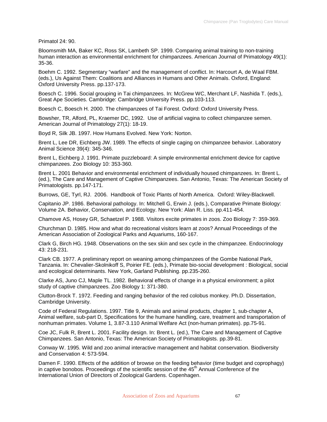Primatol 24: 90.

Bloomsmith MA, Baker KC, Ross SK, Lambeth SP. 1999. Comparing animal training to non-training human interaction as environmental enrichment for chimpanzees. American Journal of Primatology 49(1): 35-36.

Boehm C. 1992. Segmentary "warfare" and the management of conflict. In: Harcourt A, de Waal FBM. (eds.), Us Against Them: Coalitions and Alliances in Humans and Other Animals. Oxford, England: Oxford University Press. pp.137-173.

Boesch C. 1996. Social grouping in Tai chimpanzees. In: McGrew WC, Merchant LF, Nashida T. (eds.), Great Ape Societies. Cambridge: Cambridge University Press. pp.103-113.

Boesch C, Boesch H. 2000. The chimpanzees of Tai Forest. Oxford: Oxford University Press.

Bowsher, TR, Alford, PL, Kraemer DC, 1992. Use of artificial vagina to collect chimpanzee semen. American Journal of Primatology 27(1): 18-19.

Boyd R, Silk JB. 1997. How Humans Evolved. New York: Norton.

Brent L, Lee DR, Eichberg JW. 1989. The effects of single caging on chimpanzee behavior. Laboratory Animal Science 39(4): 345-346.

Brent L, Eichberg J. 1991. Primate puzzleboard: A simple environmental enrichment device for captive chimpanzees. Zoo Biology 10: 353-360.

Brent L. 2001 Behavior and environmental enrichment of individually housed chimpanzees. In: Brent L. (ed.), The Care and Management of Captive Chimpanzees. San Antonio, Texas: The American Society of Primatologists. pp.147-171.

Burrows, GE, Tyrl, RJ. 2006. Handbook of Toxic Plants of North America. Oxford: Wiley-Blackwell.

Capitanio JP. 1986. Behavioral pathology. In: Mitchell G, Erwin J. (eds.), Comparative Primate Biology: Volume 2A. Behavior, Conservation, and Ecology. New York: Alan R. Liss. pp.411-454.

Chamove AS, Hosey GR, Schaetzel P. 1988. Visitors excite primates in zoos. Zoo Biology 7: 359-369.

Churchman D. 1985. How and what do recreational visitors learn at zoos? Annual Proceedings of the American Association of Zoological Parks and Aquariums, 160-167.

Clark G, Birch HG. 1948. Observations on the sex skin and sex cycle in the chimpanzee. Endocrinology 43: 218-231.

Clark CB. 1977. A preliminary report on weaning among chimpanzees of the Gombe National Park, Tanzania. In: Chevalier-Skolnikoff S, Poirier FE. (eds.), Primate bio-social development : Biological, social and ecological determinants. New York, Garland Publishing. pp.235-260.

Clarke AS, Juno CJ, Maple TL. 1982. Behavioral effects of change in a physical environment; a pilot study of captive chimpanzees. Zoo Biology 1: 371-380.

Clutton-Brock T. 1972. Feeding and ranging behavior of the red colobus monkey. Ph.D. Dissertation, Cambridge University.

Code of Federal Regulations. 1997. Title 9, Animals and animal products, chapter 1, sub-chapter A, Animal welfare, sub-part D, Specifications for the humane handling, care, treatment and transportation of nonhuman primates. Volume 1, 3.87-3.110 Animal Welfare Act (non-human primates). pp.75-91.

Coe JC, Fulk R, Brent L. 2001. Facility design. In: Brent L. (ed.), The Care and Management of Captive Chimpanzees. San Antonio, Texas: The American Society of Primatologists. pp.39-81.

Conway W. 1995. Wild and zoo animal interactive management and habitat conservation. Biodiversity and Conservation 4: 573-594.

Damen F. 1990. Effects of the addition of browse on the feeding behavior (time budget and coprophagy) in captive bonobos. Proceedings of the scientific session of the 45<sup>th</sup> Annual Conference of the International Union of Directors of Zoological Gardens. Copenhagen.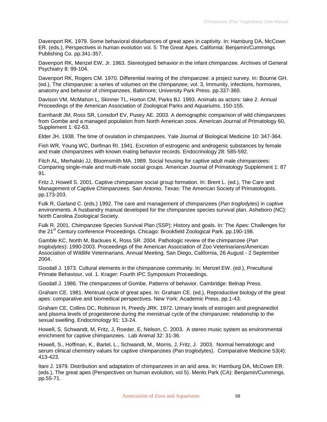Davenport RK. 1979. Some behavioral disturbances of great apes in captivity. In: Hamburg DA, McCown ER. (eds.), Perspectives in human evolution vol. 5: The Great Apes. California: Benjamin/Cummings Publishing Co. pp.341-357.

Davenport RK, Menzel EW, Jr. 1963. Stereotyped behavior in the infant chimpanzee. Archives of General Psychiatry 8: 99-104.

Davenport RK, Rogers CM. 1970. Differential rearing of the chimpanzee: a project survey. In: Bourne GH. (ed.), The chimpanzee: a series of volumes on the chimpanzee; vol. 3, Immunity, infections, hormones, anatomy and behavior of chimpanzees. Baltimore; University Park Press. pp.337-360.

Davison VM, McMahon L, Skinner TL, Horton CM, Parks BJ. 1993. Animals as actors: take 2. Annual Proceedings of the American Association of Zoological Parks and Aquariums, 150-155.

Earnhardt JM, Ross SR, Lonsdorf EV, Pusey AE. 2003. A demographic comparison of wild chimpanzees from Gombe and a managed population from North American zoos. American Journal of Primatology 60, Supplement 1: 62-63.

Elder JH. 1938. The time of ovulation in chimpanzees. Yale Journal of Biological Medicine 10: 347-364.

Fish WR, Young WC, Dorfman RI. 1941. Excretion of estrogenic and androgenic substances by female and male chimpanzees with known mating behavior records. Endocrinology 28: 585-592.

Fitch AL, Merhalski JJ, Bloomsmith MA. 1989. Social housing for captive adult male chimpanzees: Comparing single-male and multi-male social groups. American Journal of Primatology Supplement 1: 87 91.

Fritz J, Howell S. 2001. Captive chimpanzee social group formation. In: Brent L. (ed.), The Care and Management of Captive Chimpanzees. San Antonio, Texas: The American Society of Primatologists. pp.173-203.

Fulk R, Garland C. (eds.) 1992. The care and management of chimpanzees (*Pan troglodytes*) in captive environments. A husbandry manual developed for the chimpanzee species survival plan. Asheboro (NC): North Carolina Zoological Society.

Fulk R. 2001. Chimpanzee Species Survival Plan (SSP): History and goals. In: The Apes: Challenges for the 21<sup>st</sup> Century conference Proceedings. Chicago: Brookfield Zoological Park. pp.190-198.

Gamble KC, North M, Backues K, Ross SR. 2004. Pathologic review of the chimpanzee (*Pan troglodytes*): 1990-2003. Proceedings of the American Association of Zoo Veterinarians/American Association of Wildlife Veterinarians, Annual Meeting, San Diego, California, 26 August - 2 September 2004.

Goodall J. 1973. Cultural elements in the chimpanzee community. In: Menzel EW. (ed.), Precultural Primate Behaviour, vol. 1. Krager: Fourth IPC Symposium Proceedings.

Goodall J. 1986. The chimpanzees of Gombe. Patterns of behavior. Cambridge: Belnap Press.

Graham CE. 1981. Mentrual cycle of great apes. In: Graham CE. (ed.), Reproductive biology of the great apes: comparative and biomedical perspectives. New York: Academic Press. pp.1-43.

Graham CE, Collins DC, Robinson H, Preedy JRK. 1972. Urinary levels of estrogen and pregnanediol and plasma levels of progesterone during the menstrual cycle of the chimpanzee: relationship to the sexual swelling. Endocrinology 91: 13-24.

Howell, S, Schwandt, M, Fritz, J, Roeder, E, Nelson, C. 2003. A stereo music system as environmental enrichment for captive chimpanzees. Lab Animal 32: 31-36.

Howell, S., Hoffman, K., Bartel, L., Schwandt, M., Morris, J, Fritz, J. 2003. Normal hematologic and serum clinical chemistry values for captive chimpanzees (Pan troglodytes). Comparative Medicine 53(4): 413-423.

Itani J. 1979. Distribution and adaptation of chimpanzees in an arid area. In: Hamburg DA, McCown ER. (eds.), The great apes (Perspectives on human evolution, vol 5). Menlo Park (CA): Benjamin/Cummings. pp.55-71.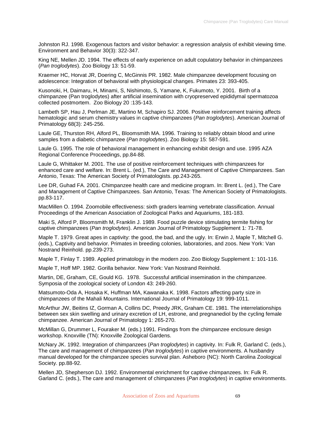Johnston RJ. 1998. Exogenous factors and visitor behavior: a regression analysis of exhibit viewing time. Environment and Behavior 30(3): 322-347.

King NE, Mellen JD. 1994. The effects of early experience on adult copulatory behavior in chimpanzees (*Pan troglodytes*). Zoo Biology 13: 51-59.

Kraemer HC, Horvat JR, Doering C, McGinnis PR. 1982. Male chimpanzee development focusing on adolescence: Integration of behavioral with physiological changes. Primates 23: 393-405.

Kusonoki, H, Daimaru, H, Minami, S, Nishimoto, S, Yamane, K, Fukumoto, Y. 2001. Birth of a chimpanzee (Pan troglodytes) after artificial insemination with cryopreserved epididymal spermatozoa collected postmortem. Zoo Biology 20 :135-143.

Lambeth SP, Hau J, Perlman JE, Martino M, Schapiro SJ. 2006. Positive reinforcement training affects hematologic and serum chemistry values in captive chimpanzees (*Pan troglodytes*). American Journal of Primatology 68(3): 245-256.

Laule GE, Thurston RH, Alford PL, Bloomsmith MA. 1996. Training to reliably obtain blood and urine samples from a diabetic chimpanzee (*Pan troglodytes*). Zoo Biology 15: 587-591.

Laule G. 1995. The role of behavioral management in enhancing exhibit design and use. 1995 AZA Regional Conference Proceedings, pp.84-88.

Laule G, Whittaker M. 2001. The use of positive reinforcement techniques with chimpanzees for enhanced care and welfare. In: Brent L. (ed.), The Care and Management of Captive Chimpanzees. San Antonio, Texas: The American Society of Primatologists. pp.243-265.

Lee DR, Guhad FA. 2001. Chimpanzee health care and medicine program. In: Brent L. (ed.), The Care and Management of Captive Chimpanzees. San Antonio, Texas: The American Society of Primatologists. pp.83-117.

MacMillen O. 1994. Zoomobile effectiveness: sixth graders learning vertebrate classification. Annual Proceedings of the American Association of Zoological Parks and Aquariums, 181-183.

Maki S, Alford P, Bloomsmith M, Franklin J. 1989. Food puzzle device stimulating termite fishing for captive chimpanzees (*Pan troglodytes*). American Journal of Primatology Supplement 1: 71-78.

Maple T. 1979. Great apes in captivity: the good, the bad, and the ugly. In: Erwin J, Maple T, Mitchell G. (eds.), Captivity and behavior. Primates in breeding colonies, laboratories, and zoos. New York: Van Nostrand Reinhold. pp.239-273.

Maple T, Finlay T. 1989. Applied primatology in the modern zoo. Zoo Biology Supplement 1: 101-116.

Maple T, Hoff MP. 1982. Gorilla behavior. New York: Van Nostrand Reinhold.

Martin, DE, Graham, CE, Gould KG. 1978. Successful artificial insemination in the chimpanzee. Symposia of the zoological society of London 43: 249-260.

Matsumoto-Oda A, Hosaka K, Huffman MA, Kawanaka K. 1998. Factors affecting party size in chimpanzees of the Mahali Mountains. International Journal of Primatology 19: 999-1011.

McArthur JW, Beitins IZ, Gorman A, Collins DC, Preedy JRK, Graham CE. 1981. The interrelationships between sex skin swelling and urinary excretion of LH, estrone, and pregnanediol by the cycling female chimpanzee. American Journal of Primatology 1: 265-270.

McMillan G, Drummer L, Fouraker M. (eds.) 1991. Findings from the chimpanzee enclosure design workshop. Knoxville (TN): Knoxville Zoological Gardens.

McNary JK. 1992. Integration of chimpanzees (*Pan troglodytes*) in captivity. In: Fulk R, Garland C. (eds.), The care and management of chimpanzees (*Pan troglodytes*) in captive environments. A husbandry manual developed for the chimpanzee species survival plan. Asheboro (NC): North Carolina Zoological Society. pp.88-92.

Mellen JD, Shepherson DJ. 1992. Environmental enrichment for captive chimpanzees. In: Fulk R. Garland C. (eds.), The care and management of chimpanzees (*Pan troglodytes*) in captive environments.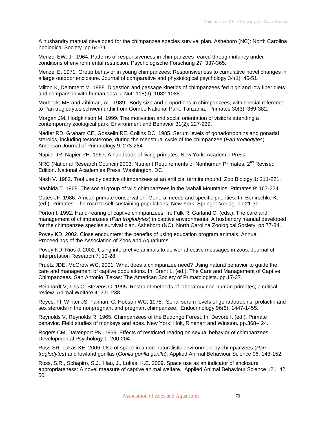A husbandry manual developed for the chimpanzee species survival plan. Asheboro (NC): North Carolina Zoological Society. pp.64-71.

Menzel EW. Jr. 1964. Patterns of responsiveness in chimpanzees reared through infancy under conditions of environmental restriction. Psychologische Forschung 27: 337-365.

Menzel E. 1971. Group behavior in young chimpanzees: Responsiveness to cumulative novel changes in a large outdoor enclosure. Journal of comparative and physiological psychology 34(1): 46-51.

Milton K, Demment M. 1988. Digestion and passage kinetics of chimpanzees fed high and low fiber diets and comparison with human data. J Nutr 118(9): 1082-1088.

Morbeck, ME and Zihlman, AL. 1989. Body size and proportions in chimpanzees, with special reference to Pan troglodytes schweinfurthii from Gombe National Park, Tanzania. Primates 30(3): 369-382.

Morgan JM, Hodgkinson M. 1999. The motivation and social orientation of visitors attending a contemporary zoological park. Environment and Behavior 31(2): 227-239.

Nadler RD, Graham CE, Gosselin RE, Collins DC. 1985. Serum levels of gonadotrophins and gonadal steroids, including testosterone, during the menstrual cycle of the chimpanzee (*Pan troglodytes*). American Journal of Primatology 9: 273-284.

Napier JR, Napier PH. 1967. A handbook of living primates. New York: Academic Press.

NRC (National Research Council) 2003. Nutrient Requirements of Nonhuman Primates.  $2^{nd}$  Revised Edition. National Academies Press, Washington, DC.

Nash V. 1982. Tool use by captive chimpanzees at an artificial termite mound. Zoo Biology 1: 211-221.

Nashida T. 1968. The social group of wild chimpanzees in the Mahali Mountains. Primates 9: 167-224.

Oates JF. 1986. African primate conservation: General needs and specific priorities. In: Benirschke K. (ed.), Primates: The road to self-sustaining populations. New York: Springer-Verlag. pp.21-30.

Porton I. 1992. Hand-rearing of captive chimpanzees. In: Fulk R, Garland C. (eds.), The care and management of chimpanzees (*Pan troglodytes*) in captive environments. A husbandry manual developed for the chimpanzee species survival plan. Asheboro (NC): North Carolina Zoological Society. pp.77-84.

Povey KD. 2002. Close encounters: the benefits of using education program animals. Annual Proceedings of the Association of Zoos and Aquariums.

Povey KD, Rios J. 2002. Using interpretive animals to deliver affective messages in zoos. Journal of Interpretation Research 7: 19-28.

Pruetz JDE, McGrew WC. 2001. What does a chimpanzee need? Using natural behavior to guide the care and management of captive populations. In: Brent L. (ed.), The Care and Management of Captive Chimpanzees. San Antonio, Texas: The American Society of Primatologists. pp.17-37.

Reinhardt V, Liss C, Stevens C. 1995. Restraint methods of laboratory non-human primates; a critical review. Animal Welfare 4: 221-238.

Reyes, FI, Winter JS, Faiman, C, Hobson WC, 1975. Serial serum levels of gonadotropins, prolactin and sex steroids in the nonpregnant and pregnant chimpanzee. Endocrinology 96(6): 1447-1455.

Reynolds V, Reynolds R. 1965. Chimpanzees of the Budongo Forest. In: Devore I. (ed.), Primate behavior. Field studies of monkeys and apes. New York: Holt, Rinehart and Winston. pp.368-424.

Rogers CM, Davenport PK. 1969. Effects of restricted rearing on sexual behavior of chimpanzees. Developmental Psychology 1: 200-204.

Ross SR, Lukas KE. 2006. Use of space in a non-naturalistic environment by chimpanzees (*Pan troglodytes*) and lowland gorillas (*Gorilla gorilla gorilla*). Applied Animal Behaviour Science 96: 143-152.

Ross, S.R., Schapiro, S.J., Hau, J., Lukas, K.E. 2009. Space use as an indicator of enclosure appropriateness: A novel measure of captive animal welfare. Applied Animal Behaviour Science 121: 42 50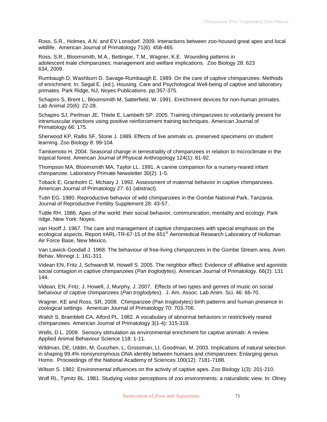Ross, S.R., Holmes, A.N. and EV Lonsdorf. 2009. Interactions between zoo-housed great apes and local wildlife. American Journal of Primatology 71(6): 458-465.

Ross, S.R., Bloomsmith, M.A., Bettinger, T.M., Wagner, K.E. Wounding patterns in adolescent male chimpanzees: management and welfare implications. Zoo Biology 28: 623 634, 2009.

Rumbaugh D, Washburn D. Savage-Rumbaugh E. 1989. On the care of captive chimpanzees: Methods of enrichment. In: Segal E. (ed.), Housing, Care and Psychological Well-being of captive and laboratory primates. Park Ridge, NJ, Noyes Publications. pp.357-375.

Schapiro S, Brent L, Bloomsmith M, Satterfield, W. 1991. Enrichment devices for non-human primates. Lab Animal 20(6): 22-28.

Schapiro SJ, Perlman JE, Thiele E, Lambeth SP. 2005. Training chimpanzees to voluntarily present for intramuscular injections using positive reinforcement training techniques. American Journal of Primatology 66: 175.

Sherwood KP, Rallis SF, Stone J. 1989. Effects of live animals vs. preserved specimens on student learning. Zoo Biology 8: 99-104.

Tamkemoto H. 2004. Seasonal change in terrestriality of chimpanzees in relation to microclimate in the tropical forest. American Journal of Physical Anthropology 124(1): 81-92.

Thompson MA, Bloomsmith MA, Taylor LL. 1991. A canine companion for a nursery-reared infant chimpanzee. Laboratory Primate Newsletter 30(2): 1-5.

Toback E, Granholm C, McNary J. 1992. Assessment of maternal behavior in captive chimpanzees. American Journal of Primatology 27: 61 (abstract).

Tutin EG. 1980. Reproductive behavior of wild chimpanzees in the Gombe National Park, Tanzania. Journal of Reproductive Fertility Supplement 28: 43-57.

Tuttle RH. 1986. Apes of the world: their social behavior, communication, mentality and ecology. Park ridge, New York: Noyes.

van Hooff J. 1967. The care and management of captive chimpanzees with special emphasis on the ecological aspects. Report #ARL-TR-67-15 of the 651<sup>st</sup> Aeromedical Research Laboratory of Holloman Air Force Base, New Mexico.

Van Lawick-Goodall J. 1968. The behaviour of free-living chimpanzees in the Gombe Stream area. Anim. Behav. Monogr.1: 161-311.

Videan EN, Fritz J, Schwandt M, Howell S. 2005. The neighbor effect: Evidence of affiliative and agonistic social contagion in captive chimpanzees (*Pan troglodytes*). American Journal of Primatology. 66(2): 131 144.

Videan, EN, Fritz, J, Howell, J, Murphy, J. 2007. Effects of two types and genres of music on social behaivour of captive chimpanzees (*Pan troglodytes*). J. Am. Assoc. Lab Anim. Sci. 46: 66-70.

Wagner, KE and Ross, SR, 2008. Chimpanzee (Pan troglodytes) birth patterns and human presence in zoological settings. American Journal of Primatology 70: 703-706.

Walsh S, Bramblett CA, Alford PL. 1982. A vocabulary of abnormal behaviors in restrictively reared chimpanzees. American Journal of Primatology 3(1-4): 315-319.

Wells, D.L. 2009. Sensory stimulation as environmental enrichment for captive animals: A review. Applied Animal Behaviour Science 118: 1-11.

Wildman, DE, Uddin, M, Guozhen, L, Grossman, LI, Goodman, M. 2003. Implications of natural selection in shaping 99.4% nonsynonymous DNA identity between humans and chimpanzees: Enlarging genus Homo. Proceedings of the National Academy of Sciences 100(12): 7181-7188.

Wilson S. 1982. Environmental influences on the activity of captive apes. Zoo Biology 1(3): 201-210.

Wolf RL, Tymitz BL. 1981. Studying visitor perceptions of zoo environments: a naturalistic view. In: Olney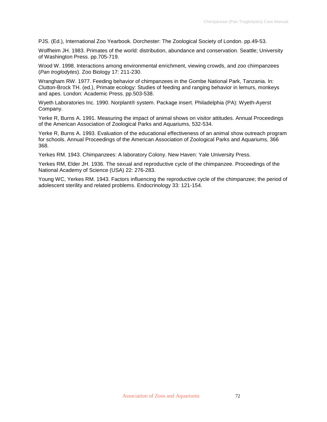PJS. (Ed.), International Zoo Yearbook. Dorchester: The Zoological Society of London. pp.49-53.

Wolfheim JH. 1983. Primates of the world: distribution, abundance and conservation. Seattle; University of Washington Press. pp.705-719.

Wood W. 1998. Interactions among environmental enrichment, viewing crowds, and zoo chimpanzees (*Pan troglodytes*). Zoo Biology 17: 211-230.

Wrangham RW. 1977. Feeding behavior of chimpanzees in the Gombe National Park, Tanzania. In: Clutton-Brock TH. (ed.), Primate ecology: Studies of feeding and ranging behavior in lemurs, monkeys and apes. London: Academic Press. pp.503-538.

Wyeth Laboratories Inc. 1990. Norplant® system. Package insert. Philadelphia (PA): Wyeth-Ayerst Company.

Yerke R, Burns A. 1991. Measuring the impact of animal shows on visitor attitudes. Annual Proceedings of the American Association of Zoological Parks and Aquariums, 532-534.

Yerke R, Burns A. 1993. Evaluation of the educational effectiveness of an animal show outreach program for schools. Annual Proceedings of the American Association of Zoological Parks and Aquariums, 366 368.

Yerkes RM. 1943. Chimpanzees: A laboratory Colony. New Haven: Yale University Press.

Yerkes RM, Elder JH. 1936. The sexual and reproductive cycle of the chimpanzee. Proceedings of the National Academy of Science (USA) 22: 276-283.

Young WC, Yerkes RM. 1943. Factors influencing the reproductive cycle of the chimpanzee; the period of adolescent sterility and related problems. Endocrinology 33: 121-154.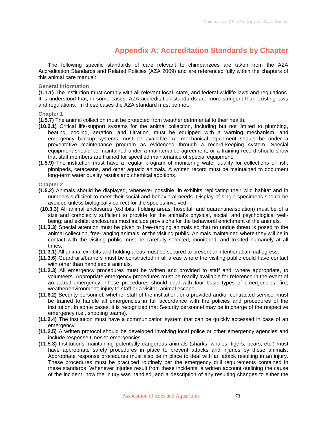# **Appendix A: Accreditation Standards by Chapter**

The following specific standards of care relevant to chimpanzees are taken from the AZA Accreditation Standards and Related Policies (AZA 2009) and are referenced fully within the chapters of this animal care manual:

## **General Information**

**(1.1.1)** The institution must comply with all relevant local, state, and federal wildlife laws and regulations. It is understood that, in some cases, AZA accreditation standards are more stringent than existing laws and regulations. In these cases the AZA standard must be met.

### **Chapter 1**

**(1.5.7)** The animal collection must be protected from weather detrimental to their health.

- **(10.2.1)** Critical life-support systems for the animal collection, including but not limited to plumbing, heating, cooling, aeration, and filtration, must be equipped with a warning mechanism, and emergency backup systems must be available. All mechanical equipment should be under a preventative maintenance program as evidenced through a record-keeping system. Special equipment should be maintained under a maintenance agreement, or a training record should show that staff members are trained for specified maintenance of special equipment.
- **(1.5.9)** The institution must have a regular program of monitoring water quality for collections of fish, pinnipeds, cetaceans, and other aquatic animals. A written record must be maintained to document long-term water quality results and chemical additions.

**Chapter 2**

- **(1.5.2)** Animals should be displayed, whenever possible, in exhibits replicating their wild habitat and in numbers sufficient to meet their social and behavioral needs. Display of single specimens should be avoided unless biologically correct for the species involved.
- **((10.3.3)** All animal enclosures (exhibits, holding areas, hospital, and quarantine/isolation) must be of a size and complexity sufficient to provide for the animal's physical, social, and psychological wellbeing; and exhibit enclosures must include provisions for the behavioral enrichment of the animals.
- **(11.3.3)** Special attention must be given to free-ranging animals so that no undue threat is posed to the animal collection, free-ranging animals, or the visiting public. Animals maintained where they will be in contact with the visiting public must be carefully selected, monitored, and treated humanely at all times.
- **(11.3.1)** All animal exhibits and holding areas must be secured to prevent unintentional animal egress.
- **(11.3.6)** Guardrails/barriers must be constructed in all areas where the visiting public could have contact with other than handleable animals.
- **(11.2.3)** All emergency procedures must be written and provided to staff and, where appropriate, to volunteers. Appropriate emergency procedures must be readily available for reference in the event of an actual emergency. These procedures should deal with four basic types of emergencies: fire, weather/environment; injury to staff or a visitor; animal escape.
- **(11.6.2)** Security personnel, whether staff of the institution, or a provided and/or contracted service, must be trained to handle all emergencies in full accordance with the policies and procedures of the institution. In some cases, it is recognized that Security personnel may be in charge of the respective emergency (i.e., shooting teams).
- **(11.2.4)** The institution must have a communication system that can be quickly accessed in case of an emergency.
- **(11.2.5)** A written protocol should be developed involving local police or other emergency agencies and include response times to emergencies.
- **(11.5.3)** Institutions maintaining potentially dangerous animals (sharks, whales, tigers, bears, etc.) must have appropriate safety procedures in place to prevent attacks and injuries by these animals. Appropriate response procedures must also be in place to deal with an attack resulting in an injury. These procedures must be practiced routinely per the emergency drill requirements contained in these standards. Whenever injuries result from these incidents, a written account outlining the cause of the incident, how the injury was handled, and a description of any resulting changes to either the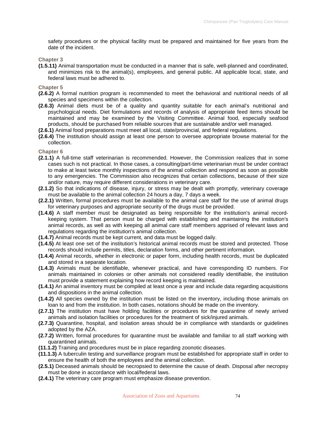safety procedures or the physical facility must be prepared and maintained for five years from the date of the incident.

**Chapter 3**

**(1.5.11)** Animal transportation must be conducted in a manner that is safe, well-planned and coordinated, and minimizes risk to the animal(s), employees, and general public. All applicable local, state, and federal laws must be adhered to.

**Chapter 5**

- **(2.6.2)** A formal nutrition program is recommended to meet the behavioral and nutritional needs of all species and specimens within the collection.
- **(2.6.3)** Animal diets must be of a quality and quantity suitable for each animal's nutritional and psychological needs. Diet formulations and records of analysis of appropriate feed items should be maintained and may be examined by the Visiting Committee. Animal food, especially seafood products, should be purchased from reliable sources that are sustainable and/or well managed.
- **(2.6.1)** Animal food preparations must meet all local, state/provincial, and federal regulations.
- **(2.6.4)** The institution should assign at least one person to oversee appropriate browse material for the collection.

**Chapter 6**

- **(2.1.1)** A full-time staff veterinarian is recommended. However, the Commission realizes that in some cases such is not practical. In those cases, a consulting/part-time veterinarian must be under contract to make at least twice monthly inspections of the animal collection and respond as soon as possible to any emergencies. The Commission also recognizes that certain collections, because of their size and/or nature, may require different considerations in veterinary care.
- **(2.1.2)** So that indications of disease, injury, or stress may be dealt with promptly, veterinary coverage must be available to the animal collection 24 hours a day, 7 days a week.
- **(2.2.1)** Written, formal procedures must be available to the animal care staff for the use of animal drugs for veterinary purposes and appropriate security of the drugs must be provided.
- **(1.4.6)** A staff member must be designated as being responsible for the institution's animal recordkeeping system. That person must be charged with establishing and maintaining the institution's animal records, as well as with keeping all animal care staff members apprised of relevant laws and regulations regarding the institution's animal collection.
- **(1.4.7)** Animal records must be kept current, and data must be logged daily.
- **(1.4.5)** At least one set of the institution's historical animal records must be stored and protected. Those records should include permits, titles, declaration forms, and other pertinent information.
- **(1.4.4)** Animal records, whether in electronic or paper form, including health records, must be duplicated and stored in a separate location.
- **(1.4.3)** Animals must be identifiable, whenever practical, and have corresponding ID numbers. For animals maintained in colonies or other animals not considered readily identifiable, the institution must provide a statement explaining how record keeping is maintained.
- **(1.4.1)** An animal inventory must be compiled at least once a year and include data regarding acquisitions and dispositions in the animal collection.
- **(1.4.2)** All species owned by the institution must be listed on the inventory, including those animals on loan to and from the institution. In both cases, notations should be made on the inventory.
- **(2.7.1)** The institution must have holding facilities or procedures for the quarantine of newly arrived animals and isolation facilities or procedures for the treatment of sick/injured animals.
- **(2.7.3)** Quarantine, hospital, and isolation areas should be in compliance with standards or guidelines adopted by the AZA.
- **(2.7.2)** Written, formal procedures for quarantine must be available and familiar to all staff working with quarantined animals.
- **(11.1.2)** Training and procedures must be in place regarding zoonotic diseases.
- **(11.1.3)** A tuberculin testing and surveillance program must be established for appropriate staff in order to ensure the health of both the employees and the animal collection.
- **(2.5.1)** Deceased animals should be necropsied to determine the cause of death. Disposal after necropsy must be done in accordance with local/federal laws.
- **(2.4.1)** The veterinary care program must emphasize disease prevention.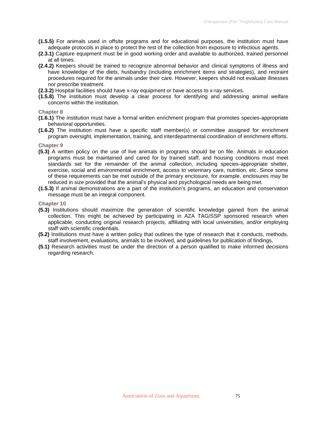- **(1.5.5)** For animals used in offsite programs and for educational purposes, the institution must have adequate protocols in place to protect the rest of the collection from exposure to infectious agents.
- **(2.3.1)** Capture equipment must be in good working order and available to authorized, trained personnel at all times.
- **(2.4.2)** Keepers should be trained to recognize abnormal behavior and clinical symptoms of illness and have knowledge of the diets, husbandry (including enrichment items and strategies), and restraint procedures required for the animals under their care. However, keepers should not evaluate illnesses nor prescribe treatment.
- **(2.3.2)** Hospital facilities should have x-ray equipment or have access to x-ray services.
- **(1.5.8)** The institution must develop a clear process for identifying and addressing animal welfare concerns within the institution.

#### **Chapter 8**

- **(1.6.1)** The institution must have a formal written enrichment program that promotes species-appropriate behavioral opportunities.
- **(1.6.2)** The institution must have a specific staff member(s) or committee assigned for enrichment program oversight, implementation, training, and interdepartmental coordination of enrichment efforts.

**Chapter 9**

- **(5.3)** A written policy on the use of live animals in programs should be on file. Animals in education programs must be maintained and cared for by trained staff, and housing conditions must meet standards set for the remainder of the animal collection, including species-appropriate shelter, exercise, social and environmental enrichment, access to veterinary care, nutrition, etc. Since some of these requirements can be met outside of the primary enclosure, for example, enclosures may be reduced in size provided that the animal's physical and psychological needs are being met.
- **(1.5.3)** If animal demonstrations are a part of the institution's programs, an education and conservation message must be an integral component.

**Chapter 10**

- **(5.3)** Institutions should maximize the generation of scientific knowledge gained from the animal collection. This might be achieved by participating in AZA TAG/SSP sponsored research when applicable, conducting original research projects, affiliating with local universities, and/or employing staff with scientific credentials.
- **(5.2)** Institutions must have a written policy that outlines the type of research that it conducts, methods, staff involvement, evaluations, animals to be involved, and guidelines for publication of findings.
- **(5.1)** Research activities must be under the direction of a person qualified to make informed decisions regarding research.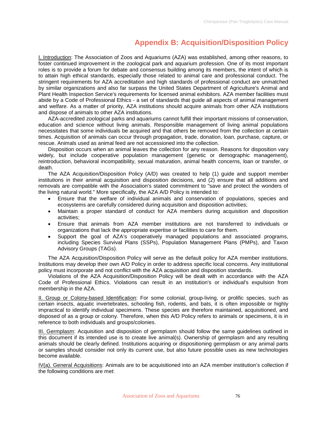# **Appendix B: Acquisition/Disposition Policy**

I. Introduction: The Association of Zoos and Aquariums (AZA) was established, among other reasons, to foster continued improvement in the zoological park and aquarium profession. One of its most important roles is to provide a forum for debate and consensus building among its members, the intent of which is to attain high ethical standards, especially those related to animal care and professional conduct. The stringent requirements for AZA accreditation and high standards of professional conduct are unmatched by similar organizations and also far surpass the United States Department of Agriculture's Animal and Plant Health Inspection Service's requirements for licensed animal exhibitors. AZA member facilities must abide by a Code of Professional Ethics - a set of standards that guide all aspects of animal management and welfare. As a matter of priority, AZA institutions should acquire animals from other AZA institutions and dispose of animals to other AZA institutions.

AZA-accredited zoological parks and aquariums cannot fulfill their important missions of conservation, education and science without living animals. Responsible management of living animal populations necessitates that some individuals be acquired and that others be removed from the collection at certain times. Acquisition of animals can occur through propagation, trade, donation, loan, purchase, capture, or rescue. Animals used as animal feed are not accessioned into the collection.

Disposition occurs when an animal leaves the collection for any reason. Reasons for disposition vary widely, but include cooperative population management (genetic or demographic management), reintroduction, behavioral incompatibility, sexual maturation, animal health concerns, loan or transfer, or death.

The AZA Acquisition/Disposition Policy (A/D) was created to help (1) guide and support member institutions in their animal acquisition and disposition decisions, and (2) ensure that all additions and removals are compatible with the Association's stated commitment to "save and protect the wonders of the living natural world." More specifically, the AZA A/D Policy is intended to:

- Ensure that the welfare of individual animals and conservation of populations, species and ecosystems are carefully considered during acquisition and disposition activities;
- Maintain a proper standard of conduct for AZA members during acquisition and disposition activities;
- Ensure that animals from AZA member institutions are not transferred to individuals or organizations that lack the appropriate expertise or facilities to care for them.
- Support the goal of AZA's cooperatively managed populations and associated programs, including Species Survival Plans (SSPs), Population Management Plans (PMPs), and Taxon Advisory Groups (TAGs).

The AZA Acquisition/Disposition Policy will serve as the default policy for AZA member institutions. Institutions may develop their own A/D Policy in order to address specific local concerns. Any institutional policy must incorporate and not conflict with the AZA acquisition and disposition standards.

Violations of the AZA Acquisition/Disposition Policy will be dealt with in accordance with the AZA Code of Professional Ethics. Violations can result in an institution's or individual's expulsion from membership in the AZA.

II. Group or Colony-based Identification: For some colonial, group-living, or prolific species, such as certain insects, aquatic invertebrates, schooling fish, rodents, and bats, it is often impossible or highly impractical to identify individual specimens. These species are therefore maintained, acquisitioned, and disposed of as a group or colony. Therefore, when this A/D Policy refers to animals or specimens, it is in reference to both individuals and groups/colonies.

III. Germplasm: Acquisition and disposition of germplasm should follow the same guidelines outlined in this document if its intended use is to create live animal(s). Ownership of germplasm and any resulting animals should be clearly defined. Institutions acquiring or dispositioning germplasm or any animal parts or samples should consider not only its current use, but also future possible uses as new technologies become available.

IV(a). General Acquisitions: Animals are to be acquisitioned into an AZA member institution's collection if the following conditions are met: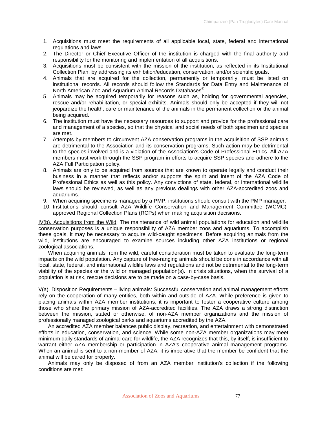- 1. Acquisitions must meet the requirements of all applicable local, state, federal and international regulations and laws.
- 2. The Director or Chief Executive Officer of the institution is charged with the final authority and responsibility for the monitoring and implementation of all acquisitions.
- 3. Acquisitions must be consistent with the mission of the institution, as reflected in its Institutional Collection Plan, by addressing its exhibition/education, conservation, and/or scientific goals.
- 4. Animals that are acquired for the collection, permanently or temporarily, must be listed on institutional records. All records should follow the Standards for Data Entry and Maintenance of North American Zoo and Aquarium Animal Records Databases<sup>®</sup>.
- 5. Animals may be acquired temporarily for reasons such as, holding for governmental agencies, rescue and/or rehabilitation, or special exhibits. Animals should only be accepted if they will not jeopardize the health, care or maintenance of the animals in the permanent collection or the animal being acquired.
- 6. The institution must have the necessary resources to support and provide for the professional care and management of a species, so that the physical and social needs of both specimen and species are met.
- 7. Attempts by members to circumvent AZA conservation programs in the acquisition of SSP animals are detrimental to the Association and its conservation programs. Such action may be detrimental to the species involved and is a violation of the Association's Code of Professional Ethics. All AZA members must work through the SSP program in efforts to acquire SSP species and adhere to the AZA Full Participation policy.
- 8. Animals are only to be acquired from sources that are known to operate legally and conduct their business in a manner that reflects and/or supports the spirit and intent of the AZA Code of Professional Ethics as well as this policy. Any convictions of state, federal, or international wildlife laws should be reviewed, as well as any previous dealings with other AZA-accredited zoos and aquariums.
- 9. When acquiring specimens managed by a PMP, institutions should consult with the PMP manager.
- 10. Institutions should consult AZA Wildlife Conservation and Management Committee (WCMC) approved Regional Collection Plans (RCPs) when making acquisition decisions.

IV(b). Acquisitions from the Wild: The maintenance of wild animal populations for education and wildlife conservation purposes is a unique responsibility of AZA member zoos and aquariums. To accomplish these goals, it may be necessary to acquire wild-caught specimens. Before acquiring animals from the wild, institutions are encouraged to examine sources including other AZA institutions or regional zoological associations.

When acquiring animals from the wild, careful consideration must be taken to evaluate the long-term impacts on the wild population. Any capture of free-ranging animals should be done in accordance with all local, state, federal, and international wildlife laws and regulations and not be detrimental to the long-term viability of the species or the wild or managed population(s). In crisis situations, when the survival of a population is at risk, rescue decisions are to be made on a case-by-case basis.

V(a). Disposition Requirements – living animals: Successful conservation and animal management efforts rely on the cooperation of many entities, both within and outside of AZA. While preference is given to placing animals within AZA member institutions, it is important to foster a cooperative culture among those who share the primary mission of AZA-accredited facilities. The AZA draws a strong distinction between the mission, stated or otherwise, of non-AZA member organizations and the mission of professionally managed zoological parks and aquariums accredited by the AZA.

An accredited AZA member balances public display, recreation, and entertainment with demonstrated efforts in education, conservation, and science. While some non-AZA member organizations may meet minimum daily standards of animal care for wildlife, the AZA recognizes that this, by itself, is insufficient to warrant either AZA membership or participation in AZA's cooperative animal management programs. When an animal is sent to a non-member of AZA, it is imperative that the member be confident that the animal will be cared for properly.

Animals may only be disposed of from an AZA member institution's collection if the following conditions are met: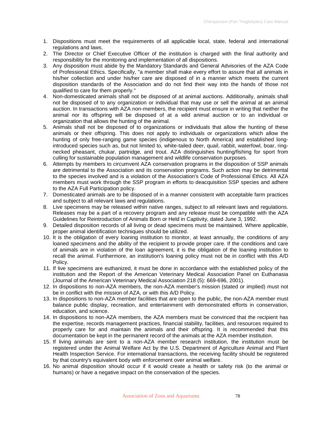- 1. Dispositions must meet the requirements of all applicable local, state, federal and international regulations and laws.
- 2. The Director or Chief Executive Officer of the institution is charged with the final authority and responsibility for the monitoring and implementation of all dispositions.
- 3. Any disposition must abide by the Mandatory Standards and General Advisories of the AZA Code of Professional Ethics. Specifically, "a member shall make every effort to assure that all animals in his/her collection and under his/her care are disposed of in a manner which meets the current disposition standards of the Association and do not find their way into the hands of those not qualified to care for them properly."
- 4. Non-domesticated animals shall not be disposed of at animal auctions. Additionally, animals shall not be disposed of to any organization or individual that may use or sell the animal at an animal auction. In transactions with AZA non-members, the recipient must ensure in writing that neither the animal nor its offspring will be disposed of at a wild animal auction or to an individual or organization that allows the hunting of the animal.
- 5. Animals shall not be disposed of to organizations or individuals that allow the hunting of these animals or their offspring. This does not apply to individuals or organizations which allow the hunting of only free-ranging game species (indigenous to North America) and established longintroduced species such as, but not limited to, white-tailed deer, quail, rabbit, waterfowl, boar, ringnecked pheasant, chukar, partridge, and trout. AZA distinguishes hunting/fishing for sport from culling for sustainable population management and wildlife conservation purposes.
- 6. Attempts by members to circumvent AZA conservation programs in the disposition of SSP animals are detrimental to the Association and its conservation programs. Such action may be detrimental to the species involved and is a violation of the Association's Code of Professional Ethics. All AZA members must work through the SSP program in efforts to deacquisition SSP species and adhere to the AZA Full Participation policy.
- 7. Domesticated animals are to be disposed of in a manner consistent with acceptable farm practices and subject to all relevant laws and regulations.
- 8. Live specimens may be released within native ranges, subject to all relevant laws and regulations. Releases may be a part of a recovery program and any release must be compatible with the AZA Guidelines for Reintroduction of Animals Born or Held in Captivity, dated June 3, 1992.
- 9. Detailed disposition records of all living or dead specimens must be maintained. Where applicable, proper animal identification techniques should be utilized.
- 10. It is the obligation of every loaning institution to monitor, at least annually, the conditions of any loaned specimens and the ability of the recipient to provide proper care. If the conditions and care of animals are in violation of the loan agreement, it is the obligation of the loaning institution to recall the animal. Furthermore, an institution's loaning policy must not be in conflict with this A/D Policy.
- 11. If live specimens are euthanized, it must be done in accordance with the established policy of the institution and the Report of the American Veterinary Medical Association Panel on Euthanasia (Journal of the American Veterinary Medical Association 218 (5): 669-696, 2001).
- 12. In dispositions to non-AZA members, the non-AZA member's mission (stated or implied) must not be in conflict with the mission of AZA, or with this A/D Policy.
- 13. In dispositions to non-AZA member facilities that are open to the public, the non-AZA member must balance public display, recreation, and entertainment with demonstrated efforts in conservation, education, and science.
- 14. In dispositions to non-AZA members, the AZA members must be convinced that the recipient has the expertise, records management practices, financial stability, facilities, and resources required to properly care for and maintain the animals and their offspring. It is recommended that this documentation be kept in the permanent record of the animals at the AZA member institution.
- 15. If living animals are sent to a non-AZA member research institution, the institution must be registered under the Animal Welfare Act by the U.S. Department of Agriculture Animal and Plant Health Inspection Service. For international transactions, the receiving facility should be registered by that country's equivalent body with enforcement over animal welfare.
- 16. No animal disposition should occur if it would create a health or safety risk (to the animal or humans) or have a negative impact on the conservation of the species.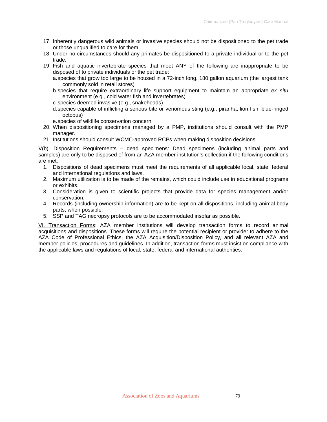- 17. Inherently dangerous wild animals or invasive species should not be dispositioned to the pet trade or those unqualified to care for them.
- 18. Under no circumstances should any primates be dispositioned to a private individual or to the pet trade.
- 19. Fish and aquatic invertebrate species that meet ANY of the following are inappropriate to be disposed of to private individuals or the pet trade:
	- a.species that grow too large to be housed in a 72-inch long, 180 gallon aquarium (the largest tank commonly sold in retail stores)
	- b.species that require extraordinary life support equipment to maintain an appropriate *ex situ*  environment (e.g., cold water fish and invertebrates)
	- c.species deemed invasive (e.g., snakeheads)
	- d.species capable of inflicting a serious bite or venomous sting (e.g., piranha, lion fish, blue-ringed octopus)
	- e.species of wildlife conservation concern
- 20. When dispositioning specimens managed by a PMP, institutions should consult with the PMP manager.
- 21. Institutions should consult WCMC-approved RCPs when making disposition decisions.

V(b). Disposition Requirements – dead specimens: Dead specimens (including animal parts and samples) are only to be disposed of from an AZA member institution's collection if the following conditions are met:

- 1. Dispositions of dead specimens must meet the requirements of all applicable local, state, federal and international regulations and laws.
- 2. Maximum utilization is to be made of the remains, which could include use in educational programs or exhibits.
- 3. Consideration is given to scientific projects that provide data for species management and/or conservation.
- 4. Records (including ownership information) are to be kept on all dispositions, including animal body parts, when possible.
- 5. SSP and TAG necropsy protocols are to be accommodated insofar as possible.

VI. Transaction Forms: AZA member institutions will develop transaction forms to record animal acquisitions and dispositions. These forms will require the potential recipient or provider to adhere to the AZA Code of Professional Ethics, the AZA Acquisition/Disposition Policy, and all relevant AZA and member policies, procedures and guidelines. In addition, transaction forms must insist on compliance with the applicable laws and regulations of local, state, federal and international authorities.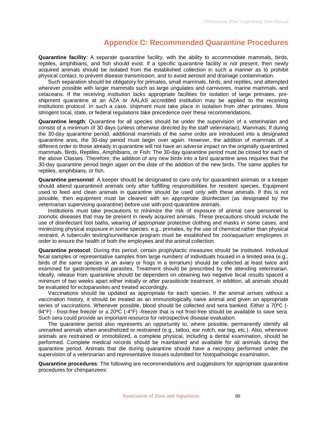# **Appendix C: Recommended Quarantine Procedures**

**Quarantine facility**: A separate quarantine facility, with the ability to accommodate mammals, birds, reptiles, amphibians, and fish should exist. If a specific quarantine facility is not present, then newly acquired animals should be isolated from the established collection in such a manner as to prohibit physical contact, to prevent disease transmission, and to avoid aerosol and drainage contamination.

Such separation should be obligatory for primates, small mammals, birds, and reptiles, and attempted wherever possible with larger mammals such as large ungulates and carnivores, marine mammals, and cetaceans. If the receiving institution lacks appropriate facilities for isolation of large primates, preshipment quarantine at an AZA or AALAS accredited institution may be applied to the receiving institutions protocol. In such a case, shipment must take place in isolation from other primates. More stringent local, state, or federal regulations take precedence over these recommendations.

**Quarantine length**: Quarantine for all species should be under the supervision of a veterinarian and consist of a minimum of 30 days (unless otherwise directed by the staff veterinarian). Mammals: If during the 30-day quarantine period, additional mammals of the same order are introduced into a designated quarantine area, the 30-day period must begin over again. However, the addition of mammals of a different order to those already in quarantine will not have an adverse impact on the originally quarantined mammals. Birds, Reptiles, Amphibians, or Fish: The 30-day quarantine period must be closed for each of the above Classes. Therefore, the addition of any new birds into a bird quarantine area requires that the 30-day quarantine period begin again on the date of the addition of the new birds. The same applies for reptiles, amphibians, or fish.

**Quarantine personnel**: A keeper should be designated to care only for quarantined animals or a keeper should attend quarantined animals only after fulfilling responsibilities for resident species. Equipment used to feed and clean animals in quarantine should be used only with these animals. If this is not possible, then equipment must be cleaned with an appropriate disinfectant (as designated by the veterinarian supervising quarantine) before use with post-quarantine animals.

Institutions must take precautions to minimize the risk of exposure of animal care personnel to zoonotic diseases that may be present in newly acquired animals. These precautions should include the use of disinfectant foot baths, wearing of appropriate protective clothing and masks in some cases, and minimizing physical exposure in some species; e.g., primates, by the use of chemical rather than physical restraint. A tuberculin testing/surveillance program must be established for zoo/aquarium employees in order to ensure the health of both the employees and the animal collection.

**Quarantine protocol**: During this period, certain prophylactic measures should be instituted. Individual fecal samples or representative samples from large numbers of individuals housed in a limited area (e.g., birds of the same species in an aviary or frogs in a terrarium) should be collected at least twice and examined for gastrointestinal parasites. Treatment should be prescribed by the attending veterinarian. Ideally, release from quarantine should be dependent on obtaining two negative fecal results spaced a minimum of two weeks apart either initially or after parasiticide treatment. In addition, all animals should be evaluated for ectoparasites and treated accordingly.

Vaccinations should be updated as appropriate for each species. If the animal arrives without a vaccination history, it should be treated as an immunologically naive animal and given an appropriate series of vaccinations. Whenever possible, blood should be collected and sera banked. Either a 70°C (-94°F) - frost-free freezer or a 20°C (-4°F) -freezer that is not frost-free should be available to save sera. Such sera could provide an important resource for retrospective disease evaluation.

The quarantine period also represents an opportunity to, where possible, permanently identify all unmarked animals when anesthetized or restrained (e.g., tattoo, ear notch, ear tag, etc.). Also, whenever animals are restrained or immobilized, a complete physical, including a dental examination, should be performed. Complete medical records should be maintained and available for all animals during the quarantine period. Animals that die during quarantine should have a necropsy performed under the supervision of a veterinarian and representative tissues submitted for histopathologic examination.

**Quarantine procedures**: The following are recommendations and suggestions for appropriate quarantine procedures for chimpanzees: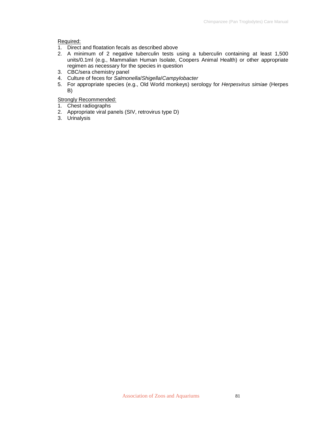# Required:

- 1. Direct and floatation fecals as described above
- 2. A minimum of 2 negative tuberculin tests using a tuberculin containing at least 1,500 units/0.1ml (e.g., Mammalian Human Isolate, Coopers Animal Health) or other appropriate regimen as necessary for the species in question
- 3. CBC/sera chemistry panel
- 4. Culture of feces for *Salmonella*/*Shigella*/*Campylobacter*
- 5. For appropriate species (e.g., Old World monkeys) serology for *Herpesvirus simiae* (Herpes B)

Strongly Recommended:

- 1. Chest radiographs
- 2. Appropriate viral panels (SIV, retrovirus type D)
- 3. Urinalysis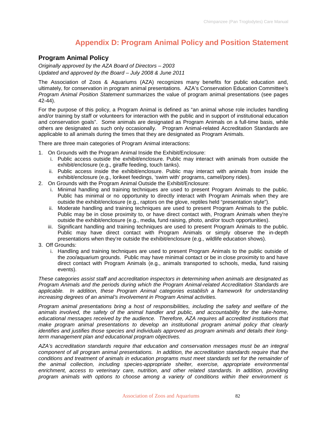# **Appendix D: Program Animal Policy and Position Statement**

# **Program Animal Policy**

*Originally approved by the AZA Board of Directors – 2003 Updated and approved by the Board – July 2008 & June 2011*

The Association of Zoos & Aquariums (AZA) recognizes many benefits for public education and, ultimately, for conservation in program animal presentations. AZA's Conservation Education Committee's *Program Animal Position Statement* summarizes the value of program animal presentations (see pages 42-44).

For the purpose of this policy, a Program Animal is defined as "an animal whose role includes handling and/or training by staff or volunteers for interaction with the public and in support of institutional education and conservation goals". Some animals are designated as Program Animals on a full-time basis, while others are designated as such only occasionally. Program Animal-related Accreditation Standards are applicable to all animals during the times that they are designated as Program Animals.

There are three main categories of Program Animal interactions:

- 1. On Grounds with the Program Animal Inside the Exhibit/Enclosure:
	- i. Public access outside the exhibit/enclosure. Public may interact with animals from outside the exhibit/enclosure (e.g., giraffe feeding, touch tanks).
	- ii. Public access inside the exhibit/enclosure. Public may interact with animals from inside the exhibit/enclosure (e.g., lorikeet feedings, 'swim with' programs, camel/pony rides).
- 2. On Grounds with the Program Animal Outside the Exhibit/Enclosure:
	- i. Minimal handling and training techniques are used to present Program Animals to the public. Public has minimal or no opportunity to directly interact with Program Animals when they are outside the exhibit/enclosure (e.g., raptors on the glove, reptiles held "presentation style").
	- ii. Moderate handling and training techniques are used to present Program Animals to the public. Public may be in close proximity to, or have direct contact with, Program Animals when they're outside the exhibit/enclosure (e.g., media, fund raising, photo, and/or touch opportunities).
	- iii. Significant handling and training techniques are used to present Program Animals to the public. Public may have direct contact with Program Animals or simply observe the in-depth presentations when they're outside the exhibit/enclosure (e.g., wildlife education shows).
- 3. Off Grounds:
	- i. Handling and training techniques are used to present Program Animals to the public outside of the zoo/aquarium grounds. Public may have minimal contact or be in close proximity to and have direct contact with Program Animals (e.g., animals transported to schools, media, fund raising events).

*These categories assist staff and accreditation inspectors in determining when animals are designated as Program Animals and the periods during which the Program Animal-related Accreditation Standards are applicable. In addition, these Program Animal categories establish a framework for understanding increasing degrees of an animal's involvement in Program Animal activities.*

*Program animal presentations bring a host of responsibilities, including the safety and welfare of the animals involved, the safety of the animal handler and public, and accountability for the take-home, educational messages received by the audience. Therefore, AZA requires all accredited institutions that make program animal presentations to develop an institutional program animal policy that clearly identifies and justifies those species and individuals approved as program animals and details their longterm management plan and educational program objectives.* 

*AZA's accreditation standards require that education and conservation messages must be an integral component of all program animal presentations. In addition, the accreditation standards require that the conditions and treatment of animals in education programs must meet standards set for the remainder of the animal collection, including species-appropriate shelter, exercise, appropriate environmental enrichment, access to veterinary care, nutrition, and other related standards. In addition, providing program animals with options to choose among a variety of conditions within their environment is*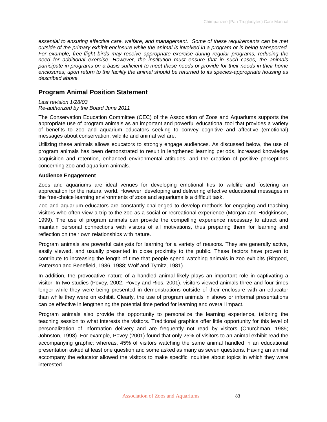*essential to ensuring effective care, welfare, and management. Some of these requirements can be met outside of the primary exhibit enclosure while the animal is involved in a program or is being transported. For example, free-flight birds may receive appropriate exercise during regular programs, reducing the need for additional exercise. However, the institution must ensure that in such cases, the animals participate in programs on a basis sufficient to meet these needs or provide for their needs in their home enclosures; upon return to the facility the animal should be returned to its species-appropriate housing as described above.* 

# **Program Animal Position Statement**

### *Last revision 1/28/03 Re-authorized by the Board June 2011*

The Conservation Education Committee (CEC) of the Association of Zoos and Aquariums supports the appropriate use of program animals as an important and powerful educational tool that provides a variety of benefits to zoo and aquarium educators seeking to convey cognitive and affective (emotional) messages about conservation, wildlife and animal welfare.

Utilizing these animals allows educators to strongly engage audiences. As discussed below, the use of program animals has been demonstrated to result in lengthened learning periods, increased knowledge acquisition and retention, enhanced environmental attitudes, and the creation of positive perceptions concerning zoo and aquarium animals.

# **Audience Engagement**

Zoos and aquariums are ideal venues for developing emotional ties to wildlife and fostering an appreciation for the natural world. However, developing and delivering effective educational messages in the free-choice learning environments of zoos and aquariums is a difficult task.

Zoo and aquarium educators are constantly challenged to develop methods for engaging and teaching visitors who often view a trip to the zoo as a social or recreational experience (Morgan and Hodgkinson, 1999). The use of program animals can provide the compelling experience necessary to attract and maintain personal connections with visitors of all motivations, thus preparing them for learning and reflection on their own relationships with nature.

Program animals are powerful catalysts for learning for a variety of reasons. They are generally active, easily viewed, and usually presented in close proximity to the public. These factors have proven to contribute to increasing the length of time that people spend watching animals in zoo exhibits (Bitgood, Patterson and Benefield, 1986, 1988; Wolf and Tymitz, 1981).

In addition, the provocative nature of a handled animal likely plays an important role in captivating a visitor. In two studies (Povey, 2002; Povey and Rios, 2001), visitors viewed animals three and four times longer while they were being presented in demonstrations outside of their enclosure with an educator than while they were on exhibit. Clearly, the use of program animals in shows or informal presentations can be effective in lengthening the potential time period for learning and overall impact.

Program animals also provide the opportunity to personalize the learning experience, tailoring the teaching session to what interests the visitors. Traditional graphics offer little opportunity for this level of personalization of information delivery and are frequently not read by visitors (Churchman, 1985; Johnston, 1998). For example, Povey (2001) found that only 25% of visitors to an animal exhibit read the accompanying graphic; whereas, 45% of visitors watching the same animal handled in an educational presentation asked at least one question and some asked as many as seven questions. Having an animal accompany the educator allowed the visitors to make specific inquiries about topics in which they were interested.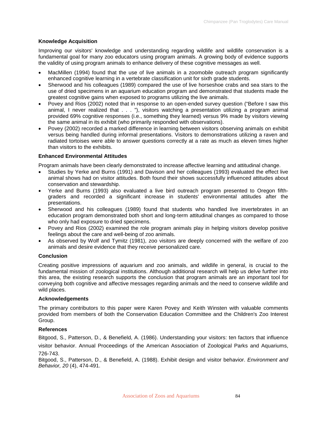# **Knowledge Acquisition**

Improving our visitors' knowledge and understanding regarding wildlife and wildlife conservation is a fundamental goal for many zoo educators using program animals. A growing body of evidence supports the validity of using program animals to enhance delivery of these cognitive messages as well.

- MacMillen (1994) found that the use of live animals in a zoomobile outreach program significantly enhanced cognitive learning in a vertebrate classification unit for sixth grade students.
- Sherwood and his colleagues (1989) compared the use of live horseshoe crabs and sea stars to the use of dried specimens in an aquarium education program and demonstrated that students made the greatest cognitive gains when exposed to programs utilizing the live animals.
- Povey and Rios (2002) noted that in response to an open-ended survey question ("Before I saw this animal, I never realized that . . . "), visitors watching a presentation utilizing a program animal provided 69% cognitive responses (i.e., something they learned) versus 9% made by visitors viewing the same animal in its exhibit (who primarily responded with observations).
- Povey (2002) recorded a marked difference in learning between visitors observing animals on exhibit versus being handled during informal presentations. Visitors to demonstrations utilizing a raven and radiated tortoises were able to answer questions correctly at a rate as much as eleven times higher than visitors to the exhibits.

# **Enhanced Environmental Attitudes**

Program animals have been clearly demonstrated to increase affective learning and attitudinal change.

- Studies by Yerke and Burns (1991) and Davison and her colleagues (1993) evaluated the effect live animal shows had on visitor attitudes. Both found their shows successfully influenced attitudes about conservation and stewardship.
- Yerke and Burns (1993) also evaluated a live bird outreach program presented to Oregon fifthgraders and recorded a significant increase in students' environmental attitudes after the presentations.
- Sherwood and his colleagues (1989) found that students who handled live invertebrates in an education program demonstrated both short and long-term attitudinal changes as compared to those who only had exposure to dried specimens.
- Povey and Rios (2002) examined the role program animals play in helping visitors develop positive feelings about the care and well-being of zoo animals.
- As observed by Wolf and Tymitz (1981), zoo visitors are deeply concerned with the welfare of zoo animals and desire evidence that they receive personalized care.

## **Conclusion**

Creating positive impressions of aquarium and zoo animals, and wildlife in general, is crucial to the fundamental mission of zoological institutions. Although additional research will help us delve further into this area, the existing research supports the conclusion that program animals are an important tool for conveying both cognitive and affective messages regarding animals and the need to conserve wildlife and wild places.

## **Acknowledgements**

The primary contributors to this paper were Karen Povey and Keith Winsten with valuable comments provided from members of both the Conservation Education Committee and the Children's Zoo Interest Group.

## **References**

Bitgood, S., Patterson, D., & Benefield, A. (1986). Understanding your visitors: ten factors that influence

visitor behavior. Annual Proceedings of the American Association of Zoological Parks and Aquariums, 726-743.

Bitgood, S., Patterson, D., & Benefield, A. (1988). Exhibit design and visitor behavior. *Environment and Behavior, 20* (4), 474-491.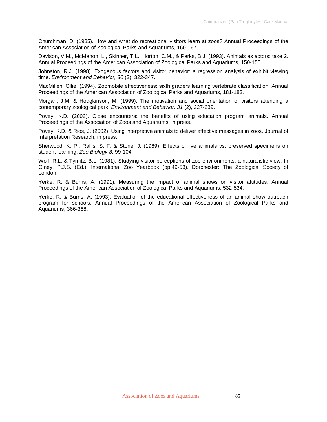Churchman, D. (1985). How and what do recreational visitors learn at zoos? Annual Proceedings of the American Association of Zoological Parks and Aquariums, 160-167.

Davison, V.M., McMahon, L., Skinner, T.L., Horton, C.M., & Parks, B.J. (1993). Animals as actors: take 2. Annual Proceedings of the American Association of Zoological Parks and Aquariums, 150-155.

Johnston, R.J. (1998). Exogenous factors and visitor behavior: a regression analysis of exhibit viewing time. *Environment and Behavior, 30* (3), 322-347.

MacMillen, Ollie. (1994). Zoomobile effectiveness: sixth graders learning vertebrate classification. Annual Proceedings of the American Association of Zoological Parks and Aquariums, 181-183.

Morgan, J.M. & Hodgkinson, M. (1999). The motivation and social orientation of visitors attending a contemporary zoological park. *Environment and Behavior, 31* (2), 227-239.

Povey, K.D. (2002). Close encounters: the benefits of using education program animals. Annual Proceedings of the Association of Zoos and Aquariums, in press.

Povey, K.D. & Rios, J. (2002). Using interpretive animals to deliver affective messages in zoos. Journal of Interpretation Research, in press.

Sherwood, K. P., Rallis, S. F. & Stone, J. (1989). Effects of live animals vs. preserved specimens on student learning. *Zoo Biology 8*: 99-104.

Wolf, R.L. & Tymitz, B.L. (1981). Studying visitor perceptions of zoo environments: a naturalistic view. In Olney, P.J.S. (Ed.), International Zoo Yearbook (pp.49-53). Dorchester: The Zoological Society of London.

Yerke, R. & Burns, A. (1991). Measuring the impact of animal shows on visitor attitudes. Annual Proceedings of the American Association of Zoological Parks and Aquariums, 532-534.

Yerke, R. & Burns, A. (1993). Evaluation of the educational effectiveness of an animal show outreach program for schools. Annual Proceedings of the American Association of Zoological Parks and Aquariums, 366-368.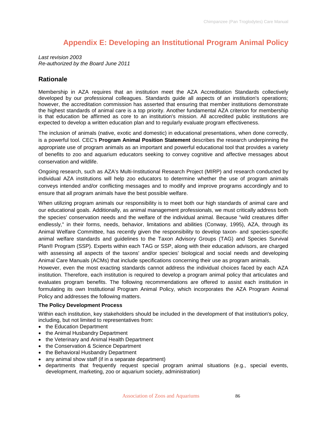# **Appendix E: Developing an Institutional Program Animal Policy**

*Last revision 2003 Re-authorized by the Board June 2011*

# **Rationale**

Membership in AZA requires that an institution meet the AZA Accreditation Standards collectively developed by our professional colleagues. Standards guide all aspects of an institution's operations; however, the accreditation commission has asserted that ensuring that member institutions demonstrate the highest standards of animal care is a top priority. Another fundamental AZA criterion for membership is that education be affirmed as core to an institution's mission. All accredited public institutions are expected to develop a written education plan and to regularly evaluate program effectiveness.

The inclusion of animals (native, exotic and domestic) in educational presentations, when done correctly, is a powerful tool. CEC's **Program Animal Position Statement** describes the research underpinning the appropriate use of program animals as an important and powerful educational tool that provides a variety of benefits to zoo and aquarium educators seeking to convey cognitive and affective messages about conservation and wildlife.

Ongoing research, such as AZA's Multi-Institutional Research Project (MIRP) and research conducted by individual AZA institutions will help zoo educators to determine whether the use of program animals conveys intended and/or conflicting messages and to modify and improve programs accordingly and to ensure that all program animals have the best possible welfare.

When utilizing program animals our responsibility is to meet both our high standards of animal care and our educational goals. Additionally, as animal management professionals, we must critically address both the species' conservation needs and the welfare of the individual animal. Because "wild creatures differ endlessly," in their forms, needs, behavior, limitations and abilities (Conway, 1995), AZA, through its Animal Welfare Committee, has recently given the responsibility to develop taxon- and species-specific animal welfare standards and guidelines to the Taxon Advisory Groups (TAG) and Species Survival Plan® Program (SSP). Experts within each TAG or SSP, along with their education advisors, are charged with assessing all aspects of the taxons' and/or species' biological and social needs and developing Animal Care Manuals (ACMs) that include specifications concerning their use as program animals.

However, even the most exacting standards cannot address the individual choices faced by each AZA institution. Therefore, each institution is required to develop a program animal policy that articulates and evaluates program benefits. The following recommendations are offered to assist each institution in formulating its own Institutional Program Animal Policy, which incorporates the AZA Program Animal Policy and addresses the following matters.

## **The Policy Development Process**

Within each institution, key stakeholders should be included in the development of that institution's policy, including, but not limited to representatives from:

- the Education Department
- the Animal Husbandry Department
- the Veterinary and Animal Health Department
- the Conservation & Science Department
- the Behavioral Husbandry Department
- any animal show staff (if in a separate department)
- departments that frequently request special program animal situations (e.g., special events, development, marketing, zoo or aquarium society, administration)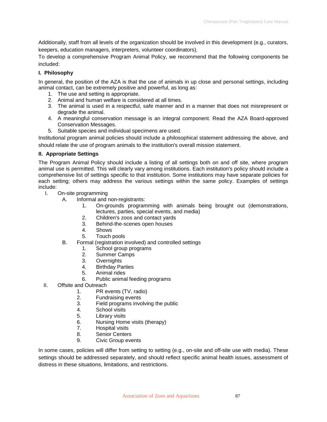Additionally, staff from all levels of the organization should be involved in this development (e.g., curators, keepers, education managers, interpreters, volunteer coordinators).

To develop a comprehensive Program Animal Policy, we recommend that the following components be included:

# **I. Philosophy**

In general, the position of the AZA is that the use of animals in up close and personal settings, including animal contact, can be extremely positive and powerful, as long as:

- 1. The use and setting is appropriate.
- 2. Animal and human welfare is considered at all times.
- 3. The animal is used in a respectful, safe manner and in a manner that does not misrepresent or degrade the animal.
- 4. A meaningful conservation message is an integral component. Read the AZA Board-approved Conservation Messages.
- 5. Suitable species and individual specimens are used.

Institutional program animal policies should include a philosophical statement addressing the above, and should relate the use of program animals to the institution's overall mission statement.

# **II. Appropriate Settings**

The Program Animal Policy should include a listing of all settings both on and off site, where program animal use is permitted. This will clearly vary among institutions. Each institution's policy should include a comprehensive list of settings specific to that institution. Some institutions may have separate policies for each setting; others may address the various settings within the same policy. Examples of settings include:

- I. On-site programming
	- A. Informal and non-registrants:
		- 1. On-grounds programming with animals being brought out (demonstrations, lectures, parties, special events, and media)
		- 2. Children's zoos and contact yards
		- 3. Behind-the-scenes open houses<br>4 Shows
		- 4. Shows
		- 5. Touch pools
	- B. Formal (registration involved) and controlled settings
		- 1. School group programs
		- 2. Summer Camps
		- 3. Overnights<br>4. Birthdav Pa
		- **Birthday Parties**
		- 5. Animal rides
		- 6. Public animal feeding programs
- II. Offsite and Outreach
	- 1. PR events (TV, radio)
	- 2. Fundraising events
	- 3. Field programs involving the public
	- 4. School visits<br>5. Library visits
	- Library visits
	- 6. Nursing Home visits (therapy)
	- 7. Hospital visits<br>8. Senior Centers
	- Senior Centers
	- 9. Civic Group events

In some cases, policies will differ from setting to setting (e.g., on-site and off-site use with media). These settings should be addressed separately, and should reflect specific animal health issues, assessment of distress in these situations, limitations, and restrictions.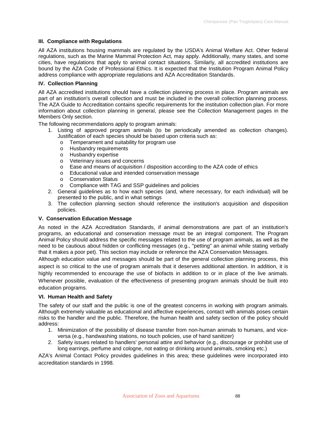# **III. Compliance with Regulations**

All AZA institutions housing mammals are regulated by the USDA's Animal Welfare Act. Other federal regulations, such as the Marine Mammal Protection Act, may apply. Additionally, many states, and some cities, have regulations that apply to animal contact situations. Similarly, all accredited institutions are bound by the AZA Code of Professional Ethics. It is expected that the Institution Program Animal Policy address compliance with appropriate regulations and AZA Accreditation Standards.

# **IV. Collection Planning**

All AZA accredited institutions should have a collection planning process in place. Program animals are part of an institution's overall collection and must be included in the overall collection planning process. The AZA Guide to Accreditation contains specific requirements for the institution collection plan. For more information about collection planning in general, please see the Collection Management pages in the Members Only section.

The following recommendations apply to program animals:

- 1. Listing of approved program animals (to be periodically amended as collection changes). Justification of each species should be based upon criteria such as:
	- $\circ$  Temperament and suitability for program use<br> $\circ$  Husbandry requirements
	- o Husbandry requirements<br>
	o Husbandry expertise
	- o Husbandry expertise<br>
	o Veterinary issues and
	- Veterinary issues and concerns
	- o Ease and means of acquisition / disposition according to the AZA code of ethics
	- o Educational value and intended conservation message
	- o Conservation Status
	- o Compliance with TAG and SSP guidelines and policies
- 2. General guidelines as to how each species (and, where necessary, for each individual) will be presented to the public, and in what settings
- 3. The collection planning section should reference the institution's acquisition and disposition policies.

## **V. Conservation Education Message**

As noted in the AZA Accreditation Standards, if animal demonstrations are part of an institution's programs, an educational and conservation message must be an integral component. The Program Animal Policy should address the specific messages related to the use of program animals, as well as the need to be cautious about hidden or conflicting messages (e.g., "petting" an animal while stating verbally that it makes a poor pet). This section may include or reference the AZA Conservation Messages.

Although education value and messages should be part of the general collection planning process, this aspect is so critical to the use of program animals that it deserves additional attention. In addition, it is highly recommended to encourage the use of biofacts in addition to or in place of the live animals. Whenever possible, evaluation of the effectiveness of presenting program animals should be built into education programs.

## **VI. Human Health and Safety**

The safety of our staff and the public is one of the greatest concerns in working with program animals. Although extremely valuable as educational and affective experiences, contact with animals poses certain risks to the handler and the public. Therefore, the human health and safety section of the policy should address:

- 1. Minimization of the possibility of disease transfer from non-human animals to humans, and viceversa (e.g., handwashing stations, no touch policies, use of hand sanitizer)
- 2. Safety issues related to handlers' personal attire and behavior (e.g., discourage or prohibit use of long earrings, perfume and cologne, not eating or drinking around animals, smoking etc.)

AZA's Animal Contact Policy provides guidelines in this area; these guidelines were incorporated into accreditation standards in 1998.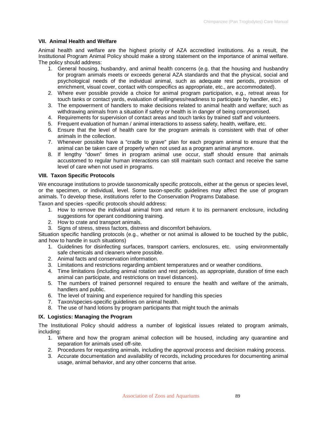# **VII. Animal Health and Welfare**

Animal health and welfare are the highest priority of AZA accredited institutions. As a result, the Institutional Program Animal Policy should make a strong statement on the importance of animal welfare. The policy should address:

- 1. General housing, husbandry, and animal health concerns (e.g. that the housing and husbandry for program animals meets or exceeds general AZA standards and that the physical, social and psychological needs of the individual animal, such as adequate rest periods, provision of enrichment, visual cover, contact with conspecifics as appropriate, etc., are accommodated).
- 2. Where ever possible provide a choice for animal program participation, e.g., retreat areas for touch tanks or contact yards, evaluation of willingness/readiness to participate by handler, etc.)
- 3. The empowerment of handlers to make decisions related to animal health and welfare; such as withdrawing animals from a situation if safety or health is in danger of being compromised.
- 4. Requirements for supervision of contact areas and touch tanks by trained staff and volunteers.
- 5. Frequent evaluation of human / animal interactions to assess safety, health, welfare, etc.
- 6. Ensure that the level of health care for the program animals is consistent with that of other animals in the collection.
- 7. Whenever possible have a "cradle to grave" plan for each program animal to ensure that the animal can be taken care of properly when not used as a program animal anymore.
- 8. If lengthy "down" times in program animal use occur, staff should ensure that animals accustomed to regular human interactions can still maintain such contact and receive the same level of care when not used in programs.

## **VIII. Taxon Specific Protocols**

We encourage institutions to provide taxonomically specific protocols, either at the genus or species level, or the specimen, or individual, level. Some taxon-specific guidelines may affect the use of program animals. To develop these, institutions refer to the Conservation Programs Database.

Taxon and species -specific protocols should address:

- 1. How to remove the individual animal from and return it to its permanent enclosure, including suggestions for operant conditioning training.
- 2. How to crate and transport animals.
- 3. Signs of stress, stress factors, distress and discomfort behaviors.

Situation specific handling protocols (e.g., whether or not animal is allowed to be touched by the public, and how to handle in such situations)

- 1. Guidelines for disinfecting surfaces, transport carriers, enclosures, etc. using environmentally safe chemicals and cleaners where possible.
- 2. Animal facts and conservation information.
- 3. Limitations and restrictions regarding ambient temperatures and or weather conditions.
- 4. Time limitations (including animal rotation and rest periods, as appropriate, duration of time each animal can participate, and restrictions on travel distances).
- 5. The numbers of trained personnel required to ensure the health and welfare of the animals, handlers and public.
- 6. The level of training and experience required for handling this species
- 7. Taxon/species-specific guidelines on animal health.
- 8. The use of hand lotions by program participants that might touch the animals

# **IX. Logistics: Managing the Program**

The Institutional Policy should address a number of logistical issues related to program animals, including:

- 1. Where and how the program animal collection will be housed, including any quarantine and separation for animals used off-site.
- 2. Procedures for requesting animals, including the approval process and decision making process.
- 3. Accurate documentation and availability of records, including procedures for documenting animal usage, animal behavior, and any other concerns that arise.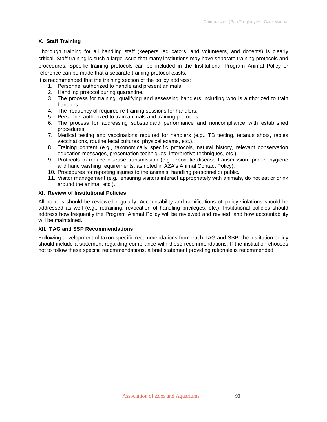# **X. Staff Training**

Thorough training for all handling staff (keepers, educators, and volunteers, and docents) is clearly critical. Staff training is such a large issue that many institutions may have separate training protocols and procedures. Specific training protocols can be included in the Institutional Program Animal Policy or reference can be made that a separate training protocol exists.

It is recommended that the training section of the policy address:

- 1. Personnel authorized to handle and present animals.
- 2. Handling protocol during quarantine.
- 3. The process for training, qualifying and assessing handlers including who is authorized to train handlers.
- 4. The frequency of required re-training sessions for handlers.
- 5. Personnel authorized to train animals and training protocols.
- 6. The process for addressing substandard performance and noncompliance with established procedures.
- 7. Medical testing and vaccinations required for handlers (e.g., TB testing, tetanus shots, rabies vaccinations, routine fecal cultures, physical exams, etc.).
- 8. Training content (e.g., taxonomically specific protocols, natural history, relevant conservation education messages, presentation techniques, interpretive techniques, etc.).
- 9. Protocols to reduce disease transmission (e.g., zoonotic disease transmission, proper hygiene and hand washing requirements, as noted in AZA's Animal Contact Policy).
- 10. Procedures for reporting injuries to the animals, handling personnel or public.
- 11. Visitor management (e.g., ensuring visitors interact appropriately with animals, do not eat or drink around the animal, etc.).

# **XI. Review of Institutional Policies**

All policies should be reviewed regularly. Accountability and ramifications of policy violations should be addressed as well (e.g., retraining, revocation of handling privileges, etc.). Institutional policies should address how frequently the Program Animal Policy will be reviewed and revised, and how accountability will be maintained.

# **XII. TAG and SSP Recommendations**

Following development of taxon-specific recommendations from each TAG and SSP, the institution policy should include a statement regarding compliance with these recommendations. If the institution chooses not to follow these specific recommendations, a brief statement providing rationale is recommended.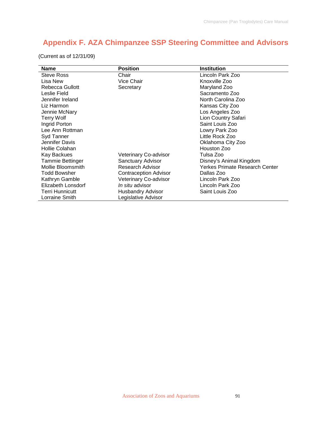# **Appendix F. AZA Chimpanzee SSP Steering Committee and Advisors**

(Current as of 12/31/09)

| <b>Name</b>             | <b>Position</b>              | <b>Institution</b>             |
|-------------------------|------------------------------|--------------------------------|
| Steve Ross              | Chair                        | Lincoln Park Zoo               |
| Lisa New                | <b>Vice Chair</b>            | Knoxville Zoo                  |
| Rebecca Gullott         | Secretary                    | Maryland Zoo                   |
| Leslie Field            |                              | Sacramento Zoo                 |
| Jennifer Ireland        |                              | North Carolina Zoo             |
| Liz Harmon              |                              | Kansas City Zoo                |
| Jennie McNary           |                              | Los Angeles Zoo                |
| <b>Terry Wolf</b>       |                              | Lion Country Safari            |
| Ingrid Porton           |                              | Saint Louis Zoo                |
| Lee Ann Rottman         |                              | Lowry Park Zoo                 |
| Syd Tanner              |                              | Little Rock Zoo                |
| Jennifer Davis          |                              | Oklahoma City Zoo              |
| Hollie Colahan          |                              | Houston Zoo                    |
| Kay Backues             | Veterinary Co-advisor        | Tulsa Zoo                      |
| <b>Tammie Bettinger</b> | Sanctuary Advisor            | Disney's Animal Kingdom        |
| Mollie Bloomsmith       | Research Advisor             | Yerkes Primate Research Center |
| <b>Todd Bowsher</b>     | <b>Contraception Advisor</b> | Dallas Zoo                     |
| Kathryn Gamble          | Veterinary Co-advisor        | Lincoln Park Zoo               |
| Elizabeth Lonsdorf      | <i>In situ</i> advisor       | Lincoln Park Zoo               |
| <b>Terri Hunnicutt</b>  | Husbandry Advisor            | Saint Louis Zoo                |
| Lorraine Smith          | Legislative Advisor          |                                |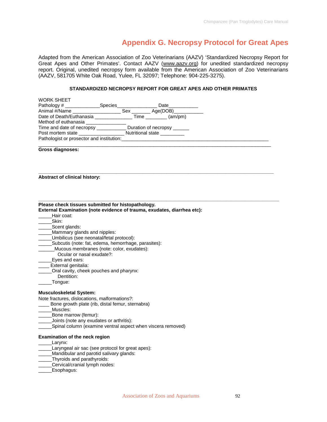# **Appendix G. Necropsy Protocol for Great Apes**

Adapted from the American Association of Zoo Veterinarians (AAZV) 'Standardized Necropsy Report for Great Apes and Other Primates'. Contact AAZV (www.aazv.org) for unedited standardized necropsy report. Original, unedited necropsy form available from the American Association of Zoo Veterinarians (AAZV, 581705 White Oak Road, Yulee, FL 32097; Telephone: 904-225-3275).

#### **STANDARDIZED NECROPSY REPORT FOR GREAT APES AND OTHER PRIMATES**

| <b>WORK SHEET</b>                                                                             |                                    |  |
|-----------------------------------------------------------------------------------------------|------------------------------------|--|
| Pathology # ________________Species                                                           | Date <u>Date</u>                   |  |
| Animal #/Name ______________________                                                          | Sex _________ Age(DOB)____________ |  |
| Date of Death/Euthanasia ______________                                                       | Time (am/pm)                       |  |
| Method of euthanasia                                                                          |                                    |  |
|                                                                                               |                                    |  |
| Post mortem state The Nutritional state                                                       |                                    |  |
| Pathologist or prosector and institution:<br><u>Fathologist</u> or prosector and institution: |                                    |  |
|                                                                                               |                                    |  |

**Gross diagnoses:**

#### **\_\_\_\_\_\_\_\_\_\_\_\_\_\_\_\_\_\_\_\_\_\_\_\_\_\_\_\_\_\_\_\_\_\_\_\_\_\_\_\_\_\_\_\_\_\_\_\_\_\_\_\_\_\_\_\_\_\_\_\_\_\_\_\_\_\_\_\_\_\_\_\_\_\_\_\_\_\_\_\_\_\_\_\_\_\_\_\_ Abstract of clinical history:**

| Please check tissues submitted for histopathology.                      |  |
|-------------------------------------------------------------------------|--|
| External Examination (note evidence of trauma, exudates, diarrhea etc): |  |
| Hair coat:                                                              |  |
| Skin:                                                                   |  |
| Scent glands:                                                           |  |
| Mammary glands and nipples:                                             |  |
| Umbilicus (see neonatal/fetal protocol):                                |  |
| Subcutis (note: fat, edema, hemorrhage, parasites):                     |  |
| Mucous membranes (note: color, exudates):                               |  |
| Ocular or nasal exudate?:                                               |  |
| Eyes and ears:                                                          |  |
| External genitalia:                                                     |  |
| Oral cavity, cheek pouches and pharynx:                                 |  |
| Dentition:                                                              |  |
| Tongue:                                                                 |  |

Note fractures, dislocations, malformations?:

- Bone growth plate (rib, distal femur, sternabra)
- Muscles:
- Bone marrow (femur):
- Joints (note any exudates or arthritis):
- \_\_\_\_\_Spinal column (examine ventral aspect when viscera removed)

### **Examination of the neck region**

- Larynx:
- Laryngeal air sac (see protocol for great apes):
- Mandibular and parotid salivary glands:
- \_\_\_\_\_Thyroids and parathyroids:
- \_\_\_\_\_Cervical/cranial lymph nodes:
- \_\_\_\_\_Esophagus: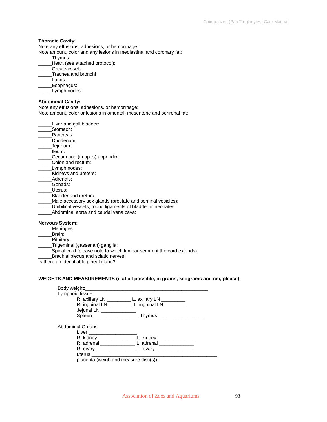#### **Thoracic Cavity:**

Note any effusions, adhesions, or hemorrhage:

Note amount, color and any lesions in mediastinal and coronary fat:

\_\_\_\_\_Thymus

- Heart (see attached protocol):
- Great vessels:
- \_\_\_\_\_Trachea and bronchi
- Lungs:
- \_\_\_\_\_Esophagus:
- \_\_\_\_\_Lymph nodes:

#### **Abdominal Cavity:**

Note any effusions, adhesions, or hemorrhage: Note amount, color or lesions in omental, mesenteric and perirenal fat:

Liver and gall bladder:

- Stomach:
- Pancreas:
- \_\_\_\_\_Duodenum:
- \_\_\_\_\_Jejunum:
- \_\_\_\_\_Ileum:
- \_\_\_\_\_Cecum and (in apes) appendix:
- \_\_\_\_\_Colon and rectum:
- Lymph nodes:
- \_\_\_\_\_Kidneys and ureters:
- Adrenals:
- Gonads:
- Uterus:
- Bladder and urethra:
- Male accessory sex glands (prostate and seminal vesicles):
- \_\_\_\_\_Umbilical vessels, round ligaments of bladder in neonates:
- Abdominal aorta and caudal vena cava:

## **Nervous System:**

- \_\_\_\_\_Meninges:
- \_\_\_\_\_Brain:
- Pituitary:
- \_\_\_\_\_Trigeminal (gasserian) ganglia:
- \_\_\_\_\_Spinal cord (please note to which lumbar segment the cord extends):
- Brachial plexus and sciatic nerves:

Is there an identifiable pineal gland?

#### **WEIGHTS AND MEASUREMENTS (if at all possible, in grams, kilograms and cm, please):**

| Lymphoid tissue: |                                           |                                                          |
|------------------|-------------------------------------------|----------------------------------------------------------|
|                  |                                           |                                                          |
|                  |                                           | R. inguinal LN _______________ L. inguinal LN __________ |
|                  | Jejunal LN $\_\_\_\_\_\_\_\_\_\_\_\_\_\_$ |                                                          |
|                  |                                           |                                                          |
|                  | Abdominal Organs:                         |                                                          |
|                  | Liver $\_\_$                              |                                                          |
|                  |                                           |                                                          |
|                  |                                           | R. adrenal L. adrenal                                    |
|                  |                                           | R. ovary L. ovary                                        |
|                  | uterus                                    |                                                          |
|                  | placenta (weigh and measure disc(s)):     |                                                          |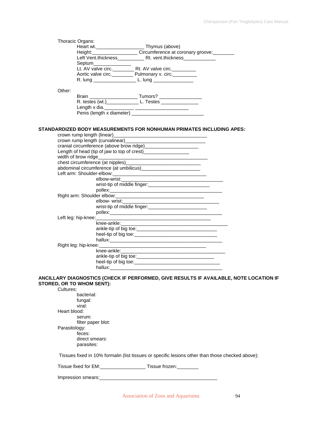| Thoracic Organs:                              |                                                                                                                                                                                                                                                                                                                             |  |
|-----------------------------------------------|-----------------------------------------------------------------------------------------------------------------------------------------------------------------------------------------------------------------------------------------------------------------------------------------------------------------------------|--|
|                                               |                                                                                                                                                                                                                                                                                                                             |  |
|                                               | Height: Circumference at coronary groove: _______                                                                                                                                                                                                                                                                           |  |
|                                               |                                                                                                                                                                                                                                                                                                                             |  |
|                                               | Septum_______________                                                                                                                                                                                                                                                                                                       |  |
|                                               | Lt. AV valve circ._____________ Rt. AV valve circ.___________                                                                                                                                                                                                                                                               |  |
|                                               | Aortic valve circ.___________ Pulmonary v. circ.__________                                                                                                                                                                                                                                                                  |  |
|                                               |                                                                                                                                                                                                                                                                                                                             |  |
|                                               |                                                                                                                                                                                                                                                                                                                             |  |
| Other:                                        |                                                                                                                                                                                                                                                                                                                             |  |
|                                               |                                                                                                                                                                                                                                                                                                                             |  |
|                                               |                                                                                                                                                                                                                                                                                                                             |  |
|                                               |                                                                                                                                                                                                                                                                                                                             |  |
|                                               | Length x dia.<br>Penis (length x diameter)<br>Denis (length x diameter)                                                                                                                                                                                                                                                     |  |
|                                               |                                                                                                                                                                                                                                                                                                                             |  |
|                                               | STANDARDIZED BODY MEASUREMENTS FOR NONHUMAN PRIMATES INCLUDING APES:<br>crown rump length (linear)<br>crown rump length (curvalinear)<br>expansion of the contract of the contract of the contract of the contract of the contract of the contract of<br>cranial circumference (above brow ridge)__________________________ |  |
|                                               |                                                                                                                                                                                                                                                                                                                             |  |
|                                               |                                                                                                                                                                                                                                                                                                                             |  |
|                                               |                                                                                                                                                                                                                                                                                                                             |  |
|                                               |                                                                                                                                                                                                                                                                                                                             |  |
|                                               |                                                                                                                                                                                                                                                                                                                             |  |
|                                               |                                                                                                                                                                                                                                                                                                                             |  |
|                                               |                                                                                                                                                                                                                                                                                                                             |  |
|                                               | elbow- wrist:<br><u> 1989 - Johann John Stone, meil er fan de ferske fan de ferske fan de ferske fan de ferske fan de ferske fan d</u>                                                                                                                                                                                      |  |
|                                               |                                                                                                                                                                                                                                                                                                                             |  |
|                                               |                                                                                                                                                                                                                                                                                                                             |  |
|                                               | Left leg: hip-knee:________<br><u> 1980 - An Dùbhlachd ann an Dùbhlachd ann an Dùbhlachd ann an Dùbhlachd ann an Dùbhlachd ann an Dùbhlachd ann </u>                                                                                                                                                                        |  |
|                                               |                                                                                                                                                                                                                                                                                                                             |  |
|                                               |                                                                                                                                                                                                                                                                                                                             |  |
|                                               |                                                                                                                                                                                                                                                                                                                             |  |
|                                               |                                                                                                                                                                                                                                                                                                                             |  |
|                                               | Right leg: hip-knee:_______                                                                                                                                                                                                                                                                                                 |  |
|                                               | the control of the control of the control of the control of the control of the control of                                                                                                                                                                                                                                   |  |
|                                               |                                                                                                                                                                                                                                                                                                                             |  |
|                                               |                                                                                                                                                                                                                                                                                                                             |  |
|                                               | hallux: the contract of the contract of the contract of the contract of the contract of the contract of the contract of the contract of the contract of the contract of the contract of the contract of the contract of the co                                                                                              |  |
|                                               |                                                                                                                                                                                                                                                                                                                             |  |
| <b>STORED, OR TO WHOM SENT):</b><br>Cultures: | ANCILLARY DIAGNOSTICS (CHECK IF PERFORMED, GIVE RESULTS IF AVAILABLE, NOTE LOCATION IF<br>bacterial:<br>fungal:<br>viral:                                                                                                                                                                                                   |  |
| Heart blood:                                  |                                                                                                                                                                                                                                                                                                                             |  |
|                                               | serum:                                                                                                                                                                                                                                                                                                                      |  |
|                                               | filter paper blot:                                                                                                                                                                                                                                                                                                          |  |
| Parasitology:                                 |                                                                                                                                                                                                                                                                                                                             |  |
|                                               | feces:                                                                                                                                                                                                                                                                                                                      |  |
|                                               | direct smears:                                                                                                                                                                                                                                                                                                              |  |
|                                               | parasites:                                                                                                                                                                                                                                                                                                                  |  |
|                                               | Tissues fixed in 10% formalin (list tissues or specific lesions other than those checked above):                                                                                                                                                                                                                            |  |
|                                               | Tissue fixed for EM:<br>Tissue frozen:                                                                                                                                                                                                                                                                                      |  |

| Impression smears: |  |
|--------------------|--|
|                    |  |
|                    |  |
|                    |  |
|                    |  |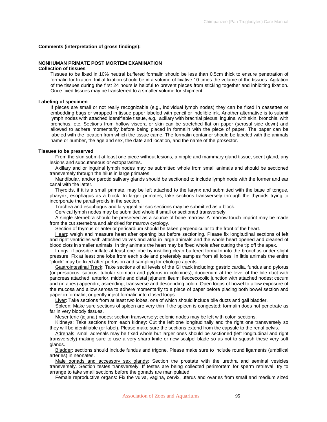#### **Comments (interpretation of gross findings):**

#### **NONHUMAN PRIMATE POST MORTEM EXAMINATION**

#### **Collection of tissues**

Tissues to be fixed in 10% neutral buffered formalin should be less than 0.5cm thick to ensure penetration of formalin for fixation. Initial fixation should be in a volume of fixative 10 times the volume of the tissues. Agitation of the tissues during the first 24 hours is helpful to prevent pieces from sticking together and inhibiting fixation. Once fixed tissues may be transferred to a smaller volume for shipment.

#### **Labeling of specimen**

If pieces are small or not reaily recognizable (e.g., individual lymph nodes) they can be fixed in cassettes or embedding bags or wrapped in tissue paper labeled with pencil or indelible ink. Another alternative is to submit lymph nodes with attached identifiable tissue, e.g., axillary with brachial plexus, inguinal with skin, bronchial with bronchus, etc. Sections from hollow viscera or skin can be stretched flat on paper (serosal side down) and allowed to adhere momentarily before being placed in formalin with the piece of paper. The paper can be labeled with the location from which the tissue came. The formalin container should be labeled with the animals name or number, the age and sex, the date and location, and the name of the prosector.

#### **Tissues to be preserved**

From the skin submit at least one piece without lesions, a nipple and mammary gland tissue, scent gland, any lesions and subcutaneous or ectoparasites.

Axillary and or inguinal lymph nodes may be submitted whole from small animals and should be sectioned transversely through the hilus in large primates.

Mandibular, and/or parotid salivary glands should be sectioned to include lymph node with the former and ear canal with the latter.

Thyroids, if it is a small primate, may be left attached to the larynx and submitted with the base of tongue, pharynx, esophagus as a block. In larger primates, take sections transversely through the thyroids trying to incorporate the parathyroids in the section.

Trachea and esophagus and laryngeal air sac sections may be submitted as a block.

Cervical lymph nodes may be submitted whole if small or sectioned transversely.

A single sternebra should be preserved as a source of bone marrow. A marrow touch imprint may be made from the cut sternebra and air dried for marrow cytology.

Section of thymus or anterior pericardium should be taken perpendicular to the front of the heart.

Heart: weigh and measure heart after opening but before sectioning. Please fix longitudinal sections of left and right ventricles with attached valves and atria in large animals and the whole heart opened and cleaned of blood clots in smaller animals. In tiny animals the heart may be fixed whole after cutting the tip off the apex.

Lungs: if possible inflate at least one lobe by instilling clean buffered formalin into the bronchus under slight pressure. Fix at least one lobe from each side and preferably samples from all lobes. In little animals the entire "pluck" may be fixed after perfusion and sampling for etiologic agents.

Gastrointestinal Track: Take sections of all levels of the GI track including: gastric cardia, fundus and pylorus (or presaccus, saccus, tubular stomach and pylorus in colobines); duodenum at the level of the bile duct with pancreas attached; anterior, middle and distal jejunum; ileum; ileocecocolic junction with attached nodes; cecum and (in apes) appendix; ascending, transverse and descending colon. Open loops of bowel to allow exposure of the mucosa and allow serosa to adhere momentarily to a piece of paper before placing both bowel section and paper in formalin; or gently inject formalin into closed loops.

Liver: Take sections from at least two lobes, one of which should include bile ducts and gall bladder.

Spleen: Make sure sections of spleen are very thin if the spleen is congested; formalin does not penetrate as far in very bloody tissues.

Mesenteric (jejunal) nodes: section transversely; colonic nodes may be left with colon sections.

Kidneys: Take sections from each kidney: Cut the left one longitudinally and the right one transversely so they will be identifiable (or label). Please make sure the sections extend from the capsule to the renal pelvis.

Adrenals: small adrenals may be fixed whole but larger ones should be sectioned (left longitudinal and right transversely) making sure to use a very sharp knife or new scalpel blade so as not to squash these very soft glands.

Bladder: sections should include fundus and trigone. Please make sure to include round ligaments (umbilical arteries) in neonates.

Male gonads and accessory sex glands: Section the prostate with the urethra and seminal vesicles transversely. Section testes transversely. If testes are being collected perimortem for sperm retrieval, try to arrange to take small sections before the gonads are manipulated.

Female reproductive organs: Fix the vulva, vagina, cervix, uterus and ovaries from small and medium sized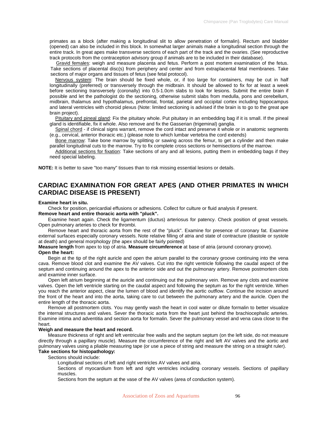primates as a block (after making a longitudinal slit to allow penetration of formalin). Rectum and bladder (opened) can also be included in this block. In somewhat larger animals make a longitudinal section through the entire track. In great apes make transverse sections of each part of the track and the ovaries. (See reproductive track protocols from the contraception advisory group if animals are to be included in their database).

Gravid females: weigh and measure placenta and fetus. Perform a post mortem examination of the fetus. Take sections of placental disc(s) from periphery and center and from extraplacental fetal membranes. Take sections of major organs and tissues of fetus (see fetal protocol).

Nervous system: The brain should be fixed whole, or, if too large for containers, may be cut in half longitudinally (preferred) or transversely through the midbrain. It should be allowed to fix for at least a week before sectioning transversely (coronally) into 0.5-1.0cm slabs to look for lesions. Submit the entire brain if possible and let the pathologist do the sectioning, otherwise submit slabs from medulla, pons and cerebellum, midbrain, thalamus and hypothalamus, prefrontal, frontal, parietal and occipital cortex including hippocampus and lateral ventricles with choroid plexus (Note: limited sectioning is advised if the brain is to go to the great ape brain project).

Pituitary and pineal gland: Fix the pituitary whole. Put pituitary in an embedding bag if it is small. If the pineal gland is identifiable, fix it whole. Also remove and fix the Gasserian (trigeminal) ganglia.

Spinal chord - if clinical signs warrant, remove the cord intact and preserve it whole or in anatomic segments (e.g., cervical, anterior thoracic etc.) (please note to which lumbar vertebra the cord extends)

Bone marrow: Take bone marrow by splitting or sawing across the femur, to get a cylinder and then make parallel longitudinal cuts to the marrow. Try to fix complete cross sections or hemisections of the marrow.

Additional sections for fixation: Take sections of any and all lesions, putting them in embedding bags if they need special labeling.

**NOTE:** It is better to save "too many" tissues than to risk missing essential lesions or details.

# **CARDIAC EXAMINATION FOR GREAT APES (AND OTHER PRIMATES IN WHICH CARDIAC DISEASE IS PRESENT)**

#### **Examine heart in situ.**

Check for position, pericardial effusions or adhesions. Collect for culture or fluid analysis if present.

**Remove heart and entire thoracic aorta with "pluck".** 

Examine heart again. Check the ligamentum (ductus) arteriosus for patency. Check position of great vessels. Open pulmonary arteries to check for thrombi.

Remove heart and thoracic aorta from the rest of the "pluck". Examine for presence of coronary fat. Examine external surfaces especially coronary vessels. Note relative filling of atria and state of contracture (diastole or systole at death) and general morphology (the apex should be fairly pointed)

**Measure length** from apex to top of atria. **Measure circumference** at base of atria (around coronary groove). **Open the heart:** 

Begin at the tip of the right auricle and open the atrium parallel to the coronary groove continuing into the vena cava. Remove blood clot and examine the AV valves. Cut into the right ventricle following the caudal aspect of the septum and continuing around the apex to the anterior side and out the pulmonary artery. Remove postmortem clots and examine inner surface.

Open left atrium beginning at the auricle and continuing out the pulmonary vein. Remove any clots and examine valves. Open the left ventricle starting on the caudal aspect and following the septum as for the right ventricle. When you reach the anterior aspect, clear the lumen of blood and identify the aortic outflow. Continue the incision around the front of the heart and into the aorta, taking care to cut between the pulmonary artery and the auricle. Open the entire length of the thoracic aorta.

Remove all postmortem clots. You may gently wash the heart in cool water or dilute formalin to better visualize the internal structures and valves. Sever the thoracic aorta from the heart just behind the brachiocephalic arteries. Examine intima and adventitia and section aorta for formalin. Sever the pulmonary vessel and vena cava close to the heart.

#### **Weigh and measure the heart and record.**

Measure thickness of right and left ventricular free walls and the septum septum (on the left side, do not measure directly through a papillary muscle). Measure the circumference of the right and left AV valves and the aortic and pulmonary valves using a pliable measuring tape (or use a piece of string and measure the string on a straight ruler). **Take sections for histopathology:**

Sections should include:

Longitudinal sections of left and right ventricles AV valves and atria.

Sections of myocardium from left and right ventricles including coronary vessels. Sections of papillary muscles.

Sections from the septum at the vase of the AV valves (area of conduction system).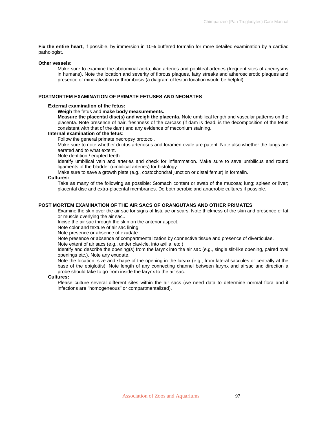**Fix the entire heart,** if possible, by immersion in 10% buffered formalin for more detailed examination by a cardiac pathologist.

#### **Other vessels:**

Make sure to examine the abdominal aorta, iliac arteries and popliteal arteries (frequent sites of aneurysms in humans). Note the location and severity of fibrous plaques, fatty streaks and atherosclerotic plaques and presence of mineralization or thrombosis (a diagram of lesion location would be helpful).

### **POSTMORTEM EXAMINATION OF PRIMATE FETUSES AND NEONATES**

#### **External examination of the fetus:**

#### **Weigh** the fetus and **make body measurements.**

**Measure the placental disc(s) and weigh the placenta.** Note umbilical length and vascular patterns on the placenta. Note presence of hair, freshness of the carcass (if dam is dead, is the decomposition of the fetus consistent with that of the dam) and any evidence of meconium staining.

#### **Internal examination of the fetus:**

Follow the general primate necropsy protocol.

Make sure to note whether ductus arteriosus and foramen ovale are patent. Note also whether the lungs are aerated and to what extent.

Note dentition / erupted teeth.

Identify umbilical vein and arteries and check for inflammation. Make sure to save umbilicus and round ligaments of the bladder (umbilical arteries) for histology.

Make sure to save a growth plate (e.g., costochondral junction or distal femur) in formalin.

#### **Cultures:**

Take as many of the following as possible: Stomach content or swab of the mucosa; lung; spleen or liver; placental disc and extra-placental membranes. Do both aerobic and anaerobic cultures if possible.

#### **POST MORTEM EXAMINATION OF THE AIR SACS OF ORANGUTANS AND OTHER PRIMATES**

Examine the skin over the air sac for signs of fistulae or scars. Note thickness of the skin and presence of fat or muscle overlying the air sac..

Incise the air sac through the skin on the anterior aspect.

Note color and texture of air sac lining.

Note presence or absence of exudate.

Note presence or absence of compartmentalization by connective tissue and presence of diverticulae.

Note extent of air sacs (e.g., under clavicle, into axilla, etc.)

Identify and describe the opening(s) from the larynx into the air sac (e.g., single slit-like opening, paired oval openings etc.). Note any exudate.

Note the location, size and shape of the opening in the larynx (e.g., from lateral saccules or centrally at the base of the epiglottis). Note length of any connecting channel between larynx and airsac and direction a probe should take to go from inside the larynx to the air sac.

### **Cultures:**

Please culture several different sites within the air sacs (we need data to determine normal flora and if infections are "homogeneous" or compartmentalized).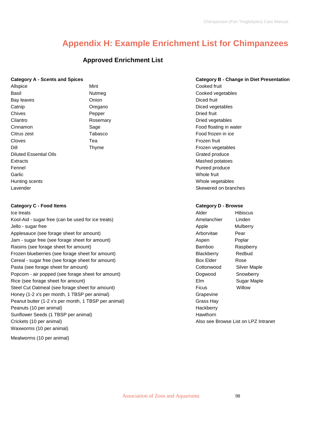# **Appendix H: Example Enrichment List for Chimpanzees**

# **Approved Enrichment List**

Allspice Mint Cooked fruit Basil **Basil Nutmeg Cooked vegetables** Basil Cooked vegetables Bay leaves **Example 2** Onion Diced fruit Diced fruit Diced fruit Catnip Cregano **Catalogue Catnic Catnic Catnic Catnic Catnic Catnic Catnic Catnic Catnic Catnic Catnic Catnic Catnic Catnic Catnic Catnic Catnic Catnic Catnic Catnic Catnic Catnic Catnic Catnic Catnic Catnic Catnic Catnic** Chives Pepper Dried fruit Cilantro Rosemary Dried vegetables Cinnamon **Sage Food floating in water** Cinnamon **Sage Food floating in water** Citrus zest Tabasco Food frozen in ice Cloves Tea Frozen fruit Dill Thyme Frozen vegetables **Diluted Essential Oils** Grated produce **Contract Contract of Crated Produce** Grated produce Extracts Mashed potatoes and the contracts of the contracts of the contracts of the contracts of the contracts of the contracts of the contracts of the contracts of the contracts of the contracts of the contracts of the co Fennel **Pureed produce** Garlic Whole fruit Hunting scents Whole vegetables Lavender Skewered on branches

#### **Category C - Food Items Category D - Browse**

Ice treats Alder Hibiscus and The Terms and Terms and Terms and Terms and Terms and Terms and Terms and Terms and Terms and Terms and Terms and Terms and Terms and Terms and Terms and Terms and Terms and Terms and Terms an Kool-Aid - sugar free (can be used for ice treats) **Amelanchier** Linden Jello - sugar free Apple Mulberry Applesauce (see forage sheet for amount) Arborvitae Arborvitae Pear Jam - sugar free (see forage sheet for amount) Aspen Aspen Poplar Raisins (see forage sheet for amount) **Bamboo** Raspberry Frozen blueberries (see forage sheet for amount) **Blackberry Redbud** Blackberry Redbud Cereal - sugar free (see forage sheet for amount) Box Elder Rose Pasta (see forage sheet for amount) and the content of the content of the Cottonwood Cottonwood Silver Maple Popcorn - air popped (see forage sheet for amount) Dogwood Snowberry Rice (see forage sheet for amount) **Elm** Sugar Maple Steel Cut Oatmeal (see forage sheet for amount) **Ficus** Ficus Willow Honey (1-2 x's per month, 1 TBSP per animal) Grapevine Peanut butter (1-2 x's per month, 1 TBSP per animal) Grass Hay Peanuts (10 per animal) **Hackberry Hackberry Hackberry Hackberry** Sunflower Seeds (1 TBSP per animal) Sunflower Seeds (1 TBSP per animal) Crickets (10 per animal) Also see Browse List on LPZ Intranet Waxworms (10 per animal)

Mealworms (10 per animal)

# **Category A - Scents and Spices Category B - Change in Diet Presentation**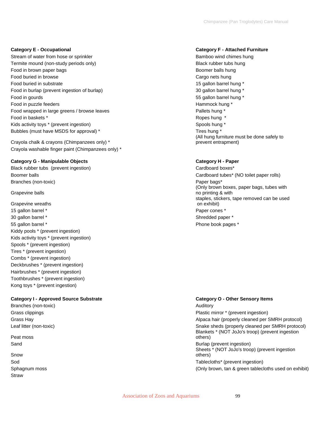Stream of water from hose or sprinkler Bamboo wind chimes hung Termite mound (non-study periods only) Georgian Communications of the Black rubber tubs hung Food in brown paper bags Boomer balls hung Boomer balls hung Food buried in browse Cargo nets hung Food buried in substrate 15 gallon barrel hung \* Food in burlap (prevent ingestion of burlap) 30 gallon barrel hung \* Food in gourds 55 gallon barrel hung \* Food in puzzle feeders **Hammock hung \*** Hammock hung \* Food wrapped in large greens / browse leaves **Pallets hung \*** Pallets hung \* Food in baskets \* The second intervention of the second intervention of the second intervention of the Ropes hung \* Kids activity toys \* (prevent ingestion) Spools hung \* Spools hung \* Spools hung \* Bubbles (must have MSDS for approval) \* Times hung \* Times hung \*

Crayola chalk & crayons (Chimpanzees only) \* Crayola washable finger paint (Chimpanzees only) \*

### **Category G - Manipulable Objects Category H - Paper**

Black rubber tubs (prevent ingestion) and the control of the cardboard boxes\* Cardboard boxes\* Branches (non-toxic) example and the example of the example of the example of the example of the example of the example of the example of the example of the example of the example of the example of the example of the examp

#### Grapevine balls

Grapevine wreaths 15 gallon barrel \* Paper cones \* 30 gallon barrel \* Shredded paper \* 55 gallon barrel \* Phone book pages \* Kiddy pools \* (prevent ingestion) Kids activity toys \* (prevent ingestion) Spools \* (prevent ingestion) Tires \* (prevent ingestion) Combs \* (prevent ingestion) Deckbrushes \* (prevent ingestion) Hairbrushes \* (prevent ingestion) Toothbrushes \* (prevent ingestion) Kong toys \* (prevent ingestion)

### **Category I - Approved Source Substrate Category O - Other Sensory Items**

Branches (non-toxic) and the contract of the contract of the contract of the contract of the contract of the contract of the contract of the contract of the contract of the contract of the contract of the contract of the c

Peat moss

Snow **Straw** 

### **Category E - Occupational Category F - Attached Furniture**

(All hung furniture must be done safely to prevent entrapment)

Boomer balls **Cardboard tubes**\* (NO toilet paper rolls) **Cardboard tubes<sup>\*</sup>** (NO toilet paper rolls) (Only brown boxes, paper bags, tubes with no printing & with staples, stickers, tape removed can be used on exhibit)

Grass clippings **Plastic mirror \*** (prevent ingestion) **Plastic mirror \*** (prevent ingestion)

Grass Hay Alpaca hair (properly cleaned per SMRH protocol) Crass Hay Alpaca hair (properly cleaned per SMRH protocol) Leaf litter (non-toxic) Snake sheds (properly cleaned per SMRH protocol) Blankets \* (NOT JoJo's troop) (prevent ingestion others)

Sand Burlap (prevent ingestion) and the state of the state of the state of the Burlap (prevent ingestion)

Sheets \* (NOT JoJo's troop) (prevent ingestion others)

Sod Sod Tablecloths\* (prevent ingestion) and Tablecloths\* (prevent ingestion)

Sphagnum moss (Only brown, tan & green tablecloths used on exhibit)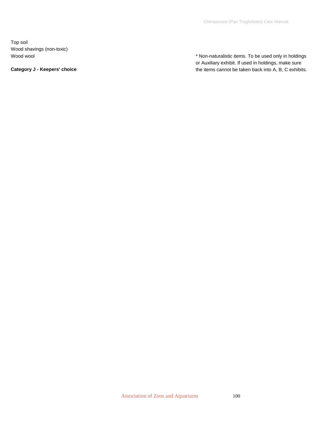Top soil Wood shavings (non-toxic)

Wood wool \* Non-naturalistic items. To be used only in holdings or Auxiliary exhibit. If used in holdings, make sure **Category J - Keepers' choice** the items cannot be taken back into A, B, C exhibits.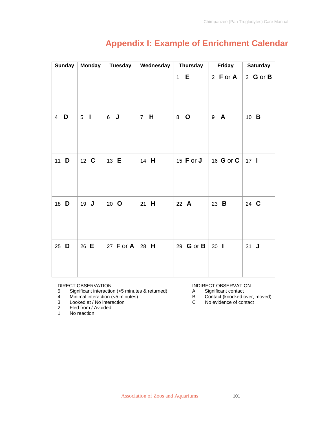٦

|                     |                                   | Sunday   Monday   Tuesday | ∣ Wednesday ∣       | Thursday                | Friday                  | <b>Saturday</b>   |
|---------------------|-----------------------------------|---------------------------|---------------------|-------------------------|-------------------------|-------------------|
|                     |                                   |                           |                     | E<br>$\mathbf{1}$       | 2 $F$ or $A$            | 3 G or B          |
| D<br>$\overline{4}$ | $5\phantom{.0}$<br>$\blacksquare$ | 6J                        | H<br>$\overline{7}$ | $\mathbf O$<br>8        | $\mathsf{A}$<br>9       | 10 $\overline{B}$ |
| D<br>11             | 12 C                              | 13 E                      | 14 H                | 15 $F$ or $J$           | 16 <b>G</b> or <b>C</b> | 17 <sup>1</sup>   |
| 18 <b>D</b>         | 19J                               | 20 O                      | 21 H                | 22 A                    | 23 B                    | 24 C              |
| 25 D                | 26 E                              | 27 <b>F</b> or $A$        | 28 H                | 29 <b>G</b> or <b>B</b> | 30 <sub>1</sub>         | 31 J              |

# **Appendix I: Example of Enrichment Calendar**

DIRECT OBSERVATION<br>
5 Significant interaction (>5 minutes & returned) A Significant contact<br>
4 Minimal interaction (<5 minutes) B Contact (knocked over, moved) 5 Significant interaction (>5 minutes & returned) A Significant contact

2 Fled from / Avoided<br>1 No reaction

No reaction

- 4 Minimal interaction (<5 minutes) B Contact (knocked over, moved)
- 3 Looked at / No interaction C No evidence of contact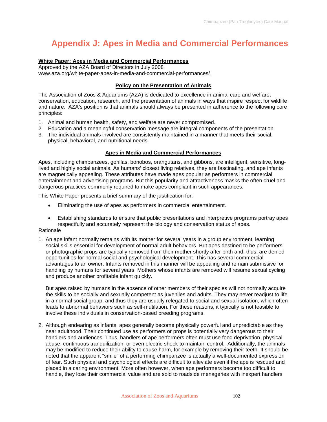# **Appendix J: Apes in Media and Commercial Performances**

# **White Paper: Apes in Media and Commercial Performances**

Approved by the AZA Board of Directors in July 2008 www.aza.org/white-paper-apes-in-media-and-commercial-performances/

# **Policy on the Presentation of Animals**

The Association of Zoos & Aquariums (AZA) is dedicated to excellence in animal care and welfare, conservation, education, research, and the presentation of animals in ways that inspire respect for wildlife and nature. AZA's position is that animals should always be presented in adherence to the following core principles:

- 1. Animal and human health, safety, and welfare are never compromised.
- 2. Education and a meaningful conservation message are integral components of the presentation.
- 3. The individual animals involved are consistently maintained in a manner that meets their social, physical, behavioral, and nutritional needs.

# **Apes in Media and Commercial Performances**

Apes, including chimpanzees, gorillas, bonobos, orangutans, and gibbons, are intelligent, sensitive, longlived and highly social animals. As humans' closest living relatives, they are fascinating, and ape infants are magnetically appealing. These attributes have made apes popular as performers in commercial entertainment and advertising programs. But this popularity and attractiveness masks the often cruel and dangerous practices commonly required to make apes compliant in such appearances.

This White Paper presents a brief summary of the justification for:

- Eliminating the use of apes as performers in commercial entertainment.
- Establishing standards to ensure that public presentations and interpretive programs portray apes respectfully and accurately represent the biology and conservation status of apes.

## Rationale

1. An ape infant normally remains with its mother for several years in a group environment, learning social skills essential for development of normal adult behaviors. But apes destined to be performers or photographic props are typically removed from their mother shortly after birth and, thus, are denied opportunities for normal social and psychological development. This has several commercial advantages to an owner. Infants removed in this manner will be appealing and remain submissive for handling by humans for several years. Mothers whose infants are removed will resume sexual cycling and produce another profitable infant quickly.

But apes raised by humans in the absence of other members of their species will not normally acquire the skills to be socially and sexually competent as juveniles and adults. They may never readjust to life in a normal social group, and thus they are usually relegated to social and sexual isolation, which often leads to abnormal behaviors such as self-mutilation. For these reasons, it typically is not feasible to involve these individuals in conservation-based breeding programs.

2. Although endearing as infants, apes generally become physically powerful and unpredictable as they near adulthood. Their continued use as performers or props is potentially very dangerous to their handlers and audiences. Thus, handlers of ape performers often must use food deprivation, physical abuse, continuous tranquilization, or even electric shock to maintain control. Additionally, the animals may be modified to reduce their ability to cause harm, for example by removing their teeth. It should be noted that the apparent "smile" of a performing chimpanzee is actually a well-documented expression of fear. Such physical and psychological effects are difficult to alleviate even if the ape is rescued and placed in a caring environment. More often however, when ape performers become too difficult to handle, they lose their commercial value and are sold to roadside menageries with inexpert handlers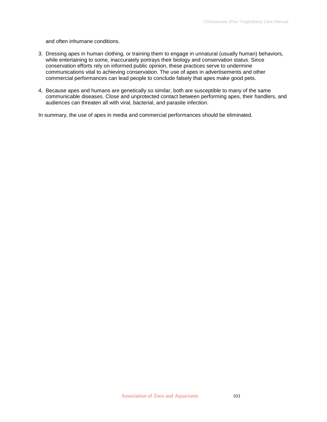and often inhumane conditions.

- 3. Dressing apes in human clothing, or training them to engage in unnatural (usually human) behaviors, while entertaining to some, inaccurately portrays their biology and conservation status. Since conservation efforts rely on informed public opinion, these practices serve to undermine communications vital to achieving conservation. The use of apes in advertisements and other commercial performances can lead people to conclude falsely that apes make good pets.
- 4. Because apes and humans are genetically so similar, both are susceptible to many of the same communicable diseases. Close and unprotected contact between performing apes, their handlers, and audiences can threaten all with viral, bacterial, and parasite infection.

In summary, the use of apes in media and commercial performances should be eliminated.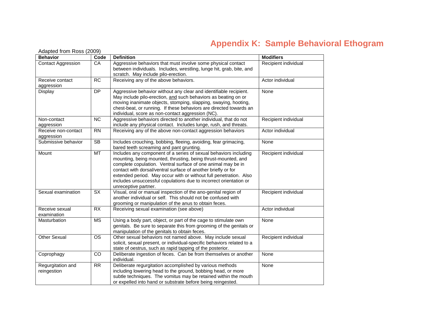# **Appendix K: Sample Behavioral Ethogram**

| Adapted from Ross (2009)          |                 |                                                                                                                                                                                                                                                                                                                                                                                                                                      |                      |  |  |
|-----------------------------------|-----------------|--------------------------------------------------------------------------------------------------------------------------------------------------------------------------------------------------------------------------------------------------------------------------------------------------------------------------------------------------------------------------------------------------------------------------------------|----------------------|--|--|
| <b>Behavior</b>                   | Code            | <b>Definition</b>                                                                                                                                                                                                                                                                                                                                                                                                                    | <b>Modifiers</b>     |  |  |
| <b>Contact Aggression</b>         | CA              | Aggressive behaviors that must involve some physical contact<br>between individuals. Includes, wrestling, lunge hit, grab, bite, and<br>scratch. May include pilo-erection.                                                                                                                                                                                                                                                          | Recipient individual |  |  |
| Receive contact<br>aggression     | <b>RC</b>       | Receiving any of the above behaviors.                                                                                                                                                                                                                                                                                                                                                                                                | Actor individual     |  |  |
| Display                           | <b>DP</b>       | Aggressive behavior without any clear and identifiable recipient.<br>May include pilo-erection, and such behaviors as beating on or<br>moving inanimate objects, stomping, slapping, swaying, hooting,<br>chest-beat, or running. If these behaviors are directed towards an<br>individual, score as non-contact aggression (NC).                                                                                                    | None                 |  |  |
| Non-contact<br>aggression         | <b>NC</b>       | Aggressive behaviors directed to another individual, that do not<br>include any physical contact. Includes lunge, rush, and threats.                                                                                                                                                                                                                                                                                                 | Recipient individual |  |  |
| Receive non-contact<br>aggression | <b>RN</b>       | Receiving any of the above non-contact aggression behaviors                                                                                                                                                                                                                                                                                                                                                                          | Actor individual     |  |  |
| Submissive behavior               | <b>SB</b>       | Includes crouching, bobbing, fleeing, avoiding, fear grimacing,<br>bared teeth screaming and pant grunting.                                                                                                                                                                                                                                                                                                                          | None                 |  |  |
| Mount                             | MT              | Includes any component of a series of sexual behaviors including<br>mounting, being mounted, thrusting, being thrust-mounted, and<br>complete copulation. Ventral surface of one animal may be in<br>contact with dorsal/ventral surface of another briefly or for<br>extended period. May occur with or without full penetration. Also<br>includes unsuccessful copulations due to incorrect orientation or<br>unreceptive partner. | Recipient individual |  |  |
| Sexual examination                | <b>SX</b>       | Visual, oral or manual inspection of the ano-genital region of<br>another individual or self. This should not be confused with<br>grooming or manipulation of the anus to obtain feces.                                                                                                                                                                                                                                              | Recipient individual |  |  |
| Receive sexual<br>examination     | $\overline{RX}$ | Receiving sexual examination (see above)                                                                                                                                                                                                                                                                                                                                                                                             | Actor individual     |  |  |
| Masturbation                      | <b>MS</b>       | Using a body part, object, or part of the cage to stimulate own<br>genitals. Be sure to separate this from grooming of the genitals or<br>manipulation of the genitals to obtain feces.                                                                                                                                                                                                                                              | None                 |  |  |
| <b>Other Sexual</b>               | <b>OS</b>       | Other sexual behaviors not named above. May include sexual<br>solicit, sexual present, or individual-specific behaviors related to a<br>state of oestrus, such as rapid tapping of the posterior.                                                                                                                                                                                                                                    | Recipient individual |  |  |
| Coprophagy                        | <sub>CO</sub>   | Deliberate ingestion of feces. Can be from themselves or another<br>individual.                                                                                                                                                                                                                                                                                                                                                      | None                 |  |  |
| Regurgitation and<br>reingestion  | <b>RR</b>       | Deliberate regurgitation accomplished by various methods<br>including lowering head to the ground, bobbing head, or more<br>subtle techniques. The vomitus may be retained within the mouth<br>or expelled into hand or substrate before being reingested.                                                                                                                                                                           | None                 |  |  |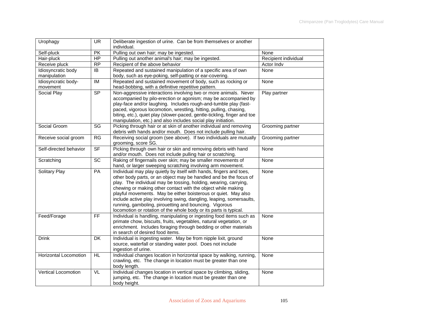| Urophagy                     | <b>UR</b>              | Deliberate ingestion of urine. Can be from themselves or another<br>individual.            |                      |
|------------------------------|------------------------|--------------------------------------------------------------------------------------------|----------------------|
| Self-pluck                   | PK                     | Pulling out own hair; may be ingested.                                                     | None                 |
| Hair-pluck                   | <b>HP</b>              | Pulling out another animal's hair; may be ingested.                                        | Recipient individual |
| Receive pluck                | $\overline{RP}$        | Recipient of the above behavior                                                            | Actor Indv           |
| Idiosyncratic body           | IB                     | Repeated and sustained manipulation of a specific area of own                              | None                 |
| manipulation                 |                        | body, such as eye-poking, self-patting or ear-covering.                                    |                      |
| Idiosyncratic body-          | IM                     | Repeated and sustained movement of body, such as rocking or                                | None                 |
| movement                     |                        | head-bobbing, with a definitive repetitive pattern.                                        |                      |
| <b>Social Play</b>           | SP                     | Non-aggressive interactions involving two or more animals. Never                           | Play partner         |
|                              |                        | accompanied by pilo-erection or agonism; may be accompanied by                             |                      |
|                              |                        | play-face and/or laughing. Includes rough-and-tumble play (fast-                           |                      |
|                              |                        | paced, vigorous locomotion, wrestling, hitting, pulling, chasing,                          |                      |
|                              |                        | biting, etc.), quiet play (slower-paced, gentle-tickling, finger and toe                   |                      |
|                              |                        | manipulation, etc.) and also includes social play initiation.                              |                      |
| Social Groom                 | $\overline{\text{SG}}$ | Picking through hair or at skin of another individual and removing                         | Grooming partner     |
|                              |                        | debris with hands and/or mouth. Does not include pulling hair.                             |                      |
| Receive social groom         | <b>RG</b>              | Receiving social groom (see above). If two individuals are mutually<br>grooming, score SG. | Grooming partner     |
| Self-directed behavior       | $S$ F                  | Picking through own hair or skin and removing debris with hand                             | None                 |
|                              |                        | and/or mouth. Does not include pulling hair or scratching.                                 |                      |
| Scratching                   | $\overline{SC}$        | Raking of fingernails over skin; may be smaller movements of                               | None                 |
|                              |                        | hand, or larger sweeping scratching involving arm movement.                                |                      |
| <b>Solitary Play</b>         | PA                     | Individual may play quietly by itself with hands, fingers and toes,                        | None                 |
|                              |                        | other body parts, or an object may be handled and be the focus of                          |                      |
|                              |                        | play. The individual may be tossing, holding, wearing, carrying,                           |                      |
|                              |                        | chewing or making other contact with the object while making                               |                      |
|                              |                        | playful movements. May be either boisterous or quiet. May also                             |                      |
|                              |                        | include active play involving swing, dangling, leaping, somersaults,                       |                      |
|                              |                        | running, gamboling, pirouetting and bouncing. Vigorous                                     |                      |
|                              |                        | locomotion or rotation of the whole body or its parts is typical.                          |                      |
| Feed/Forage                  | FF                     | Individual is handling, manipulating or ingesting food items such as                       | None                 |
|                              |                        | primate chow, biscuits, fruits, vegetables, natural vegetation, or                         |                      |
|                              |                        | enrichment. Includes foraging through bedding or other materials                           |                      |
|                              |                        | in search of desired food items.                                                           |                      |
| <b>Drink</b>                 | DK                     | Individual is ingesting water. May be from nipple lixit, ground                            | None                 |
|                              |                        | source, waterfall or standing water pool. Does not include                                 |                      |
|                              |                        | ingestion of urine.                                                                        |                      |
| <b>Horizontal Locomotion</b> | $\overline{H}$         | Individual changes location in horizontal space by walking, running,                       | None                 |
|                              |                        | crawling, etc. The change in location must be greater than one                             |                      |
|                              |                        | body length.                                                                               |                      |
| Vertical Locomotion          | $\overline{VL}$        | Individual changes location in vertical space by climbing, sliding,                        | None                 |
|                              |                        | jumping, etc. The change in location must be greater than one                              |                      |
|                              |                        | body height.                                                                               |                      |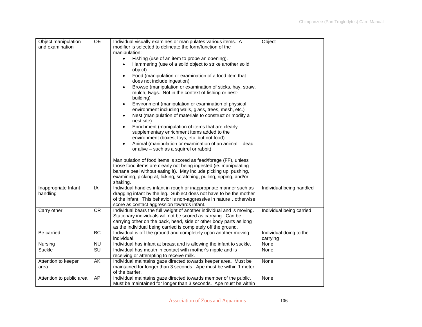| Object manipulation      | <b>OE</b> | Individual visually examines or manipulates various items. A                                                                           | Object                   |
|--------------------------|-----------|----------------------------------------------------------------------------------------------------------------------------------------|--------------------------|
| and examination          |           | modifier is selected to delineate the form/function of the                                                                             |                          |
|                          |           | manipulation:                                                                                                                          |                          |
|                          |           | Fishing (use of an item to probe an opening).                                                                                          |                          |
|                          |           | Hammering (use of a solid object to strike another solid                                                                               |                          |
|                          |           | object)                                                                                                                                |                          |
|                          |           | Food (manipulation or examination of a food item that                                                                                  |                          |
|                          |           | does not include ingestion)                                                                                                            |                          |
|                          |           | Browse (manipulation or examination of sticks, hay, straw,<br>mulch, twigs. Not in the context of fishing or nest-                     |                          |
|                          |           | building)                                                                                                                              |                          |
|                          |           | Environment (manipulation or examination of physical                                                                                   |                          |
|                          |           | environment including walls, glass, trees, mesh, etc.)                                                                                 |                          |
|                          |           | Nest (manipulation of materials to construct or modify a<br>$\bullet$                                                                  |                          |
|                          |           | nest site).                                                                                                                            |                          |
|                          |           | Enrichment (manipulation of items that are clearly<br>$\bullet$                                                                        |                          |
|                          |           | supplementary enrichment items added to the                                                                                            |                          |
|                          |           | environment (boxes, toys, etc. but not food)                                                                                           |                          |
|                          |           | Animal (manipulation or examination of an animal - dead                                                                                |                          |
|                          |           | or alive - such as a squirrel or rabbit)                                                                                               |                          |
|                          |           | Manipulation of food items is scored as feed/forage (FF), unless                                                                       |                          |
|                          |           | those food items are clearly not being ingested (ie. manipulating                                                                      |                          |
|                          |           | banana peel without eating it). May include picking up, pushing,                                                                       |                          |
|                          |           | examining, picking at, licking, scratching, pulling, ripping, and/or                                                                   |                          |
|                          |           | shaking.                                                                                                                               |                          |
| Inappropriate Infant     | IA        | Individual handles infant in rough or inappropriate manner such as                                                                     | Individual being handled |
| handling                 |           | dragging infant by the leg. Subject does not have to be the mother                                                                     |                          |
|                          |           | of the infant. This behavior is non-aggressive in natureotherwise                                                                      |                          |
|                          | <b>CR</b> | score as contact aggression towards infant.                                                                                            |                          |
| Carry other              |           | Individual bears the full weight of another individual and is moving.<br>Stationary individuals will not be scored as carrying. Can be | Individual being carried |
|                          |           | carrying other on the back, head, side or other body parts as long                                                                     |                          |
|                          |           | as the individual being carried is completely off the ground.                                                                          |                          |
| Be carried               | BC        | Individual is off the ground and completely upon another moving                                                                        | Individual doing to the  |
|                          |           | individual.                                                                                                                            | carrying                 |
| Nursing                  | <b>NU</b> | Individual has infant at breast and is allowing the infant to suckle.                                                                  | None                     |
| Suckle                   | SU        | Individual has mouth in contact with mother's nipple and is                                                                            | None                     |
|                          |           | receiving or attempting to receive milk.                                                                                               |                          |
| Attention to keeper      | AK        | Individual maintains gaze directed towards keeper area. Must be                                                                        | None                     |
| area                     |           | maintained for longer than 3 seconds. Ape must be within 1 meter                                                                       |                          |
|                          |           | of the barrier.                                                                                                                        |                          |
| Attention to public area | AP        | Individual maintains gaze directed towards member of the public.                                                                       | None                     |
|                          |           | Must be maintained for longer than 3 seconds. Ape must be within                                                                       |                          |